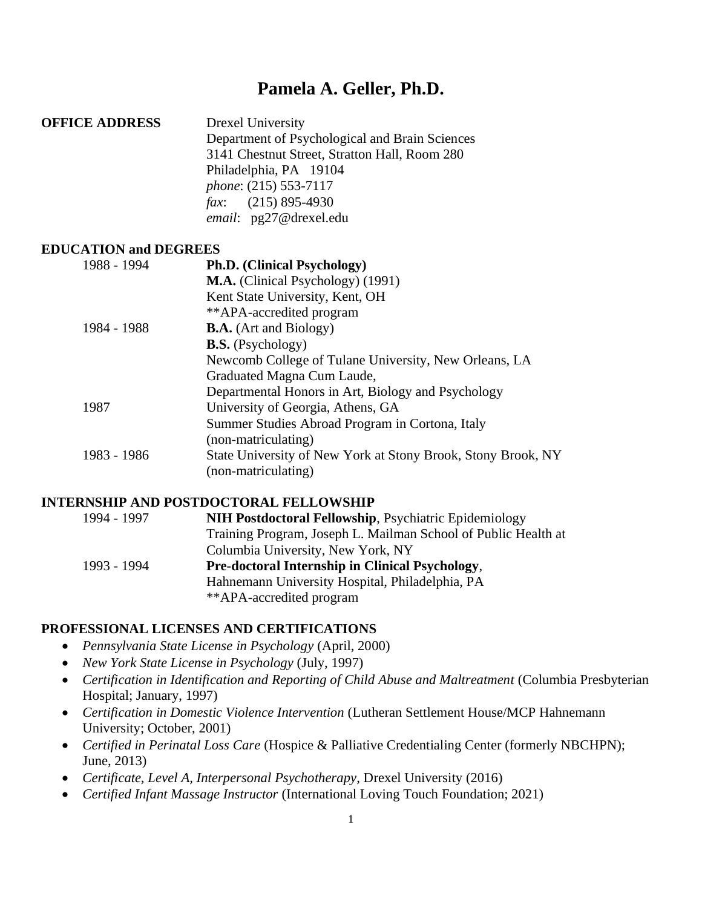# **Pamela A. Geller, Ph.D.**

**OFFICE ADDRESS** Drexel University Department of Psychological and Brain Sciences 3141 Chestnut Street, Stratton Hall, Room 280 Philadelphia, PA 19104 *phone*: (215) 553-7117 *fax*: (215) 895-4930 *email*: pg27@drexel.edu

#### **EDUCATION and DEGREES**

| 1988 - 1994 | Ph.D. (Clinical Psychology)                                  |
|-------------|--------------------------------------------------------------|
|             | <b>M.A.</b> (Clinical Psychology) (1991)                     |
|             | Kent State University, Kent, OH                              |
|             | **APA-accredited program                                     |
| 1984 - 1988 | <b>B.A.</b> (Art and Biology)                                |
|             | <b>B.S.</b> (Psychology)                                     |
|             | Newcomb College of Tulane University, New Orleans, LA        |
|             | Graduated Magna Cum Laude,                                   |
|             | Departmental Honors in Art, Biology and Psychology           |
| 1987        | University of Georgia, Athens, GA                            |
|             | Summer Studies Abroad Program in Cortona, Italy              |
|             | (non-matriculating)                                          |
| 1983 - 1986 | State University of New York at Stony Brook, Stony Brook, NY |
|             | (non-matriculating)                                          |

#### **INTERNSHIP AND POSTDOCTORAL FELLOWSHIP**

| 1994 - 1997 | <b>NIH Postdoctoral Fellowship, Psychiatric Epidemiology</b>   |
|-------------|----------------------------------------------------------------|
|             | Training Program, Joseph L. Mailman School of Public Health at |
|             | Columbia University, New York, NY                              |
| 1993 - 1994 | <b>Pre-doctoral Internship in Clinical Psychology,</b>         |
|             | Hahnemann University Hospital, Philadelphia, PA                |
|             | **APA-accredited program                                       |

## **PROFESSIONAL LICENSES AND CERTIFICATIONS**

- *Pennsylvania State License in Psychology* (April, 2000)
- *New York State License in Psychology* (July, 1997)
- *Certification in Identification and Reporting of Child Abuse and Maltreatment* (Columbia Presbyterian Hospital; January, 1997)
- *Certification in Domestic Violence Intervention* (Lutheran Settlement House/MCP Hahnemann University; October, 2001)
- *Certified in Perinatal Loss Care* (Hospice & Palliative Credentialing Center (formerly NBCHPN); June, 2013)
- *Certificate, Level A, Interpersonal Psychotherapy*, Drexel University (2016)
- *Certified Infant Massage Instructor* (International Loving Touch Foundation; 2021)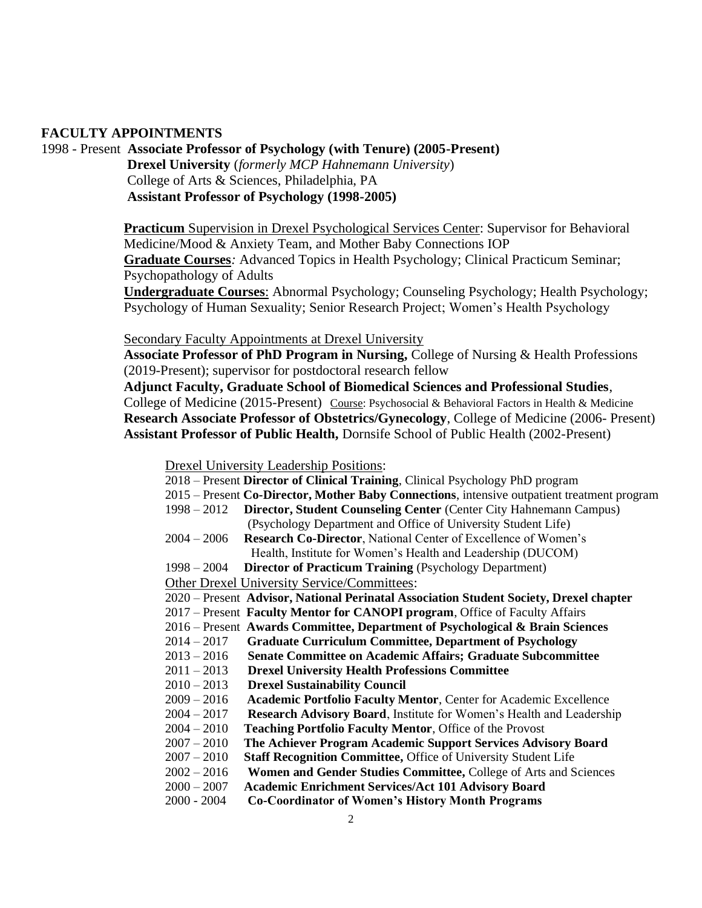#### **FACULTY APPOINTMENTS**

1998 - Present **Associate Professor of Psychology (with Tenure) (2005-Present) Drexel University** (*formerly MCP Hahnemann University*) College of Arts & Sciences, Philadelphia, PA

**Assistant Professor of Psychology (1998-2005)**

**Practicum** Supervision in Drexel Psychological Services Center: Supervisor for Behavioral Medicine/Mood & Anxiety Team, and Mother Baby Connections IOP **Graduate Courses***:* Advanced Topics in Health Psychology; Clinical Practicum Seminar; Psychopathology of Adults

**Undergraduate Courses**: Abnormal Psychology; Counseling Psychology; Health Psychology; Psychology of Human Sexuality; Senior Research Project; Women's Health Psychology

Secondary Faculty Appointments at Drexel University

**Associate Professor of PhD Program in Nursing,** College of Nursing & Health Professions (2019-Present); supervisor for postdoctoral research fellow

 **Adjunct Faculty, Graduate School of Biomedical Sciences and Professional Studies**, College of Medicine (2015-Present) Course: Psychosocial & Behavioral Factors in Health & Medicine **Research Associate Professor of Obstetrics/Gynecology**, College of Medicine (2006- Present) **Assistant Professor of Public Health,** Dornsife School of Public Health (2002-Present)

Drexel University Leadership Positions:

| 2018 – Present Director of Clinical Training, Clinical Psychology PhD program |  |
|-------------------------------------------------------------------------------|--|
|-------------------------------------------------------------------------------|--|

- 2015 Present **Co-Director, Mother Baby Connections**, intensive outpatient treatment program
- 1998 2012 **Director, Student Counseling Center** (Center City Hahnemann Campus) (Psychology Department and Office of University Student Life)
- 2004 2006 **Research Co-Director**, National Center of Excellence of Women's Health, Institute for Women's Health and Leadership (DUCOM)
- 1998 2004 **Director of Practicum Training** (Psychology Department)
- Other Drexel University Service/Committees:
- 2020 Present **Advisor, National Perinatal Association Student Society, Drexel chapter**
- 2017 Present **Faculty Mentor for CANOPI program**, Office of Faculty Affairs
- 2016 Present **Awards Committee, Department of Psychological & Brain Sciences**
- 2014 2017 **Graduate Curriculum Committee, Department of Psychology**
- 2013 2016 **Senate Committee on Academic Affairs; Graduate Subcommittee**
- 2011 2013 **Drexel University Health Professions Committee**
- 2010 2013 **Drexel Sustainability Council**
- 2009 2016 **Academic Portfolio Faculty Mentor**, Center for Academic Excellence
- 2004 2017 **Research Advisory Board**, Institute for Women's Health and Leadership
- 2004 2010 **Teaching Portfolio Faculty Mentor**, Office of the Provost
- 2007 2010 **The Achiever Program Academic Support Services Advisory Board**
- 2007 2010 **Staff Recognition Committee,** Office of University Student Life
- 2002 2016 **Women and Gender Studies Committee,** College of Arts and Sciences
- 2000 2007 **Academic Enrichment Services/Act 101 Advisory Board**
- 2000 2004 **Co-Coordinator of Women's History Month Programs**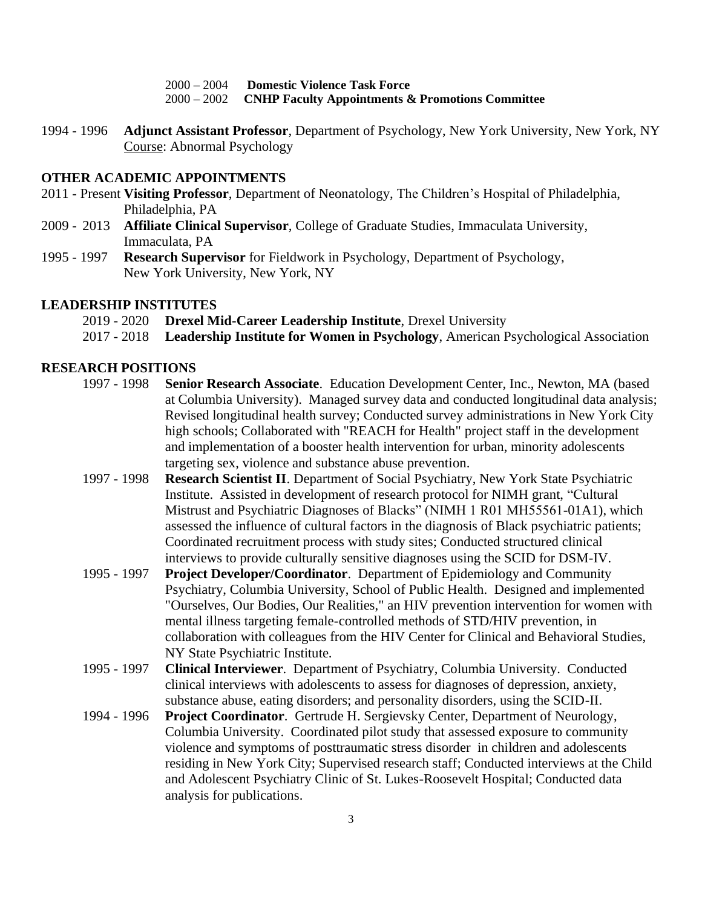2000 – 2004 **Domestic Violence Task Force** 2000 – 2002 **CNHP Faculty Appointments & Promotions Committee**

1994 - 1996 **Adjunct Assistant Professor**, Department of Psychology, New York University, New York, NY Course: Abnormal Psychology

#### **OTHER ACADEMIC APPOINTMENTS**

- 2011 Present **Visiting Professor**, Department of Neonatology, The Children's Hospital of Philadelphia, Philadelphia, PA
- 2009 2013 **Affiliate Clinical Supervisor**, College of Graduate Studies, Immaculata University, Immaculata, PA
- 1995 1997 **Research Supervisor** for Fieldwork in Psychology, Department of Psychology, New York University, New York, NY

#### **LEADERSHIP INSTITUTES**

- 2019 2020 **Drexel Mid-Career Leadership Institute**, Drexel University
- 2017 2018 **Leadership Institute for Women in Psychology**, American Psychological Association

#### **RESEARCH POSITIONS**

- 1997 1998 **Senior Research Associate**. Education Development Center, Inc., Newton, MA (based at Columbia University). Managed survey data and conducted longitudinal data analysis; Revised longitudinal health survey; Conducted survey administrations in New York City high schools; Collaborated with "REACH for Health" project staff in the development and implementation of a booster health intervention for urban, minority adolescents targeting sex, violence and substance abuse prevention.
- 1997 1998 **Research Scientist II**. Department of Social Psychiatry, New York State Psychiatric Institute. Assisted in development of research protocol for NIMH grant, "Cultural Mistrust and Psychiatric Diagnoses of Blacks" (NIMH 1 R01 MH55561-01A1), which assessed the influence of cultural factors in the diagnosis of Black psychiatric patients; Coordinated recruitment process with study sites; Conducted structured clinical interviews to provide culturally sensitive diagnoses using the SCID for DSM-IV.
- 1995 1997 **Project Developer/Coordinator**. Department of Epidemiology and Community Psychiatry, Columbia University, School of Public Health. Designed and implemented "Ourselves, Our Bodies, Our Realities," an HIV prevention intervention for women with mental illness targeting female-controlled methods of STD/HIV prevention, in collaboration with colleagues from the HIV Center for Clinical and Behavioral Studies, NY State Psychiatric Institute.
- 1995 1997 **Clinical Interviewer**. Department of Psychiatry, Columbia University. Conducted clinical interviews with adolescents to assess for diagnoses of depression, anxiety, substance abuse, eating disorders; and personality disorders, using the SCID-II.
- 1994 1996 **Project Coordinator**. Gertrude H. Sergievsky Center, Department of Neurology, Columbia University. Coordinated pilot study that assessed exposure to community violence and symptoms of posttraumatic stress disorder in children and adolescents residing in New York City; Supervised research staff; Conducted interviews at the Child and Adolescent Psychiatry Clinic of St. Lukes-Roosevelt Hospital; Conducted data analysis for publications.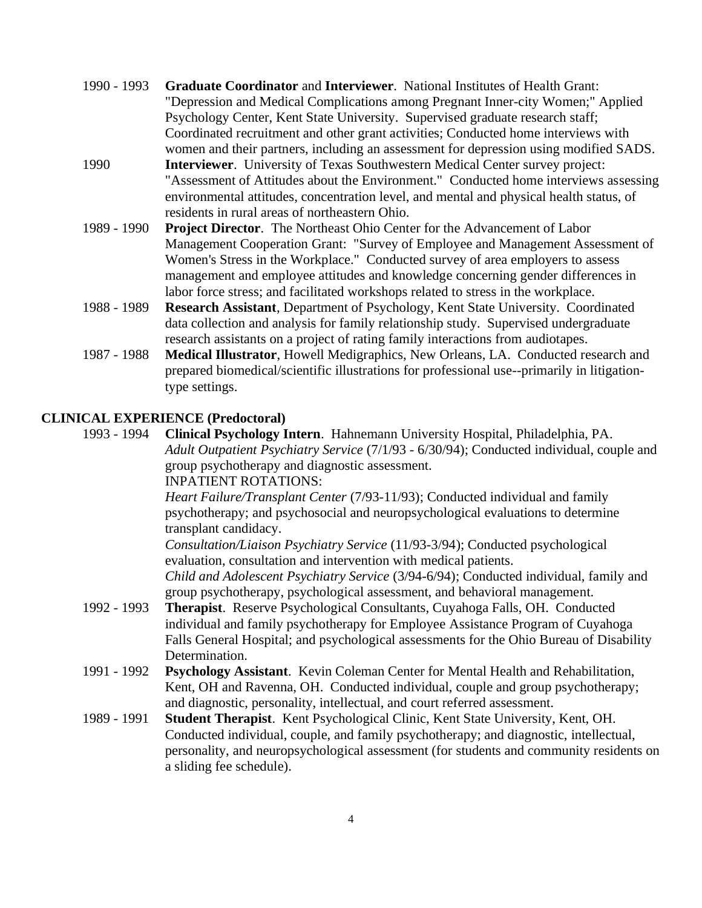- 1990 1993 **Graduate Coordinator** and **Interviewer**. National Institutes of Health Grant: "Depression and Medical Complications among Pregnant Inner-city Women;" Applied Psychology Center, Kent State University. Supervised graduate research staff; Coordinated recruitment and other grant activities; Conducted home interviews with women and their partners, including an assessment for depression using modified SADS.
- 1990 **Interviewer**. University of Texas Southwestern Medical Center survey project: "Assessment of Attitudes about the Environment." Conducted home interviews assessing environmental attitudes, concentration level, and mental and physical health status, of residents in rural areas of northeastern Ohio.
- 1989 1990 **Project Director**. The Northeast Ohio Center for the Advancement of Labor Management Cooperation Grant: "Survey of Employee and Management Assessment of Women's Stress in the Workplace." Conducted survey of area employers to assess management and employee attitudes and knowledge concerning gender differences in labor force stress; and facilitated workshops related to stress in the workplace.
- 1988 1989 **Research Assistant**, Department of Psychology, Kent State University. Coordinated data collection and analysis for family relationship study. Supervised undergraduate research assistants on a project of rating family interactions from audiotapes.
- 1987 1988 **Medical Illustrator**, Howell Medigraphics, New Orleans, LA. Conducted research and prepared biomedical/scientific illustrations for professional use--primarily in litigationtype settings.

#### **CLINICAL EXPERIENCE (Predoctoral)**

1993 - 1994 **Clinical Psychology Intern**. Hahnemann University Hospital, Philadelphia, PA. *Adult Outpatient Psychiatry Service* (7/1/93 - 6/30/94); Conducted individual, couple and group psychotherapy and diagnostic assessment.

INPATIENT ROTATIONS:

*Heart Failure/Transplant Center* (7/93-11/93); Conducted individual and family psychotherapy; and psychosocial and neuropsychological evaluations to determine transplant candidacy.

*Consultation/Liaison Psychiatry Service* (11/93-3/94); Conducted psychological evaluation, consultation and intervention with medical patients. *Child and Adolescent Psychiatry Service* (3/94-6/94); Conducted individual, family and group psychotherapy, psychological assessment, and behavioral management.

- 1992 1993 **Therapist**. Reserve Psychological Consultants, Cuyahoga Falls, OH. Conducted individual and family psychotherapy for Employee Assistance Program of Cuyahoga Falls General Hospital; and psychological assessments for the Ohio Bureau of Disability Determination.
- 1991 1992 **Psychology Assistant**. Kevin Coleman Center for Mental Health and Rehabilitation, Kent, OH and Ravenna, OH. Conducted individual, couple and group psychotherapy; and diagnostic, personality, intellectual, and court referred assessment.
- 1989 1991 **Student Therapist**. Kent Psychological Clinic, Kent State University, Kent, OH. Conducted individual, couple, and family psychotherapy; and diagnostic, intellectual, personality, and neuropsychological assessment (for students and community residents on a sliding fee schedule).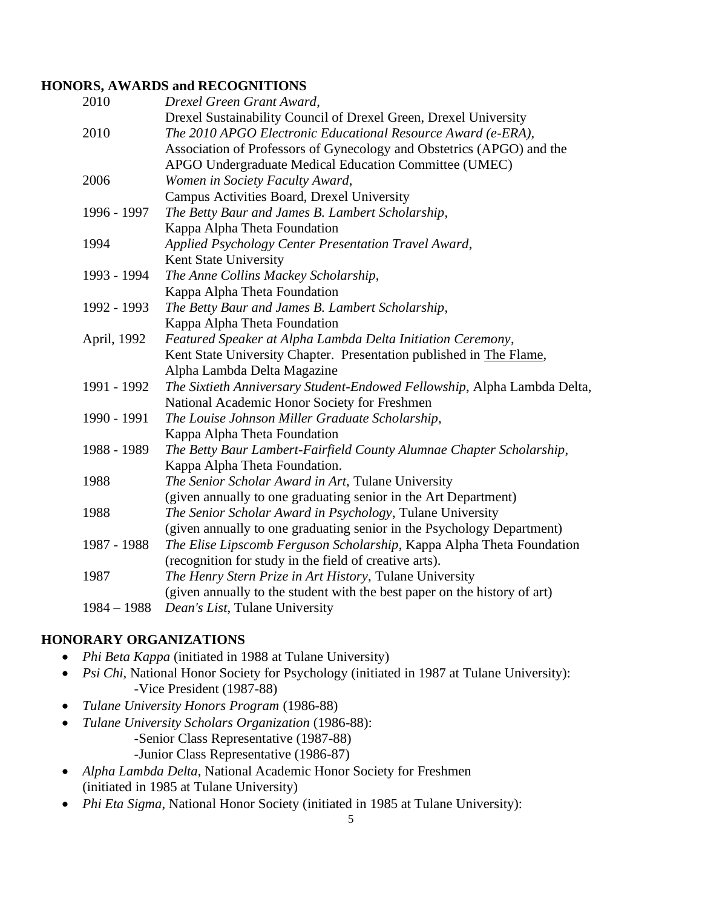# **HONORS, AWARDS and RECOGNITIONS**

| 2010          | Drexel Green Grant Award,                                                 |
|---------------|---------------------------------------------------------------------------|
|               | Drexel Sustainability Council of Drexel Green, Drexel University          |
| 2010          | The 2010 APGO Electronic Educational Resource Award (e-ERA),              |
|               | Association of Professors of Gynecology and Obstetrics (APGO) and the     |
|               | APGO Undergraduate Medical Education Committee (UMEC)                     |
| 2006          | Women in Society Faculty Award,                                           |
|               | Campus Activities Board, Drexel University                                |
| 1996 - 1997   | The Betty Baur and James B. Lambert Scholarship,                          |
|               | Kappa Alpha Theta Foundation                                              |
| 1994          | Applied Psychology Center Presentation Travel Award,                      |
|               | Kent State University                                                     |
| 1993 - 1994   | The Anne Collins Mackey Scholarship,                                      |
|               | Kappa Alpha Theta Foundation                                              |
| 1992 - 1993   | The Betty Baur and James B. Lambert Scholarship,                          |
|               | Kappa Alpha Theta Foundation                                              |
| April, 1992   | Featured Speaker at Alpha Lambda Delta Initiation Ceremony,               |
|               | Kent State University Chapter. Presentation published in The Flame,       |
|               | Alpha Lambda Delta Magazine                                               |
| 1991 - 1992   | The Sixtieth Anniversary Student-Endowed Fellowship, Alpha Lambda Delta,  |
|               | National Academic Honor Society for Freshmen                              |
| 1990 - 1991   | The Louise Johnson Miller Graduate Scholarship,                           |
|               | Kappa Alpha Theta Foundation                                              |
| 1988 - 1989   | The Betty Baur Lambert-Fairfield County Alumnae Chapter Scholarship,      |
|               | Kappa Alpha Theta Foundation.                                             |
| 1988          | The Senior Scholar Award in Art, Tulane University                        |
|               | (given annually to one graduating senior in the Art Department)           |
| 1988          | The Senior Scholar Award in Psychology, Tulane University                 |
|               | (given annually to one graduating senior in the Psychology Department)    |
| 1987 - 1988   | The Elise Lipscomb Ferguson Scholarship, Kappa Alpha Theta Foundation     |
|               | (recognition for study in the field of creative arts).                    |
| 1987          | The Henry Stern Prize in Art History, Tulane University                   |
|               | (given annually to the student with the best paper on the history of art) |
| $1984 - 1988$ | Dean's List, Tulane University                                            |

# **HONORARY ORGANIZATIONS**

- *Phi Beta Kappa* (initiated in 1988 at Tulane University)
- *Psi Chi*, National Honor Society for Psychology (initiated in 1987 at Tulane University): -Vice President (1987-88)
- *Tulane University Honors Program* (1986-88)
- *Tulane University Scholars Organization* (1986-88): -Senior Class Representative (1987-88)
	- -Junior Class Representative (1986-87)
- *Alpha Lambda Delta*, National Academic Honor Society for Freshmen (initiated in 1985 at Tulane University)
- *Phi Eta Sigma*, National Honor Society (initiated in 1985 at Tulane University):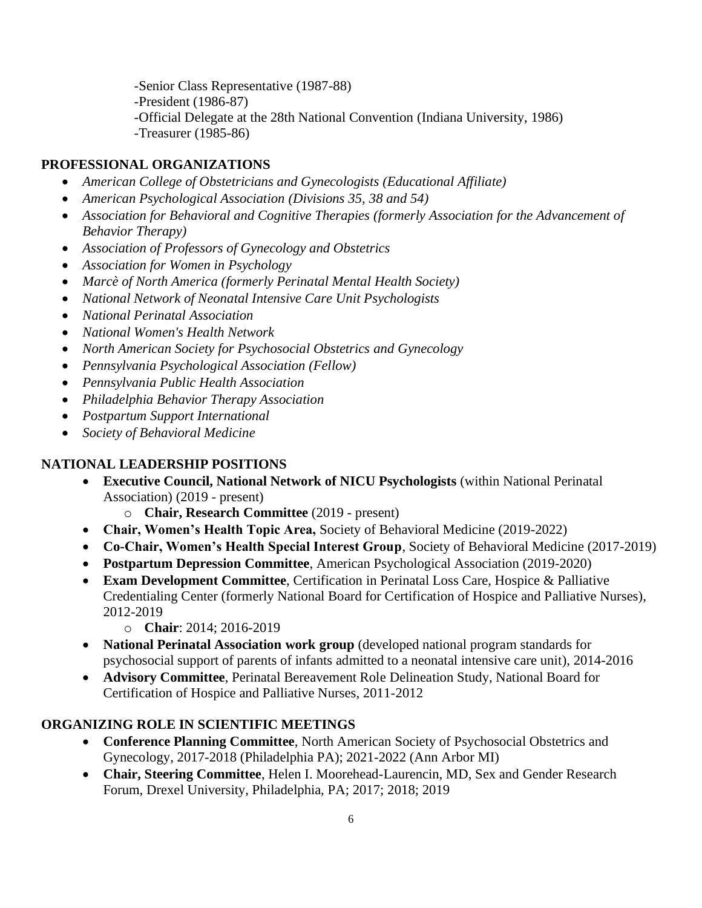-Senior Class Representative (1987-88) -President (1986-87) -Official Delegate at the 28th National Convention (Indiana University, 1986) -Treasurer (1985-86)

## **PROFESSIONAL ORGANIZATIONS**

- *American College of Obstetricians and Gynecologists (Educational Affiliate)*
- *American Psychological Association (Divisions 35, 38 and 54)*
- *Association for Behavioral and Cognitive Therapies (formerly Association for the Advancement of Behavior Therapy)*
- *Association of Professors of Gynecology and Obstetrics*
- *Association for Women in Psychology*
- *Marcè of North America (formerly Perinatal Mental Health Society)*
- *National Network of Neonatal Intensive Care Unit Psychologists*
- *National Perinatal Association*
- *National Women's Health Network*
- *North American Society for Psychosocial Obstetrics and Gynecology*
- *Pennsylvania Psychological Association (Fellow)*
- *Pennsylvania Public Health Association*
- *Philadelphia Behavior Therapy Association*
- *Postpartum Support International*
- *Society of Behavioral Medicine*

#### **NATIONAL LEADERSHIP POSITIONS**

- **Executive Council, National Network of NICU Psychologists** (within National Perinatal Association) (2019 - present)
	- o **Chair, Research Committee** (2019 present)
- **Chair, Women's Health Topic Area,** Society of Behavioral Medicine (2019-2022)
- **Co-Chair, Women's Health Special Interest Group**, Society of Behavioral Medicine (2017-2019)
- **Postpartum Depression Committee**, American Psychological Association (2019-2020)
- **Exam Development Committee**, Certification in Perinatal Loss Care, Hospice & Palliative Credentialing Center (formerly National Board for Certification of Hospice and Palliative Nurses), 2012-2019
	- o **Chair**: 2014; 2016-2019
- **National Perinatal Association work group** (developed national program standards for psychosocial support of parents of infants admitted to a neonatal intensive care unit), 2014-2016
- **Advisory Committee**, Perinatal Bereavement Role Delineation Study, National Board for Certification of Hospice and Palliative Nurses, 2011-2012

#### **ORGANIZING ROLE IN SCIENTIFIC MEETINGS**

- **Conference Planning Committee**, North American Society of Psychosocial Obstetrics and Gynecology, 2017-2018 (Philadelphia PA); 2021-2022 (Ann Arbor MI)
- **Chair, Steering Committee**, Helen I. Moorehead-Laurencin, MD, Sex and Gender Research Forum, Drexel University, Philadelphia, PA; 2017; 2018; 2019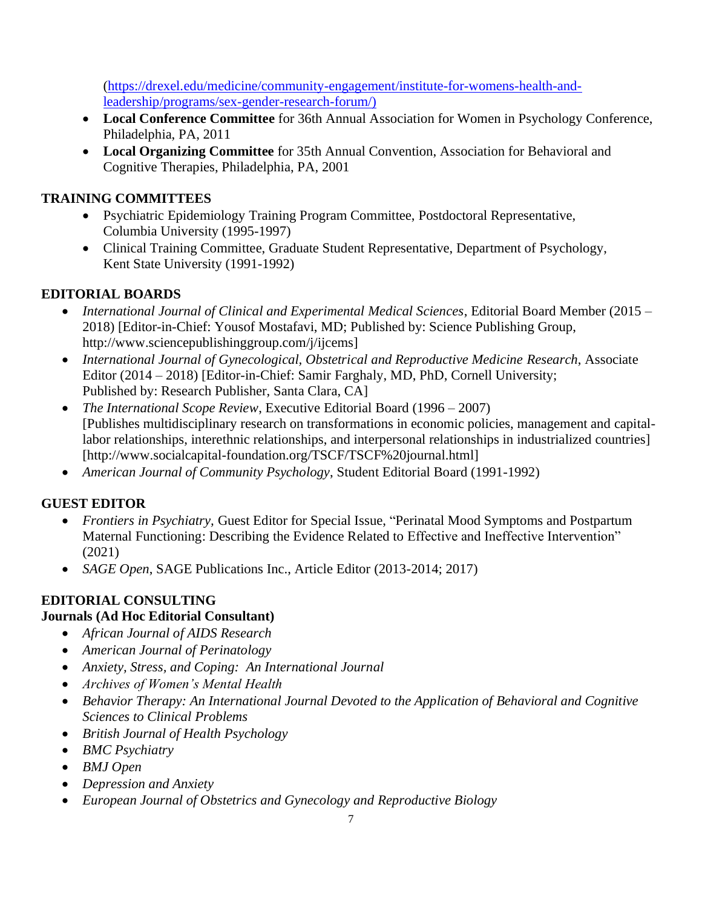[\(https://drexel.edu/medicine/community-engagement/institute-for-womens-health-and](https://drexel.edu/medicine/community-engagement/institute-for-womens-health-and-leadership/programs/sex-gender-research-forum/)[leadership/programs/sex-gender-research-forum/\)](https://drexel.edu/medicine/community-engagement/institute-for-womens-health-and-leadership/programs/sex-gender-research-forum/)

- **Local Conference Committee** for 36th Annual Association for Women in Psychology Conference, Philadelphia, PA, 2011
- **Local Organizing Committee** for 35th Annual Convention, Association for Behavioral and Cognitive Therapies, Philadelphia, PA, 2001

# **TRAINING COMMITTEES**

- Psychiatric Epidemiology Training Program Committee, Postdoctoral Representative, Columbia University (1995-1997)
- Clinical Training Committee, Graduate Student Representative, Department of Psychology, Kent State University (1991-1992)

# **EDITORIAL BOARDS**

- *International Journal of Clinical and Experimental Medical Sciences*, Editorial Board Member (2015 2018) [Editor-in-Chief: Yousof Mostafavi, MD; Published by: Science Publishing Group, http://www.sciencepublishinggroup.com/j/ijcems]
- *International Journal of Gynecological, Obstetrical and Reproductive Medicine Research*, Associate Editor (2014 – 2018) [Editor-in-Chief: Samir Farghaly, MD, PhD, Cornell University; Published by: Research Publisher, Santa Clara, CA]
- *The International Scope Review*, Executive Editorial Board (1996 2007) [Publishes multidisciplinary research on transformations in economic policies, management and capitallabor relationships, interethnic relationships, and interpersonal relationships in industrialized countries] [http://www.socialcapital-foundation.org/TSCF/TSCF%20journal.html]
- *American Journal of Community Psychology*, Student Editorial Board (1991-1992)

# **GUEST EDITOR**

- *Frontiers in Psychiatry,* Guest Editor for Special Issue, "Perinatal Mood Symptoms and Postpartum Maternal Functioning: Describing the Evidence Related to Effective and Ineffective Intervention" (2021)
- *SAGE Open*, SAGE Publications Inc., Article Editor (2013-2014; 2017)

# **EDITORIAL CONSULTING**

# **Journals (Ad Hoc Editorial Consultant)**

- *African Journal of AIDS Research*
- *American Journal of Perinatology*
- *Anxiety, Stress, and Coping: An International Journal*
- *Archives of Women's Mental Health*
- *Behavior Therapy: An International Journal Devoted to the Application of Behavioral and Cognitive Sciences to Clinical Problems*
- *British Journal of Health Psychology*
- *BMC Psychiatry*
- *BMJ Open*
- *Depression and Anxiety*
- *European Journal of Obstetrics and Gynecology and Reproductive Biology*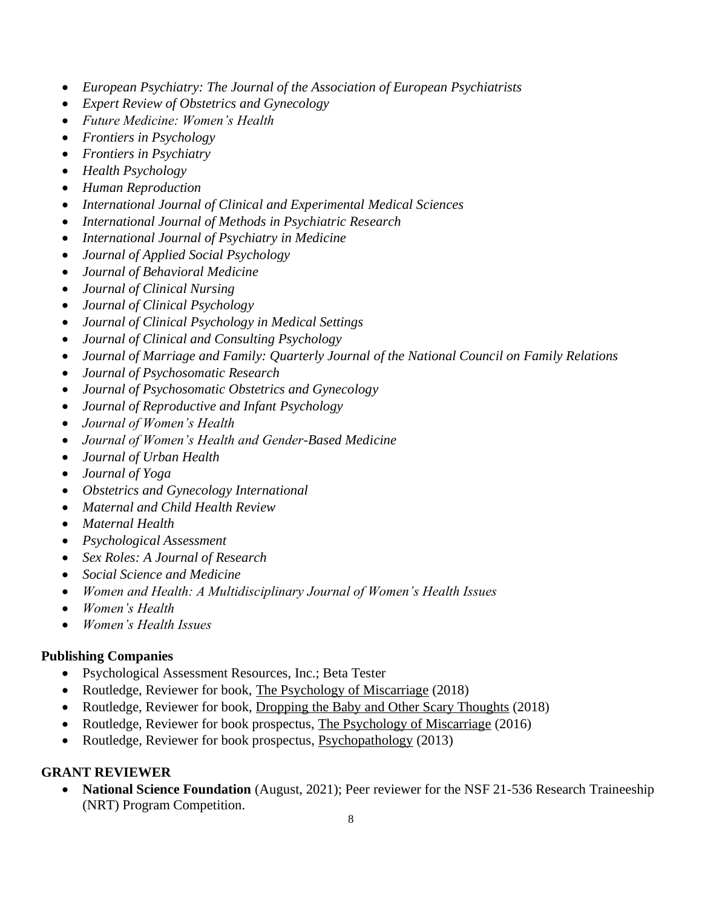- *European Psychiatry: The Journal of the Association of European Psychiatrists*
- *Expert Review of Obstetrics and Gynecology*
- *Future Medicine: Women's Health*
- *Frontiers in Psychology*
- *Frontiers in Psychiatry*
- *Health Psychology*
- *Human Reproduction*
- *International Journal of Clinical and Experimental Medical Sciences*
- *International Journal of Methods in Psychiatric Research*
- *International Journal of Psychiatry in Medicine*
- *Journal of Applied Social Psychology*
- *Journal of Behavioral Medicine*
- *Journal of Clinical Nursing*
- *Journal of Clinical Psychology*
- *Journal of Clinical Psychology in Medical Settings*
- *Journal of Clinical and Consulting Psychology*
- *Journal of Marriage and Family: Quarterly Journal of the National Council on Family Relations*
- *Journal of Psychosomatic Research*
- *Journal of Psychosomatic Obstetrics and Gynecology*
- *Journal of Reproductive and Infant Psychology*
- *Journal of Women's Health*
- *Journal of Women's Health and Gender-Based Medicine*
- *Journal of Urban Health*
- *Journal of Yoga*
- *Obstetrics and Gynecology International*
- *Maternal and Child Health Review*
- *Maternal Health*
- *Psychological Assessment*
- *Sex Roles: A Journal of Research*
- *Social Science and Medicine*
- *Women and Health: A Multidisciplinary Journal of Women's Health Issues*
- *Women's Health*
- *Women's Health Issues*

# **Publishing Companies**

- Psychological Assessment Resources, Inc.; Beta Tester
- Routledge, Reviewer for book, The Psychology of Miscarriage (2018)
- Routledge, Reviewer for book, Dropping the Baby and Other Scary Thoughts (2018)
- Routledge, Reviewer for book prospectus, The Psychology of Miscarriage (2016)
- Routledge, Reviewer for book prospectus, Psychopathology (2013)

# **GRANT REVIEWER**

• **National Science Foundation** (August, 2021); Peer reviewer for the NSF 21-536 Research Traineeship (NRT) Program Competition.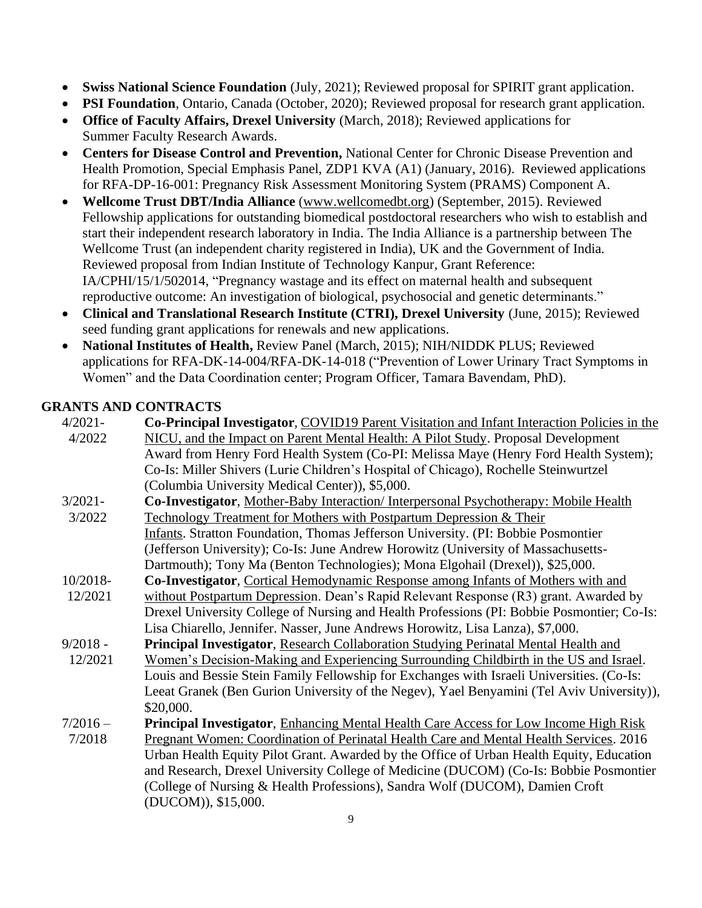- **Swiss National Science Foundation** (July, 2021); Reviewed proposal for SPIRIT grant application.
- **PSI Foundation**, Ontario, Canada (October, 2020); Reviewed proposal for research grant application.
- **Office of Faculty Affairs, Drexel University** (March, 2018); Reviewed applications for Summer Faculty Research Awards.
- **Centers for Disease Control and Prevention,** National Center for Chronic Disease Prevention and Health Promotion, Special Emphasis Panel, ZDP1 KVA (A1) (January, 2016). Reviewed applications for RFA-DP-16-001: Pregnancy Risk Assessment Monitoring System (PRAMS) Component A.
- **Wellcome Trust DBT/India Alliance** [\(www.wellcomedbt.org\)](http://www.wellcomedbt.org/) (September, 2015). Reviewed Fellowship applications for outstanding biomedical postdoctoral researchers who wish to establish and start their independent research laboratory in India. The India Alliance is a partnership between The Wellcome Trust (an independent charity registered in India), UK and the Government of India. Reviewed proposal from Indian Institute of Technology Kanpur, Grant Reference: IA/CPHI/15/1/502014, "Pregnancy wastage and its effect on maternal health and subsequent reproductive outcome: An investigation of biological, psychosocial and genetic determinants."
- **Clinical and Translational Research Institute (CTRI), Drexel University** (June, 2015); Reviewed seed funding grant applications for renewals and new applications.
- **National Institutes of Health,** Review Panel (March, 2015); NIH/NIDDK PLUS; Reviewed applications for RFA-DK-14-004/RFA-DK-14-018 ("Prevention of Lower Urinary Tract Symptoms in Women" and the Data Coordination center; Program Officer, Tamara Bavendam, PhD).

# **GRANTS AND CONTRACTS**

| $4/2021 -$ | Co-Principal Investigator, COVID19 Parent Visitation and Infant Interaction Policies in the |
|------------|---------------------------------------------------------------------------------------------|
| 4/2022     | NICU, and the Impact on Parent Mental Health: A Pilot Study. Proposal Development           |
|            | Award from Henry Ford Health System (Co-PI: Melissa Maye (Henry Ford Health System);        |
|            | Co-Is: Miller Shivers (Lurie Children's Hospital of Chicago), Rochelle Steinwurtzel         |
|            | (Columbia University Medical Center)), \$5,000.                                             |
| $3/2021 -$ | Co-Investigator, Mother-Baby Interaction/Interpersonal Psychotherapy: Mobile Health         |
| 3/2022     | Technology Treatment for Mothers with Postpartum Depression & Their                         |
|            | Infants. Stratton Foundation, Thomas Jefferson University. (PI: Bobbie Posmontier           |
|            | (Jefferson University); Co-Is: June Andrew Horowitz (University of Massachusetts-           |
|            | Dartmouth); Tony Ma (Benton Technologies); Mona Elgohail (Drexel)), \$25,000.               |
| $10/2018-$ | Co-Investigator, Cortical Hemodynamic Response among Infants of Mothers with and            |
| 12/2021    | without Postpartum Depression. Dean's Rapid Relevant Response (R3) grant. Awarded by        |
|            | Drexel University College of Nursing and Health Professions (PI: Bobbie Posmontier; Co-Is:  |
|            | Lisa Chiarello, Jennifer. Nasser, June Andrews Horowitz, Lisa Lanza), \$7,000.              |
| $9/2018 -$ | <b>Principal Investigator, Research Collaboration Studying Perinatal Mental Health and</b>  |
| 12/2021    | Women's Decision-Making and Experiencing Surrounding Childbirth in the US and Israel.       |
|            | Louis and Bessie Stein Family Fellowship for Exchanges with Israeli Universities. (Co-Is:   |
|            | Leeat Granek (Ben Gurion University of the Negev), Yael Benyamini (Tel Aviv University)),   |
|            | \$20,000.                                                                                   |
| $7/2016 -$ | <b>Principal Investigator, Enhancing Mental Health Care Access for Low Income High Risk</b> |
| 7/2018     | Pregnant Women: Coordination of Perinatal Health Care and Mental Health Services. 2016      |
|            | Urban Health Equity Pilot Grant. Awarded by the Office of Urban Health Equity, Education    |
|            | and Research, Drexel University College of Medicine (DUCOM) (Co-Is: Bobbie Posmontier       |
|            | (College of Nursing & Health Professions), Sandra Wolf (DUCOM), Damien Croft                |
|            | (DUCOM)), \$15,000.                                                                         |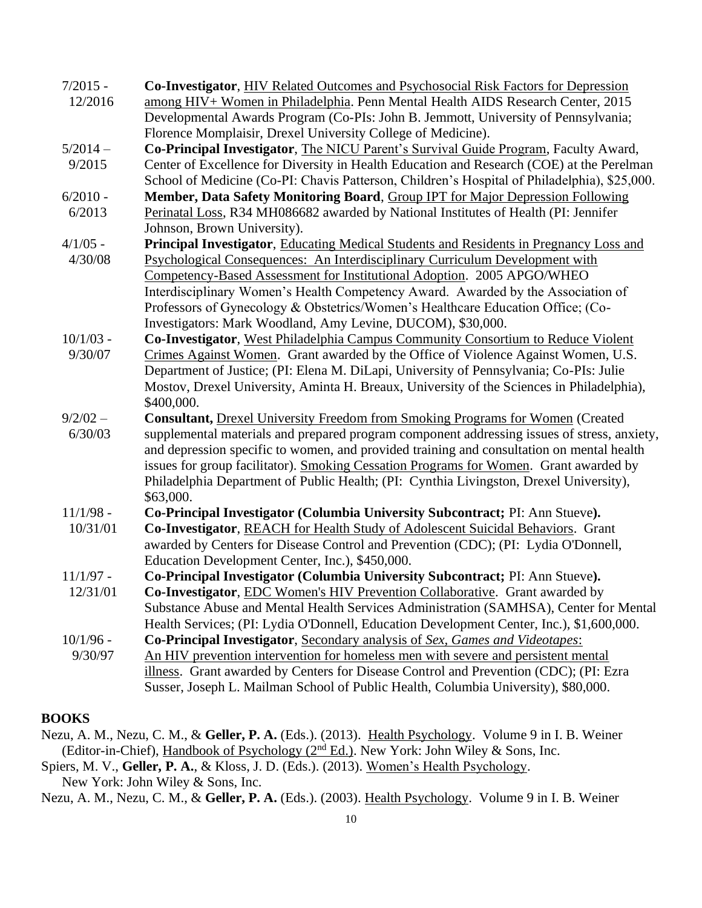| $7/2015 -$<br>12/2016 | Co-Investigator, HIV Related Outcomes and Psychosocial Risk Factors for Depression<br>among HIV+ Women in Philadelphia. Penn Mental Health AIDS Research Center, 2015                     |
|-----------------------|-------------------------------------------------------------------------------------------------------------------------------------------------------------------------------------------|
|                       | Developmental Awards Program (Co-PIs: John B. Jemmott, University of Pennsylvania;                                                                                                        |
|                       | Florence Momplaisir, Drexel University College of Medicine).                                                                                                                              |
| $5/2014-$             | Co-Principal Investigator, The NICU Parent's Survival Guide Program, Faculty Award,                                                                                                       |
| 9/2015                | Center of Excellence for Diversity in Health Education and Research (COE) at the Perelman<br>School of Medicine (Co-PI: Chavis Patterson, Children's Hospital of Philadelphia), \$25,000. |
| $6/2010 -$            | Member, Data Safety Monitoring Board, Group IPT for Major Depression Following                                                                                                            |
| 6/2013                | Perinatal Loss, R34 MH086682 awarded by National Institutes of Health (PI: Jennifer                                                                                                       |
|                       | Johnson, Brown University).                                                                                                                                                               |
| $4/1/05$ -            | Principal Investigator, Educating Medical Students and Residents in Pregnancy Loss and                                                                                                    |
| 4/30/08               | <b>Psychological Consequences: An Interdisciplinary Curriculum Development with</b>                                                                                                       |
|                       | Competency-Based Assessment for Institutional Adoption. 2005 APGO/WHEO                                                                                                                    |
|                       | Interdisciplinary Women's Health Competency Award. Awarded by the Association of                                                                                                          |
|                       | Professors of Gynecology & Obstetrics/Women's Healthcare Education Office; (Co-                                                                                                           |
|                       | Investigators: Mark Woodland, Amy Levine, DUCOM), \$30,000.                                                                                                                               |
| $10/1/03$ -           | Co-Investigator, West Philadelphia Campus Community Consortium to Reduce Violent                                                                                                          |
| 9/30/07               | Crimes Against Women. Grant awarded by the Office of Violence Against Women, U.S.                                                                                                         |
|                       | Department of Justice; (PI: Elena M. DiLapi, University of Pennsylvania; Co-PIs: Julie                                                                                                    |
|                       | Mostov, Drexel University, Aminta H. Breaux, University of the Sciences in Philadelphia),<br>\$400,000.                                                                                   |
| $9/2/02 -$            | <b>Consultant, Drexel University Freedom from Smoking Programs for Women (Created</b>                                                                                                     |
| 6/30/03               | supplemental materials and prepared program component addressing issues of stress, anxiety,                                                                                               |
|                       | and depression specific to women, and provided training and consultation on mental health                                                                                                 |
|                       | issues for group facilitator). Smoking Cessation Programs for Women. Grant awarded by                                                                                                     |
|                       | Philadelphia Department of Public Health; (PI: Cynthia Livingston, Drexel University),                                                                                                    |
|                       | \$63,000.                                                                                                                                                                                 |
| $11/1/98$ -           | Co-Principal Investigator (Columbia University Subcontract; PI: Ann Stueve).                                                                                                              |
| 10/31/01              | Co-Investigator, REACH for Health Study of Adolescent Suicidal Behaviors. Grant                                                                                                           |
|                       | awarded by Centers for Disease Control and Prevention (CDC); (PI: Lydia O'Donnell,                                                                                                        |
|                       | Education Development Center, Inc.), \$450,000.                                                                                                                                           |
| $11/1/97$ -           | Co-Principal Investigator (Columbia University Subcontract; PI: Ann Stueve).                                                                                                              |
| 12/31/01              | <b>Co-Investigator, EDC Women's HIV Prevention Collaborative.</b> Grant awarded by                                                                                                        |
|                       | Substance Abuse and Mental Health Services Administration (SAMHSA), Center for Mental                                                                                                     |
|                       | Health Services; (PI: Lydia O'Donnell, Education Development Center, Inc.), \$1,600,000.                                                                                                  |
| $10/1/96$ -           | Co-Principal Investigator, Secondary analysis of Sex, Games and Videotapes:                                                                                                               |
| 9/30/97               | An HIV prevention intervention for homeless men with severe and persistent mental                                                                                                         |
|                       | illness. Grant awarded by Centers for Disease Control and Prevention (CDC); (PI: Ezra                                                                                                     |
|                       | Susser, Joseph L. Mailman School of Public Health, Columbia University), \$80,000.                                                                                                        |

### **BOOKS**

Nezu, A. M., Nezu, C. M., & **Geller, P. A.** (Eds.). (2013). Health Psychology. Volume 9 in I. B. Weiner (Editor-in-Chief), Handbook of Psychology (2nd Ed.). New York: John Wiley & Sons, Inc.

Spiers, M. V., **Geller, P. A.**, & Kloss, J. D. (Eds.). (2013). Women's Health Psychology. New York: John Wiley & Sons, Inc.

Nezu, A. M., Nezu, C. M., & **Geller, P. A.** (Eds.). (2003). Health Psychology. Volume 9 in I. B. Weiner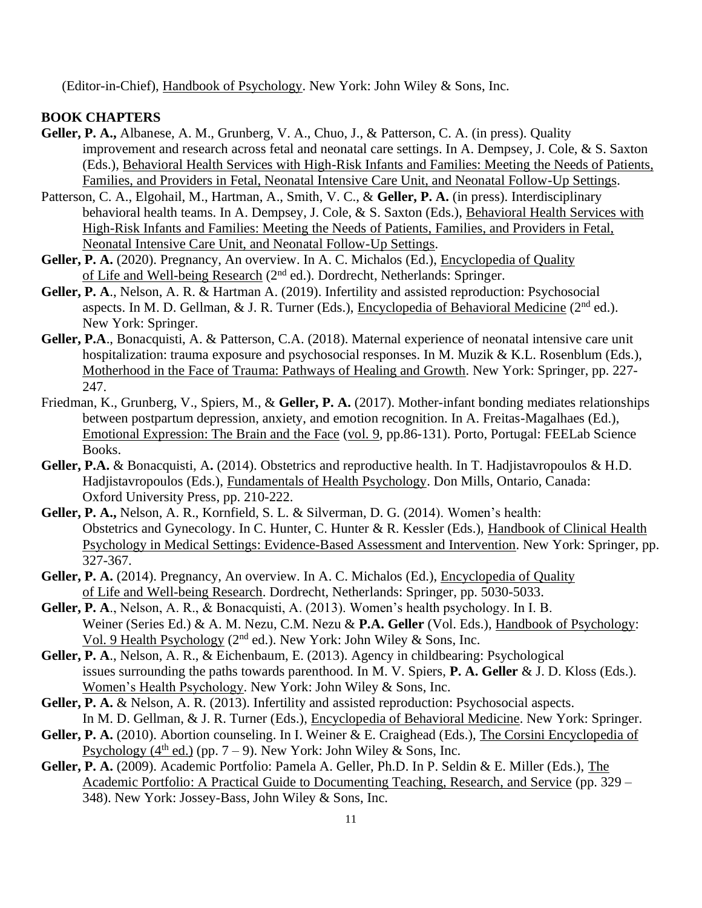(Editor-in-Chief), Handbook of Psychology. New York: John Wiley & Sons, Inc.

#### **BOOK CHAPTERS**

- **Geller, P. A.,** Albanese, A. M., Grunberg, V. A., Chuo, J., & Patterson, C. A. (in press). Quality improvement and research across fetal and neonatal care settings. In A. Dempsey, J. Cole, & S. Saxton (Eds.), Behavioral Health Services with High-Risk Infants and Families: Meeting the Needs of Patients, Families, and Providers in Fetal, Neonatal Intensive Care Unit, and Neonatal Follow-Up Settings.
- Patterson, C. A., Elgohail, M., Hartman, A., Smith, V. C., & **Geller, P. A.** (in press). Interdisciplinary behavioral health teams. In A. Dempsey, J. Cole, & S. Saxton (Eds.), Behavioral Health Services with High-Risk Infants and Families: Meeting the Needs of Patients, Families, and Providers in Fetal, Neonatal Intensive Care Unit, and Neonatal Follow-Up Settings.
- Geller, P. A. (2020). Pregnancy, An overview. In A. C. Michalos (Ed.), Encyclopedia of Quality of Life and Well-being Research (2nd ed.). Dordrecht, Netherlands: Springer.
- **Geller, P. A**., Nelson, A. R. & Hartman A. (2019). Infertility and assisted reproduction: Psychosocial aspects. In M. D. Gellman, & J. R. Turner (Eds.), Encyclopedia of Behavioral Medicine (2nd ed.). New York: Springer.
- **Geller, P.A**., Bonacquisti, A. & Patterson, C.A. (2018). Maternal experience of neonatal intensive care unit hospitalization: trauma exposure and psychosocial responses. In M. Muzik & K.L. Rosenblum (Eds.), Motherhood in the Face of Trauma: Pathways of Healing and Growth. New York: Springer, pp. 227- 247.
- Friedman, K., Grunberg, V., Spiers, M., & **Geller, P. A.** (2017). Mother-infant bonding mediates relationships between postpartum depression, anxiety, and emotion recognition. In A. Freitas-Magalhaes (Ed.), Emotional Expression: The Brain and the Face (vol. 9, pp.86-131). Porto, Portugal: FEELab Science Books.
- **Geller, P.A.** & Bonacquisti, A**.** (2014). Obstetrics and reproductive health. In T. Hadjistavropoulos & H.D. Hadjistavropoulos (Eds.), Fundamentals of Health Psychology. Don Mills, Ontario, Canada: Oxford University Press, pp. 210-222.
- **Geller, P. A.,** Nelson, A. R., Kornfield, S. L. & Silverman, D. G. (2014). Women's health: Obstetrics and Gynecology. In C. Hunter, C. Hunter & R. Kessler (Eds.), Handbook of Clinical Health Psychology in Medical Settings: Evidence-Based Assessment and Intervention. New York: Springer, pp. 327-367.
- Geller, P. A. (2014). Pregnancy, An overview. In A. C. Michalos (Ed.), Encyclopedia of Quality of Life and Well-being Research. Dordrecht, Netherlands: Springer, pp. 5030-5033.
- **Geller, P. A**., Nelson, A. R., & Bonacquisti, A. (2013). Women's health psychology. In I. B. Weiner (Series Ed.) & A. M. Nezu, C.M. Nezu & **P.A. Geller** (Vol. Eds.), Handbook of Psychology: Vol. 9 Health Psychology ( $2<sup>nd</sup>$  ed.). New York: John Wiley & Sons, Inc.
- **Geller, P. A**., Nelson, A. R., & Eichenbaum, E. (2013). Agency in childbearing: Psychological issues surrounding the paths towards parenthood. In M. V. Spiers, **P. A. Geller** & J. D. Kloss (Eds.). Women's Health Psychology. New York: John Wiley & Sons, Inc.
- **Geller, P. A.** & Nelson, A. R. (2013). Infertility and assisted reproduction: Psychosocial aspects. In M. D. Gellman, & J. R. Turner (Eds.), Encyclopedia of Behavioral Medicine. New York: Springer.
- Geller, P. A. (2010). Abortion counseling. In I. Weiner & E. Craighead (Eds.), The Corsini Encyclopedia of Psychology ( $4<sup>th</sup>$  ed.) (pp. 7 – 9). New York: John Wiley & Sons, Inc.
- **Geller, P. A.** (2009). Academic Portfolio: Pamela A. Geller, Ph.D. In P. Seldin & E. Miller (Eds.), The Academic Portfolio: A Practical Guide to Documenting Teaching, Research, and Service (pp. 329 – 348). New York: Jossey-Bass, John Wiley & Sons, Inc.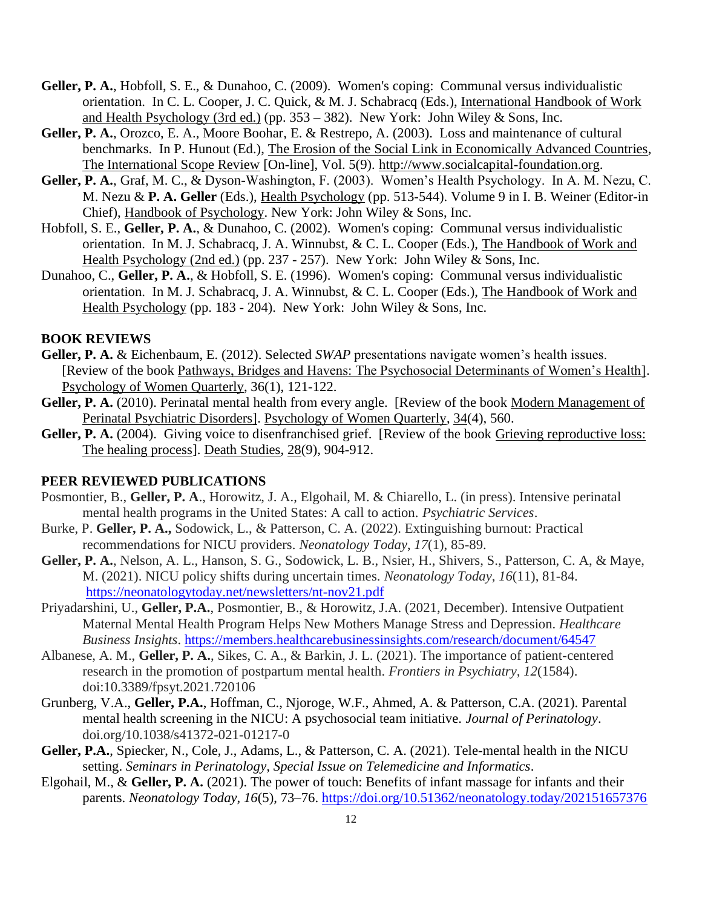- **Geller, P. A.**, Hobfoll, S. E., & Dunahoo, C. (2009). Women's coping: Communal versus individualistic orientation. In C. L. Cooper, J. C. Quick, & M. J. Schabracq (Eds.), International Handbook of Work and Health Psychology (3rd ed.) (pp.  $353 - 382$ ). New York: John Wiley & Sons, Inc.
- **Geller, P. A.**, Orozco, E. A., Moore Boohar, E. & Restrepo, A. (2003). Loss and maintenance of cultural benchmarks. In P. Hunout (Ed.), The [Erosion of the Social Lin](file:///C:/Users/Bobbie/AppData/Local/Microsoft/Windows/Temporary%20Internet%20Files/Content.Outlook/AppData/AppData/Local/Microsoft/Windows/Temporary%20Internet%20Files/Content.Outlook/Local%20Settings/Temporary%20Internet%20Files/AppData/AppData/Local/Microsoft/Windows/Temporary%20Internet%20Files/Content.Outlook/AppData/AppData/Roaming/Microsoft/Word/%20Erosion%20of%20the%20Social%20Li)k in Economically Advanced Countries, The International Scope Review [On-line], Vol. 5(9). [http://www.socialcapital-f](http://www.socialcapital-/)oundation.org.
- **Geller, P. A.**, Graf, M. C., & Dyson-Washington, F. (2003). Women's Health Psychology. In A. M. Nezu, C. M. Nezu & **P. A. Geller** (Eds.), Health Psychology (pp. 513-544). Volume 9 in I. B. Weiner (Editor-in Chief), Handbook of Psychology. New York: John Wiley & Sons, Inc.
- Hobfoll, S. E., **Geller, P. A.**, & Dunahoo, C. (2002). Women's coping: Communal versus individualistic orientation. In M. J. Schabracq, J. A. Winnubst, & C. L. Cooper (Eds.), The Handbook of Work and Health Psychology (2nd ed.) (pp. 237 - 257). New York: John Wiley & Sons, Inc.
- Dunahoo, C., **Geller, P. A.**, & Hobfoll, S. E. (1996). Women's coping: Communal versus individualistic orientation. In M. J. Schabracq, J. A. Winnubst, & C. L. Cooper (Eds.), The Handbook of Work and Health Psychology (pp. 183 - 204). New York: John Wiley & Sons, Inc.

#### **BOOK REVIEWS**

- **Geller, P. A.** & Eichenbaum, E. (2012). Selected *SWAP* presentations navigate women's health issues. [Review of the book Pathways, Bridges and Havens: The Psychosocial Determinants of Women's Health]. Psychology of Women Quarterly, 36(1), 121-122.
- Geller, P. A. (2010). Perinatal mental health from every angle. [Review of the book Modern Management of Perinatal Psychiatric Disorders]. Psychology of Women Quarterly, 34(4), 560.
- Geller, P. A. (2004). Giving voice to disenfranchised grief. [Review of the book Grieving reproductive loss: The healing process]. Death Studies, 28(9), 904-912.

#### **PEER REVIEWED PUBLICATIONS**

- Posmontier, B., **Geller, P. A**., Horowitz, J. A., Elgohail, M. & Chiarello, L. (in press). Intensive perinatal mental health programs in the United States: A call to action. *Psychiatric Services*.
- Burke, P. **Geller, P. A.,** Sodowick, L., & Patterson, C. A. (2022). Extinguishing burnout: Practical recommendations for NICU providers. *Neonatology Today*, *17*(1), 85-89.
- **Geller, P. A.**, Nelson, A. L., Hanson, S. G., Sodowick, L. B., Nsier, H., Shivers, S., Patterson, C. A, & Maye, M. (2021). NICU policy shifts during uncertain times. *Neonatology Today*, *16*(11), 81-84. [https://neonatologytoday.net/newsletters/nt-nov21.pdf](https://nam10.safelinks.protection.outlook.com/?url=https%3A%2F%2Fneonatologytoday.net%2Fnewsletters%2Fnt-nov21.pdf&data=04%7C01%7Cpg27%40drexel.edu%7Ca0e6719f12c14daa0e6608d9d11c9d2f%7C3664e6fa47bd45a696708c4f080f8ca6%7C0%7C1%7C637770743104432432%7CUnknown%7CTWFpbGZsb3d8eyJWIjoiMC4wLjAwMDAiLCJQIjoiV2luMzIiLCJBTiI6Ik1haWwiLCJXVCI6Mn0%3D%7C1000&sdata=VjyCqZeLd0RFULeQSv%2Fs5wYBQZgp%2Bx6%2BVkXUFqOGpkU%3D&reserved=0)
- Priyadarshini, U., **Geller, P.A.**, Posmontier, B., & Horowitz, J.A. (2021, December). Intensive Outpatient Maternal Mental Health Program Helps New Mothers Manage Stress and Depression. *Healthcare Business Insights*. [https://members.healthcarebusinessinsights.com/research/document/64547](https://nam10.safelinks.protection.outlook.com/?url=https%3A%2F%2Fmembers.healthcarebusinessinsights.com%2Fresearch%2Fdocument%2F64547&data=04%7C01%7Cpg27%40drexel.edu%7Ce31c79f513704c4f6dac08d9d51e7be5%7C3664e6fa47bd45a696708c4f080f8ca6%7C0%7C0%7C637775149202830422%7CUnknown%7CTWFpbGZsb3d8eyJWIjoiMC4wLjAwMDAiLCJQIjoiV2luMzIiLCJBTiI6Ik1haWwiLCJXVCI6Mn0%3D%7C3000&sdata=iJKVZ448A%2FdNi7nS30OzTzwFnz8Gx2zo5HOj%2Bx%2FpKEg%3D&reserved=0)
- Albanese, A. M., **Geller, P. A.**, Sikes, C. A., & Barkin, J. L. (2021). The importance of patient-centered research in the promotion of postpartum mental health. *Frontiers in Psychiatry, 12*(1584). doi:10.3389/fpsyt.2021.720106
- Grunberg, V.A., **Geller, P.A.**, Hoffman, C., Njoroge, W.F., Ahmed, A. & Patterson, C.A. (2021). Parental mental health screening in the NICU: A psychosocial team initiative. *Journal of Perinatology*. doi.org/10.1038/s41372-021-01217-0
- **Geller, P.A.**, Spiecker, N., Cole, J., Adams, L., & Patterson, C. A. (2021). Tele-mental health in the NICU setting. *Seminars in Perinatology, Special Issue on Telemedicine and Informatics*.
- Elgohail, M., & **Geller, P. A.** (2021). The power of touch: Benefits of infant massage for infants and their parents. *Neonatology Today*, *16*(5), 73–76. [https://doi.org/10.51362/neonatology.today/202151657376](https://nam10.safelinks.protection.outlook.com/?url=https%3A%2F%2Fdoi.org%2F10.51362%2Fneonatology.today%2F202151657376&data=04%7C01%7Cpg27%40drexel.edu%7Cfaa8eb7c0cd34103979908d9a4d09bd9%7C3664e6fa47bd45a696708c4f080f8ca6%7C0%7C0%7C637722038140602967%7CUnknown%7CTWFpbGZsb3d8eyJWIjoiMC4wLjAwMDAiLCJQIjoiV2luMzIiLCJBTiI6Ik1haWwiLCJXVCI6Mn0%3D%7C1000&sdata=TSOBBWh%2B2eHROzf9EqM%2BgK2QqyMeK%2F9FPO87y6kRzZE%3D&reserved=0)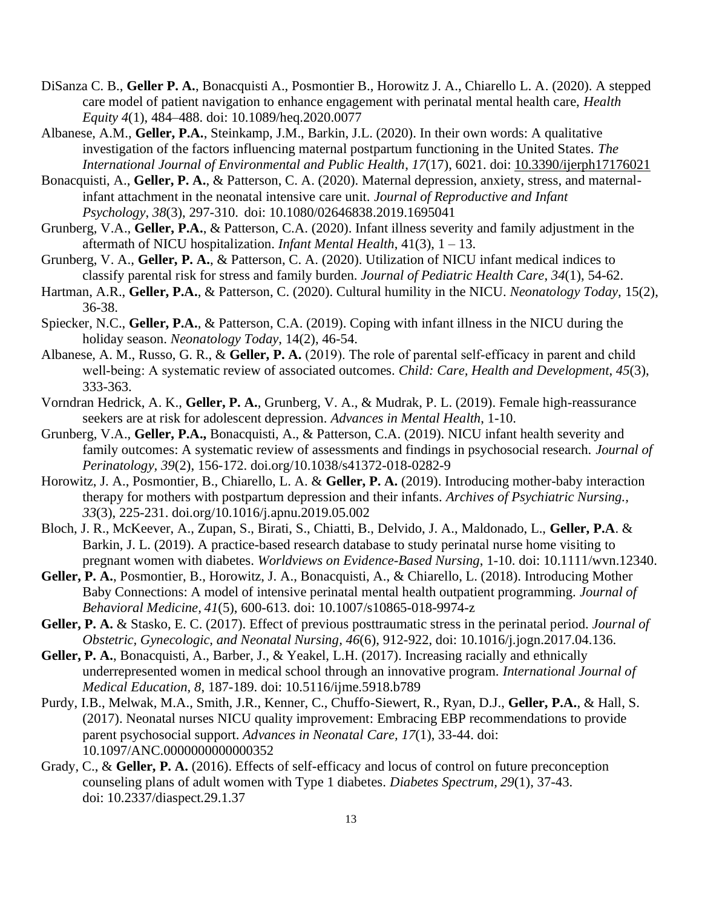- DiSanza C. B., **Geller P. A.**, Bonacquisti A., Posmontier B., Horowitz J. A., Chiarello L. A. (2020). A stepped care model of patient navigation to enhance engagement with perinatal mental health care, *Health Equity 4*(1), 484–488. doi: 10.1089/heq.2020.0077
- Albanese, A.M., **Geller, P.A.**, Steinkamp, J.M., Barkin, J.L. (2020). In their own words: A qualitative investigation of the factors influencing maternal postpartum functioning in the United States. *The International Journal of Environmental and Public Health*, *17*(17), 6021. doi: [10.3390/ijerph17176021](https://doi.org/10.3390/ijerph17176021)
- Bonacquisti, A., **Geller, P. A.**, & Patterson, C. A. (2020). Maternal depression, anxiety, stress, and maternalinfant attachment in the neonatal intensive care unit. *Journal of Reproductive and Infant Psychology*, *38*(3), 297-310. doi: 10.1080/02646838.2019.1695041
- Grunberg, V.A., **Geller, P.A.**, & Patterson, C.A. (2020). Infant illness severity and family adjustment in the aftermath of NICU hospitalization. *Infant Mental Health*, 41(3), 1 – 13.
- Grunberg, V. A., **Geller, P. A.**, & Patterson, C. A. (2020). Utilization of NICU infant medical indices to classify parental risk for stress and family burden. *Journal of Pediatric Health Care*, *34*(1), 54-62.
- Hartman, A.R., **Geller, P.A.**, & Patterson, C. (2020). Cultural humility in the NICU. *Neonatology Today,* 15(2), 36-38.
- Spiecker, N.C., **Geller, P.A.**, & Patterson, C.A. (2019). Coping with infant illness in the NICU during the holiday season. *Neonatology Today*, 14(2), 46-54.
- Albanese, A. M., Russo, G. R., & **Geller, P. A.** (2019). The role of parental self‐efficacy in parent and child well-being: A systematic review of associated outcomes. *Child: Care, Health and Development*, 45(3), 333-363.
- Vorndran Hedrick, A. K., **Geller, P. A.**, Grunberg, V. A., & Mudrak, P. L. (2019). Female high-reassurance seekers are at risk for adolescent depression. *Advances in Mental Health*, 1-10.
- Grunberg, V.A., **Geller, P.A.,** Bonacquisti, A., & Patterson, C.A. (2019). NICU infant health severity and family outcomes: A systematic review of assessments and findings in psychosocial research. *Journal of Perinatology, 39*(2), 156-172. doi.org/10.1038/s41372-018-0282-9
- Horowitz, J. A., Posmontier, B., Chiarello, L. A. & **Geller, P. A.** (2019). Introducing mother-baby interaction therapy for mothers with postpartum depression and their infants. *Archives of Psychiatric Nursing., 33*(3), 225-231. [doi.org/10.1016/j.apnu.2019.05.002](https://doi.org/10.1016/j.apnu.2019.05.002)
- Bloch, J. R., McKeever, A., Zupan, S., Birati, S., Chiatti, B., Delvido, J. A., Maldonado, L., **Geller, P.A**. & Barkin, J. L. (2019). A practice-based research database to study perinatal nurse home visiting to pregnant women with diabetes. *Worldviews on Evidence-Based Nursing*, 1-10. doi: 10.1111/wvn.12340.
- **Geller, P. A.**, Posmontier, B., Horowitz, J. A., Bonacquisti, A., & Chiarello, L. (2018). Introducing Mother Baby Connections: A model of intensive perinatal mental health outpatient programming. *Journal of Behavioral Medicine, 41*(5), 600-613. doi: 10.1007/s10865-018-9974-z
- **Geller, P. A.** & Stasko, E. C. (2017). Effect of previous posttraumatic stress in the perinatal period. *Journal of Obstetric, Gynecologic, and Neonatal Nursing, 46*(6), 912-922, doi: 10.1016/j.jogn.2017.04.136.
- **Geller, P. A.**, Bonacquisti, A., Barber, J., & Yeakel, L.H. (2017). Increasing racially and ethnically underrepresented women in medical school through an innovative program. *International Journal of Medical Education, 8*, 187-189. doi: 10.5116/ijme.5918.b789
- Purdy, I.B., Melwak, M.A., Smith, J.R., Kenner, C., Chuffo-Siewert, R., Ryan, D.J., **Geller, P.A.**, & Hall, S. (2017). Neonatal nurses NICU quality improvement: Embracing EBP recommendations to provide parent psychosocial support. *Advances in Neonatal Care, 17*(1), 33-44. doi: 10.1097/ANC.0000000000000352
- Grady, C., & **Geller, P. A.** (2016). Effects of self-efficacy and locus of control on future preconception counseling plans of adult women with Type 1 diabetes. *Diabetes Spectrum, 29*(1), 37-43. doi: 10.2337/diaspect.29.1.37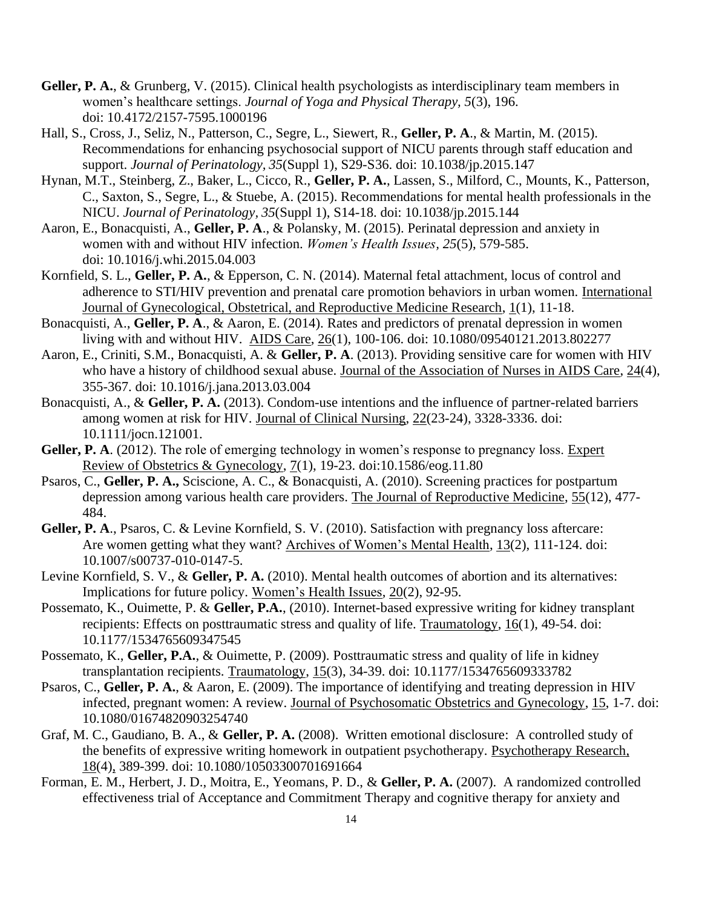- **Geller, P. A.**, & Grunberg, V. (2015). Clinical health psychologists as interdisciplinary team members in women's healthcare settings. *Journal of Yoga and Physical Therapy, 5*(3), 196. doi: 10.4172/2157-7595.1000196
- Hall, S., Cross, J., Seliz, N., Patterson, C., Segre, L., Siewert, R., **Geller, P. A**., & Martin, M. (2015). Recommendations for enhancing psychosocial support of NICU parents through staff education and support. *Journal of Perinatology, 35*(Suppl 1), S29-S36. doi: 10.1038/jp.2015.147
- Hynan, M.T., Steinberg, Z., Baker, L., Cicco, R., **Geller, P. A.**, Lassen, S., Milford, C., Mounts, K., Patterson, C., Saxton, S., Segre, L., & Stuebe, A. (2015). Recommendations for mental health professionals in the NICU. *Journal of Perinatology, 35*(Suppl 1), S14-18. doi: 10.1038/jp.2015.144
- Aaron, E., Bonacquisti, A., **Geller, P. A**., & Polansky, M. (2015). Perinatal depression and anxiety in women with and without HIV infection. *Women's Health Issues, 25*(5), 579-585. doi: 10.1016/j.whi.2015.04.003
- Kornfield, S. L., **Geller, P. A.**, & Epperson, C. N. (2014). Maternal fetal attachment, locus of control and adherence to STI/HIV prevention and prenatal care promotion behaviors in urban women. International Journal of Gynecological, Obstetrical, and Reproductive Medicine Research, 1(1), 11-18.
- Bonacquisti, A., **Geller, P. A**., & Aaron, E. (2014). Rates and predictors of prenatal depression in women living with and without HIV. AIDS Care, 26(1), 100-106. doi: 10.1080/09540121.2013.802277
- Aaron, E., Criniti, S.M., Bonacquisti, A. & **Geller, P. A**. (2013). Providing sensitive care for women with HIV who have a history of childhood sexual abuse. Journal of the Association of Nurses in AIDS Care, 24(4), 355-367. doi: 10.1016/j.jana.2013.03.004
- Bonacquisti, A., & **Geller, P. A.** (2013). Condom-use intentions and the influence of partner-related barriers among women at risk for HIV. Journal of Clinical Nursing, 22(23-24), 3328-3336. doi: 10.1111/jocn.121001.
- Geller, P. A. (2012). The role of emerging technology in women's response to pregnancy loss. Expert Review of Obstetrics & Gynecology, 7(1), 19-23. doi:10.1586/eog.11.80
- Psaros, C., **Geller, P. A.,** Sciscione, A. C., & Bonacquisti, A. (2010). Screening practices for postpartum depression among various health care providers. The Journal of Reproductive Medicine, 55(12), 477- 484.
- Geller, P. A., Psaros, C. & Levine Kornfield, S. V. (2010). Satisfaction with pregnancy loss aftercare: Are women getting what they want? Archives of Women's Mental Health, 13(2), 111-124. doi: 10.1007/s00737-010-0147-5.
- Levine Kornfield, S. V., & **Geller, P. A.** (2010). Mental health outcomes of abortion and its alternatives: Implications for future policy. Women's Health Issues, 20(2), 92-95.
- Possemato, K., Ouimette, P. & **Geller, P.A.**, (2010). Internet-based expressive writing for kidney transplant recipients: Effects on posttraumatic stress and quality of life. Traumatology, 16(1), 49-54. doi: 10.1177/1534765609347545
- Possemato, K., **Geller, P.A.**, & Ouimette, P. (2009). Posttraumatic stress and quality of life in kidney transplantation recipients. Traumatology, 15(3), 34-39. doi: 10.1177/1534765609333782
- Psaros, C., **Geller, P. A.**, & Aaron, E. (2009). The importance of identifying and treating depression in HIV infected, pregnant women: A review. Journal of Psychosomatic Obstetrics and Gynecology, 15, 1-7. doi: 10.1080/01674820903254740
- Graf, M. C., Gaudiano, B. A., & **Geller, P. A.** (2008).Written emotional disclosure: A controlled study of the benefits of expressive writing homework in outpatient psychotherapy. Psychotherapy Research, 18(4), 389-399. doi: 10.1080/10503300701691664
- Forman, E. M., Herbert, J. D., Moitra, E., Yeomans, P. D., & **Geller, P. A.** (2007). A randomized controlled effectiveness trial of Acceptance and Commitment Therapy and cognitive therapy for anxiety and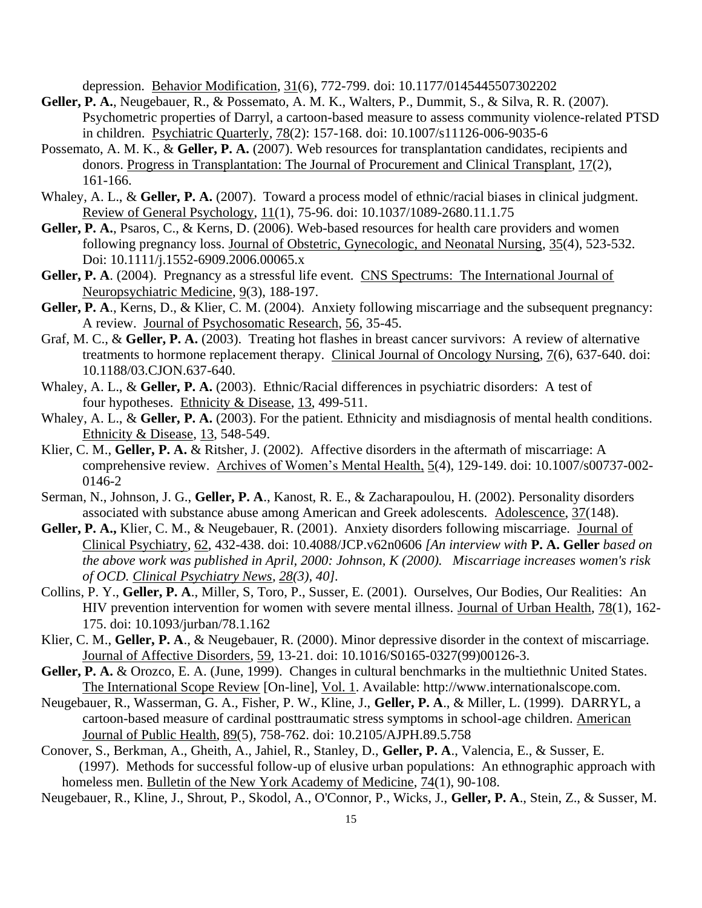depression. Behavior Modification, 31(6), 772-799. doi: 10.1177/0145445507302202

- **Geller, P. A.**, Neugebauer, R., & Possemato, A. M. K., Walters, P., Dummit, S., & Silva, R. R. (2007). Psychometric properties of Darryl, a cartoon-based measure to assess community violence-related PTSD in children. Psychiatric Quarterly, 78(2): 157-168. doi: 10.1007/s11126-006-9035-6
- Possemato, A. M. K., & Geller, P. A. (2007). Web resources for transplantation candidates, recipients and donors. Progress in Transplantation: The Journal of Procurement and Clinical Transplant, 17(2), 161-166.
- Whaley, A. L., & Geller, P. A. (2007). Toward a process model of ethnic/racial biases in clinical judgment. Review of General Psychology, 11(1), 75-96. doi: 10.1037/1089-2680.11.1.75
- **Geller, P. A.**, Psaros, C., & Kerns, D. (2006). Web-based resources for health care providers and women following pregnancy loss. Journal of Obstetric, Gynecologic, and Neonatal Nursing, 35(4), 523-532. Doi: 10.1111/j.1552-6909.2006.00065.x
- Geller, P. A. (2004). Pregnancy as a stressful life event. CNS Spectrums: The International Journal of Neuropsychiatric Medicine, 9(3), 188-197.
- **Geller, P. A**., Kerns, D., & Klier, C. M. (2004). Anxiety following miscarriage and the subsequent pregnancy: A review. Journal of Psychosomatic Research, 56, 35-45.
- Graf, M. C., & **Geller, P. A.** (2003). Treating hot flashes in breast cancer survivors: A review of alternative treatments to hormone replacement therapy. Clinical Journal of Oncology Nursing, 7(6), 637-640. doi: 10.1188/03.CJON.637-640.
- Whaley, A. L., & **Geller, P. A.** (2003). Ethnic/Racial differences in psychiatric disorders: A test of four hypotheses. Ethnicity & Disease, 13, 499-511.
- Whaley, A. L., & **Geller, P. A.** (2003). For the patient. Ethnicity and misdiagnosis of mental health conditions. Ethnicity & Disease, 13, 548-549.
- Klier, C. M., **Geller, P. A.** & Ritsher, J. (2002). Affective disorders in the aftermath of miscarriage: A comprehensive review. Archives of Women's Mental Health, 5(4), 129-149. doi: 10.1007/s00737-002- 0146-2
- Serman, N., Johnson, J. G., **Geller, P. A**., Kanost, R. E., & Zacharapoulou, H. (2002). Personality disorders associated with substance abuse among American and Greek adolescents. Adolescence, 37(148).
- **Geller, P. A.,** Klier, C. M., & Neugebauer, R. (2001). Anxiety disorders following miscarriage. Journal of Clinical Psychiatry, 62, 432-438. doi: 10.4088/JCP.v62n0606 *[An interview with* **P. A. Geller** *based on the above work was published in April, 2000: Johnson, K (2000). Miscarriage increases women's risk of OCD. Clinical Psychiatry News, 28(3), 40].*
- Collins, P. Y., **Geller, P. A**., Miller, S, Toro, P., Susser, E. (2001). Ourselves, Our Bodies, Our Realities: An HIV prevention intervention for women with severe mental illness. Journal of Urban Health, 78(1), 162- 175. doi: 10.1093/jurban/78.1.162
- Klier, C. M., **Geller, P. A**., & Neugebauer, R. (2000). Minor depressive disorder in the context of miscarriage. Journal of Affective Disorders, 59, 13-21. doi: 10.1016/S0165-0327(99)00126-3.
- **Geller, P. A.** & Orozco, E. A. (June, 1999). Changes in cultural benchmarks in the multiethnic United States. The International Scope Review [On-line], Vol. 1. Available: http://www.internationalscope.com.
- Neugebauer, R., Wasserman, G. A., Fisher, P. W., Kline, J., **Geller, P. A**., & Miller, L. (1999). DARRYL, a cartoon-based measure of cardinal posttraumatic stress symptoms in school-age children. American Journal of Public Health, 89(5), 758-762. doi: 10.2105/AJPH.89.5.758
- Conover, S., Berkman, A., Gheith, A., Jahiel, R., Stanley, D., **Geller, P. A**., Valencia, E., & Susser, E. (1997). Methods for successful follow-up of elusive urban populations: An ethnographic approach with homeless men. Bulletin of the New York Academy of Medicine, 74(1), 90-108.
- Neugebauer, R., Kline, J., Shrout, P., Skodol, A., O'Connor, P., Wicks, J., **Geller, P. A**., Stein, Z., & Susser, M.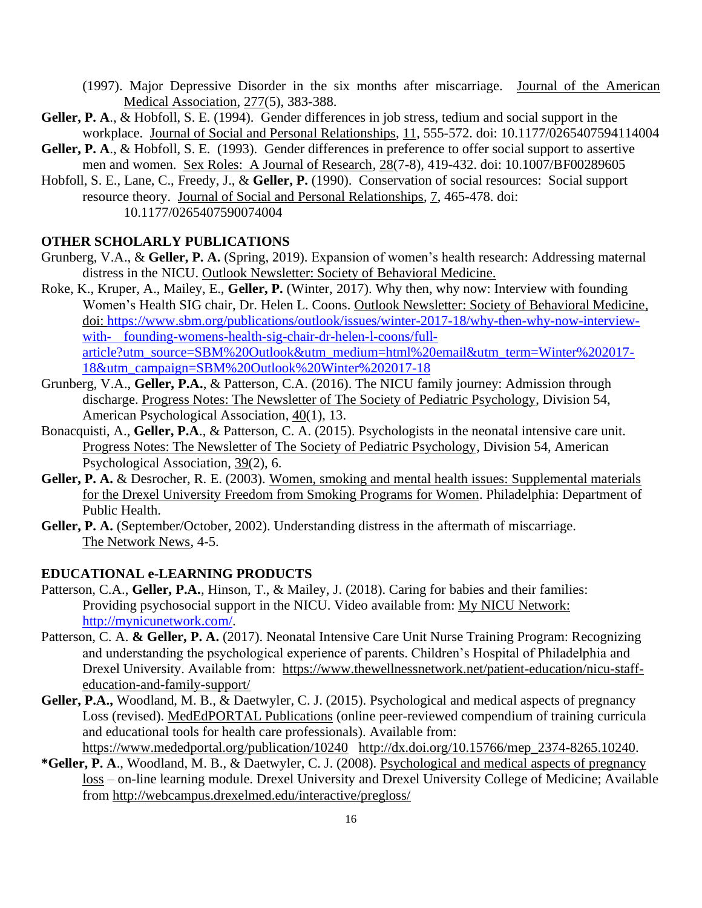(1997). Major Depressive Disorder in the six months after miscarriage. Journal of the American Medical Association, 277(5), 383-388.

- **Geller, P. A**., & Hobfoll, S. E. (1994). Gender differences in job stress, tedium and social support in the workplace. Journal of Social and Personal Relationships, 11, 555-572. doi: 10.1177/0265407594114004
- Geller, P. A., & Hobfoll, S. E. (1993). Gender differences in preference to offer social support to assertive men and women. Sex Roles: A Journal of Research, 28(7-8), 419-432. doi: 10.1007/BF00289605
- Hobfoll, S. E., Lane, C., Freedy, J., & **Geller, P.** (1990). Conservation of social resources: Social support resource theory. Journal of Social and Personal Relationships, 7, 465-478. doi: 10.1177/0265407590074004

#### **OTHER SCHOLARLY PUBLICATIONS**

- Grunberg, V.A., & **Geller, P. A.** (Spring, 2019). Expansion of women's health research: Addressing maternal distress in the NICU. Outlook Newsletter: Society of Behavioral Medicine.
- Roke, K., Kruper, A., Mailey, E., **Geller, P.** (Winter, 2017). Why then, why now: Interview with founding Women's Health SIG chair, Dr. Helen L. Coons. Outlook Newsletter: Society of Behavioral Medicine, doi: [https://www.sbm.org/publications/outlook/issues/winter-2017-18/why-then-why-now-interview](https://www.sbm.org/publications/outlook/issues/winter-2017-18/why-then-why-now-interview-with-%09founding-womens-health-sig-chair-dr-helen-l-coons/full-article?utm_source=SBM%20Outlook&utm_medium=html%20email&utm_term=Winter%202017-18&utm_campaign=SBM%20Outlook%20Winter%202017-18)with- [founding-womens-health-sig-chair-dr-helen-l-coons/full](https://www.sbm.org/publications/outlook/issues/winter-2017-18/why-then-why-now-interview-with-%09founding-womens-health-sig-chair-dr-helen-l-coons/full-article?utm_source=SBM%20Outlook&utm_medium=html%20email&utm_term=Winter%202017-18&utm_campaign=SBM%20Outlook%20Winter%202017-18)[article?utm\\_source=SBM%20Outlook&utm\\_medium=html%20email&utm\\_term=Winter%202017-](https://www.sbm.org/publications/outlook/issues/winter-2017-18/why-then-why-now-interview-with-%09founding-womens-health-sig-chair-dr-helen-l-coons/full-article?utm_source=SBM%20Outlook&utm_medium=html%20email&utm_term=Winter%202017-18&utm_campaign=SBM%20Outlook%20Winter%202017-18) [18&utm\\_campaign=SBM%20Outlook%20Winter%202017-18](https://www.sbm.org/publications/outlook/issues/winter-2017-18/why-then-why-now-interview-with-%09founding-womens-health-sig-chair-dr-helen-l-coons/full-article?utm_source=SBM%20Outlook&utm_medium=html%20email&utm_term=Winter%202017-18&utm_campaign=SBM%20Outlook%20Winter%202017-18)
- Grunberg, V.A., **Geller, P.A.**, & Patterson, C.A. (2016). The NICU family journey: Admission through discharge. Progress Notes: The Newsletter of The Society of Pediatric Psychology, Division 54, American Psychological Association, 40(1), 13.
- Bonacquisti, A., **Geller, P.A**., & Patterson, C. A. (2015). Psychologists in the neonatal intensive care unit. Progress Notes: The Newsletter of The Society of Pediatric Psychology, Division 54, American Psychological Association, 39(2), 6.
- Geller, P. A. & Desrocher, R. E. (2003). Women, smoking and mental health issues: Supplemental materials for the Drexel University Freedom from Smoking Programs for Women. Philadelphia: Department of Public Health.
- **Geller, P. A.** (September/October, 2002). Understanding distress in the aftermath of miscarriage. The Network News, 4-5.

#### **EDUCATIONAL e-LEARNING PRODUCTS**

- Patterson, C.A., **Geller, P.A.**, Hinson, T., & Mailey, J. (2018). Caring for babies and their families: Providing psychosocial support in the NICU. Video available from: My NICU Network: [http://mynicunetwork.com/.](http://mynicunetwork.com/)
- Patterson, C. A. & Geller, P. A. (2017). Neonatal Intensive Care Unit Nurse Training Program: Recognizing and understanding the psychological experience of parents. Children's Hospital of Philadelphia and Drexel University. Available fro[m: https://www.thewellnessnetwork.net/patient-education/nicu-staff](file:///C:/Users/pg27/Documents/%20%20https/www.thewellnessnetwork.net/patient-education/nicu-staff-education-and-family-support/)[education-and-family-support/](file:///C:/Users/pg27/Documents/%20%20https/www.thewellnessnetwork.net/patient-education/nicu-staff-education-and-family-support/)
- **Geller, P.A.,** Woodland, M. B., & Daetwyler, C. J. (2015). Psychological and medical aspects of pregnancy Loss (revised). MedEdPORTAL Publications (online peer-reviewed compendium of training curricula and educational tools for health care professionals). Available from: <https://www.mededportal.org/publication/10240>http://dx.doi.org/10.15766/mep 2374-8265.10240.
- **\*Geller, P. A**., Woodland, M. B., & Daetwyler, C. J. (2008). Psychological and medical aspects of pregnancy loss – on-line learning module. Drexel University and Drexel University College of Medicine; Available from<http://webcampus.drexelmed.edu/interactive/pregloss/>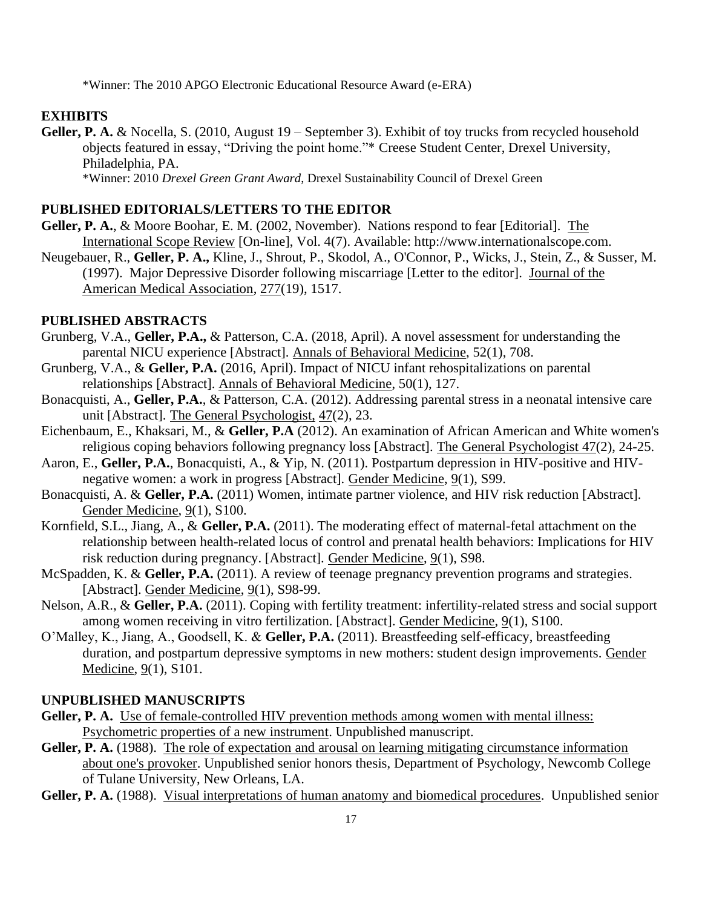\*Winner: The 2010 APGO Electronic Educational Resource Award (e-ERA)

#### **EXHIBITS**

**Geller, P. A.** & Nocella, S. (2010, August 19 – September 3). Exhibit of toy trucks from recycled household objects featured in essay, "Driving the point home."\* Creese Student Center, Drexel University, Philadelphia, PA. \*Winner: 2010 *Drexel Green Grant Award*, Drexel Sustainability Council of Drexel Green

#### **PUBLISHED EDITORIALS/LETTERS TO THE EDITOR**

- **Geller, P. A.**, & Moore Boohar, E. M. (2002, November). Nations respond to fear [Editorial]. The International Scope Review [On-line], Vol. 4(7). Available: http://www.internationalscope.com.
- Neugebauer, R., **Geller, P. A.,** Kline, J., Shrout, P., Skodol, A., O'Connor, P., Wicks, J., Stein, Z., & Susser, M. (1997). Major Depressive Disorder following miscarriage [Letter to the editor]. Journal of the American Medical Association, 277(19), 1517.

#### **PUBLISHED ABSTRACTS**

- Grunberg, V.A., **Geller, P.A.,** & Patterson, C.A. (2018, April). A novel assessment for understanding the parental NICU experience [Abstract]. Annals of Behavioral Medicine, 52(1), 708.
- Grunberg, V.A., & **Geller, P.A.** (2016, April). Impact of NICU infant rehospitalizations on parental relationships [Abstract]. Annals of Behavioral Medicine, 50(1), 127.
- Bonacquisti, A., **Geller, P.A.**, & Patterson, C.A. (2012). Addressing parental stress in a neonatal intensive care unit [Abstract]. The General Psychologist, 47(2), 23.
- Eichenbaum, E., Khaksari, M., & **Geller, P.A** (2012). An examination of African American and White women's religious coping behaviors following pregnancy loss [Abstract]. The General Psychologist 47(2), 24-25.
- Aaron, E., **Geller, P.A.**, Bonacquisti, A., & Yip, N. (2011). Postpartum depression in HIV-positive and HIVnegative women: a work in progress [Abstract]. Gender Medicine, 9(1), S99.
- Bonacquisti, A. & **Geller, P.A.** (2011) Women, intimate partner violence, and HIV risk reduction [Abstract]. Gender Medicine, 9(1), S100.
- Kornfield, S.L., Jiang, A., & **Geller, P.A.** (2011). The moderating effect of maternal-fetal attachment on the relationship between health-related locus of control and prenatal health behaviors: Implications for HIV risk reduction during pregnancy. [Abstract]. Gender Medicine, 9(1), S98.
- McSpadden, K. & **Geller, P.A.** (2011). A review of teenage pregnancy prevention programs and strategies. [Abstract]. Gender Medicine, 9(1), S98-99.
- Nelson, A.R., & **Geller, P.A.** (2011). Coping with fertility treatment: infertility-related stress and social support among women receiving in vitro fertilization. [Abstract]. Gender Medicine, 9(1), S100.
- O'Malley, K., Jiang, A., Goodsell, K. & **Geller, P.A.** (2011). Breastfeeding self-efficacy, breastfeeding duration, and postpartum depressive symptoms in new mothers: student design improvements. Gender Medicine, 9(1), S101.

#### **UNPUBLISHED MANUSCRIPTS**

- Geller, P. A. Use of female-controlled HIV prevention methods among women with mental illness: Psychometric properties of a new instrument. Unpublished manuscript.
- Geller, P. A. (1988). The role of expectation and arousal on learning mitigating circumstance information about one's provoker. Unpublished senior honors thesis, Department of Psychology, Newcomb College of Tulane University, New Orleans, LA.
- **Geller, P. A.** (1988). Visual interpretations of human anatomy and biomedical procedures. Unpublished senior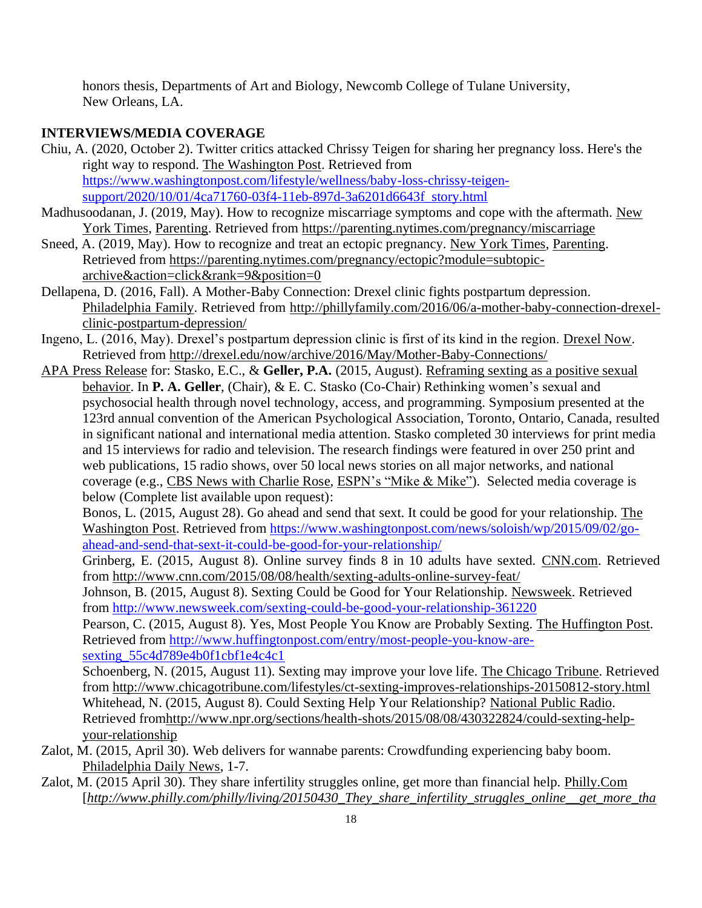honors thesis, Departments of Art and Biology, Newcomb College of Tulane University, New Orleans, LA.

## **INTERVIEWS/MEDIA COVERAGE**

- Chiu, A. (2020, October 2). Twitter critics attacked Chrissy Teigen for sharing her pregnancy loss. Here's the right way to respond. The Washington Post. Retrieved from [https://www.washingtonpost.com/lifestyle/wellness/baby-loss-chrissy-teigen](https://www.washingtonpost.com/lifestyle/wellness/baby-loss-chrissy-teigen-support/2020/10/01/4ca71760-03f4-11eb-897d-3a6201d6643f_story.html)[support/2020/10/01/4ca71760-03f4-11eb-897d-3a6201d6643f\\_story.html](https://www.washingtonpost.com/lifestyle/wellness/baby-loss-chrissy-teigen-support/2020/10/01/4ca71760-03f4-11eb-897d-3a6201d6643f_story.html)
- Madhusoodanan, J. (2019, May). How to recognize miscarriage symptoms and cope with the aftermath. New York Times, Parenting. Retrieved from [https://parenting.nytimes.com/pregnancy/miscarriage](https://nam01.safelinks.protection.outlook.com/?url=https%3A%2F%2Fparenting.nytimes.com%2Fpregnancy%2Fmiscarriage&data=02%7C01%7Cpg27%40drexel.edu%7C4016547c1441437f872e08d6d3ec9e81%7C3664e6fa47bd45a696708c4f080f8ca6%7C0%7C1%7C636929410577970303&sdata=OdhEhJHUZC0daWM9apzqpI796ooqcj8xd%2FyYeIG3cJ8%3D&reserved=0)
- Sneed, A. (2019, May). How to recognize and treat an ectopic pregnancy. New York Times, Parenting. Retrieved from [https://parenting.nytimes.com/pregnancy/ectopic?module=subtopic](https://parenting.nytimes.com/pregnancy/ectopic?module=subtopic-archive&action=click&rank=9&position=0)[archive&action=click&rank=9&position=0](https://parenting.nytimes.com/pregnancy/ectopic?module=subtopic-archive&action=click&rank=9&position=0)
- Dellapena, D. (2016, Fall). A Mother-Baby Connection: Drexel clinic fights postpartum depression. Philadelphia Family. Retrieved from [http://phillyfamily.com/2016/06/a-mother-baby-connection-drexel](ttp://phillyfamily.com/2016/06/a-mother-baby-connection-drexel-c)[clinic-postpartum-depression/](ttp://phillyfamily.com/2016/06/a-mother-baby-connection-drexel-c)
- Ingeno, L. (2016, May). Drexel's postpartum depression clinic is first of its kind in the region. Drexel Now. Retrieved from<http://drexel.edu/now/archive/2016/May/Mother-Baby-Connections/>
- APA Press Release for: Stasko, E.C., & **Geller, P.A.** (2015, August). Reframing sexting as a positive sexual behavior. In **P. A. Geller**, (Chair), & E. C. Stasko (Co-Chair) Rethinking women's sexual and psychosocial health through novel technology, access, and programming. Symposium presented at the 123rd annual convention of the American Psychological Association, Toronto, Ontario, Canada, resulted in significant national and international media attention. Stasko completed 30 interviews for print media and 15 interviews for radio and television. The research findings were featured in over 250 print and web publications, 15 radio shows, over 50 local news stories on all major networks, and national coverage (e.g., CBS News with Charlie Rose, ESPN's "Mike & Mike"). Selected media coverage is below (Complete list available upon request):

Bonos, L. (2015, August 28). Go ahead and send that sext. It could be good for your relationship. The Washington Post. Retrieved from [https://www.washingtonpost.com/news/soloish/wp/2015/09/02/go](https://www.washingtonpost.com/news/soloish/wp/2015/09/02/go-ahead-and-send-that-sext-it-could-be-good-for-your-relationship/)[ahead-and-send-that-sext-it-could-be-good-for-your-relationship/](https://www.washingtonpost.com/news/soloish/wp/2015/09/02/go-ahead-and-send-that-sext-it-could-be-good-for-your-relationship/)

Grinberg, E. (2015, August 8). Online survey finds 8 in 10 adults have sexted. CNN.com. Retrieved from<http://www.cnn.com/2015/08/08/health/sexting-adults-online-survey-feat/>

Johnson, B. (2015, August 8). Sexting Could be Good for Your Relationship. Newsweek. Retrieved from<http://www.newsweek.com/sexting-could-be-good-your-relationship-361220>

Pearson, C. (2015, August 8). Yes, Most People You Know are Probably Sexting. The Huffington Post. Retrieved from [http://www.huffingtonpost.com/entry/most-people-you-know-are](http://www.huffingtonpost.com/entry/most-people-you-know-are-sexting_55c4d789e4b0f1cbf1e4c4c1)[sexting\\_55c4d789e4b0f1cbf1e4c4c1](http://www.huffingtonpost.com/entry/most-people-you-know-are-sexting_55c4d789e4b0f1cbf1e4c4c1)

Schoenberg, N. (2015, August 11). Sexting may improve your love life. The Chicago Tribune. Retrieved from<http://www.chicagotribune.com/lifestyles/ct-sexting-improves-relationships-20150812-story.html> Whitehead, N. (2015, August 8). Could Sexting Help Your Relationship? National Public Radio. Retrieved fro[mhttp://www.npr.org/sections/health-shots/2015/08/08/430322824/could-sexting-help](http://www.npr.org/sections/health-shots/2015/08/08/430322824/could-sexting-help-your-relationship)[your-relationship](http://www.npr.org/sections/health-shots/2015/08/08/430322824/could-sexting-help-your-relationship)

- Zalot, M. (2015, April 30). Web delivers for wannabe parents: Crowdfunding experiencing baby boom. Philadelphia Daily News, 1-7.
- Zalot, M. (2015 April 30). They share infertility struggles online, get more than financial help. Philly.Com [*[http://www.philly.com/philly/living/20150430\\_They\\_share\\_infertility\\_struggles\\_online\\_\\_get\\_more\\_tha](http://www.philly.com/philly/living/20150430_They_share_infertility_struggles_online__get_more_than_financial_help.html)*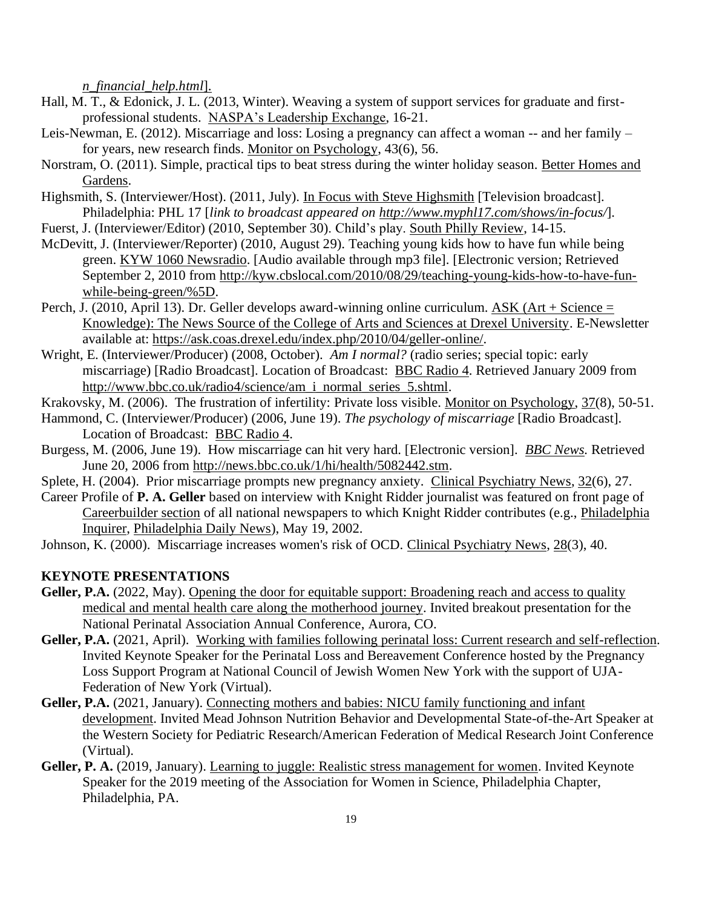*[n\\_financial\\_help.html](http://www.philly.com/philly/living/20150430_They_share_infertility_struggles_online__get_more_than_financial_help.html)*].

- Hall, M. T., & Edonick, J. L. (2013, Winter). Weaving a system of support services for graduate and firstprofessional students. NASPA's Leadership Exchange, 16-21.
- Leis-Newman, E. (2012). Miscarriage and loss: Losing a pregnancy can affect a woman -- and her family for years, new research finds. Monitor on Psychology, 43(6), 56.
- Norstram, O. (2011). Simple, practical tips to beat stress during the winter holiday season. Better Homes and Gardens.
- Highsmith, S. (Interviewer/Host). (2011, July). In Focus with Steve Highsmith [Television broadcast]. Philadelphia: PHL 17 [*link to broadcast appeared on [http://www.myphl17.com/shows/in-f](http://www.myphl17.com/shows/in-)ocus/*].
- Fuerst, J. (Interviewer/Editor) (2010, September 30). Child's play. South Philly Review, 14-15.
- McDevitt, J. (Interviewer/Reporter) (2010, August 29). Teaching young kids how to have fun while being green. KYW 1060 Newsradio. [Audio available through mp3 file]. [Electronic version; Retrieved September 2, 2010 from [http://kyw.cbslocal.com/2010/08/29/teaching-young-kids-how-to-have-fun](http://kyw.cbslocal.com/2010/08/29/teaching-young-kids-how-to-have-fun-while-being-green/%5D)[while-being-green/%5D.](http://kyw.cbslocal.com/2010/08/29/teaching-young-kids-how-to-have-fun-while-being-green/%5D)
- Perch, J. (2010, April 13). Dr. Geller develops award-winning online curriculum. ASK (Art + Science = Knowledge): The News Source of the College of Arts and Sciences at Drexel University. E-Newsletter available at: [https://ask.coas.drexel.edu/index.php/2010/04/geller-online/.](https://ask.coas.drexel.edu/index.php/2010/04/geller-online/)
- Wright, E. (Interviewer/Producer) (2008, October). *Am I normal?* (radio series; special topic: early miscarriage) [Radio Broadcast]. Location of Broadcast: BBC Radio 4. Retrieved January 2009 from [http://www.bbc.co.uk/radio4/science/am\\_i\\_normal\\_series\\_5.shtml.](http://www.bbc.co.uk/radio4/science/am_i_normal_series_5.shtml)
- Krakovsky, M. (2006). The frustration of infertility: Private loss visible. Monitor on Psychology, 37(8), 50-51.
- Hammond, C. (Interviewer/Producer) (2006, June 19). *The psychology of miscarriage* [Radio Broadcast]. Location of Broadcast: BBC Radio 4.
- Burgess, M. (2006, June 19). How miscarriage can hit very hard. [Electronic version]. *BBC News.* Retrieved June 20, 2006 from [http://news.bbc.co.uk/1/hi/health/5082442.stm.](http://news.bbc.co.uk/1/hi/health/5082442.stm)
- Splete, H. (2004). Prior miscarriage prompts new pregnancy anxiety. Clinical Psychiatry News, 32(6), 27.
- Career Profile of **P. A. Geller** based on interview with Knight Ridder journalist was featured on front page of Careerbuilder section of all national newspapers to which Knight Ridder contributes (e.g., Philadelphia Inquirer, Philadelphia Daily News), May 19, 2002.
- Johnson, K. (2000). Miscarriage increases women's risk of OCD. Clinical Psychiatry News, 28(3), 40.

### **KEYNOTE PRESENTATIONS**

- Geller, P.A. (2022, May). Opening the door for equitable support: Broadening reach and access to quality medical and mental health care along the motherhood journey. Invited breakout presentation for the National Perinatal Association Annual Conference, Aurora, CO.
- **Geller, P.A.** (2021, April). Working with families following perinatal loss: Current research and self-reflection. Invited Keynote Speaker for the Perinatal Loss and Bereavement Conference hosted by the Pregnancy Loss Support Program at National Council of Jewish Women New York with the support of UJA-Federation of New York (Virtual).
- Geller, P.A. (2021, January). Connecting mothers and babies: NICU family functioning and infant development. Invited Mead Johnson Nutrition Behavior and Developmental State-of-the-Art Speaker at the Western Society for Pediatric Research/American Federation of Medical Research Joint Conference (Virtual).
- Geller, P. A. (2019, January). Learning to juggle: Realistic stress management for women. Invited Keynote Speaker for the 2019 meeting of the Association for Women in Science, Philadelphia Chapter, Philadelphia, PA.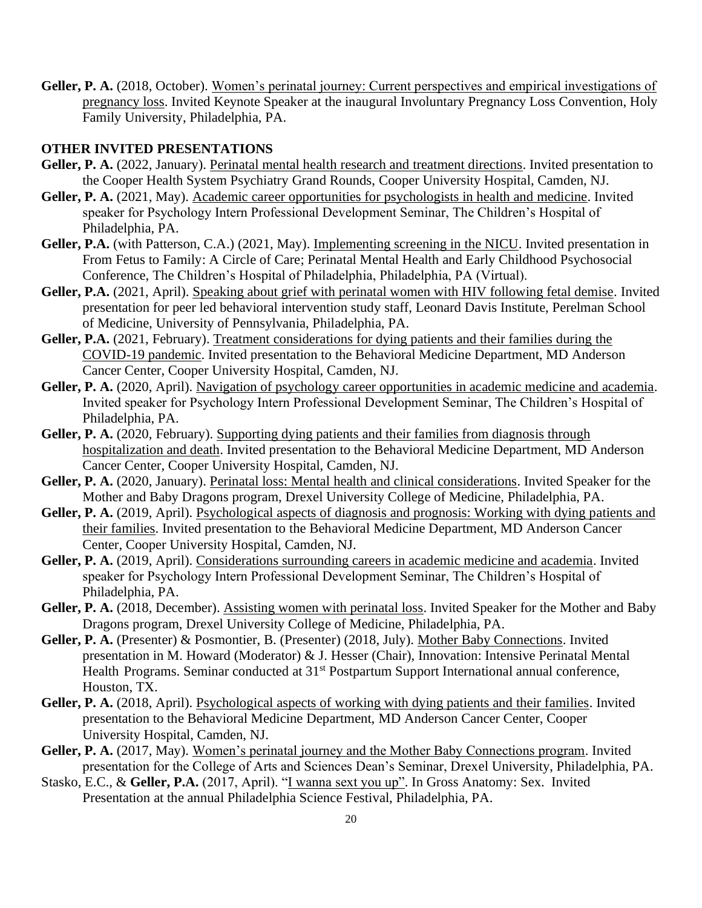**Geller, P. A.** (2018, October). Women's perinatal journey: Current perspectives and empirical investigations of pregnancy loss. Invited Keynote Speaker at the inaugural Involuntary Pregnancy Loss Convention, Holy Family University, Philadelphia, PA.

#### **OTHER INVITED PRESENTATIONS**

- Geller, P. A. (2022, January). Perinatal mental health research and treatment directions. Invited presentation to the Cooper Health System Psychiatry Grand Rounds, Cooper University Hospital, Camden, NJ.
- **Geller, P. A.** (2021, May). Academic career opportunities for psychologists in health and medicine. Invited speaker for Psychology Intern Professional Development Seminar, The Children's Hospital of Philadelphia, PA.
- **Geller, P.A.** (with Patterson, C.A.) (2021, May). Implementing screening in the NICU. Invited presentation in From Fetus to Family: A Circle of Care; Perinatal Mental Health and Early Childhood Psychosocial Conference, The Children's Hospital of Philadelphia, Philadelphia, PA (Virtual).
- **Geller, P.A.** (2021, April). Speaking about grief with perinatal women with HIV following fetal demise. Invited presentation for peer led behavioral intervention study staff, Leonard Davis Institute, Perelman School of Medicine, University of Pennsylvania, Philadelphia, PA.
- **Geller, P.A.** (2021, February). Treatment considerations for dying patients and their families during the COVID-19 pandemic. Invited presentation to the Behavioral Medicine Department, MD Anderson Cancer Center, Cooper University Hospital, Camden, NJ.
- **Geller, P. A.** (2020, April). Navigation of psychology career opportunities in academic medicine and academia. Invited speaker for Psychology Intern Professional Development Seminar, The Children's Hospital of Philadelphia, PA.
- Geller, P. A. (2020, February). Supporting dying patients and their families from diagnosis through hospitalization and death. Invited presentation to the Behavioral Medicine Department, MD Anderson Cancer Center, Cooper University Hospital, Camden, NJ.
- **Geller, P. A.** (2020, January). Perinatal loss: Mental health and clinical considerations. Invited Speaker for the Mother and Baby Dragons program, Drexel University College of Medicine, Philadelphia, PA.
- Geller, P. A. (2019, April). Psychological aspects of diagnosis and prognosis: Working with dying patients and their families. Invited presentation to the Behavioral Medicine Department, MD Anderson Cancer Center, Cooper University Hospital, Camden, NJ.
- Geller, P. A. (2019, April). Considerations surrounding careers in academic medicine and academia. Invited speaker for Psychology Intern Professional Development Seminar, The Children's Hospital of Philadelphia, PA.
- Geller, P. A. (2018, December). Assisting women with perinatal loss. Invited Speaker for the Mother and Baby Dragons program, Drexel University College of Medicine, Philadelphia, PA.
- **Geller, P. A.** (Presenter) & Posmontier, B. (Presenter) (2018, July). Mother Baby Connections. Invited presentation in M. Howard (Moderator) & J. Hesser (Chair), Innovation: Intensive Perinatal Mental Health Programs. Seminar conducted at 31<sup>st</sup> Postpartum Support International annual conference, Houston, TX.
- **Geller, P. A.** (2018, April). Psychological aspects of working with dying patients and their families. Invited presentation to the Behavioral Medicine Department, MD Anderson Cancer Center, Cooper University Hospital, Camden, NJ.
- **Geller, P. A.** (2017, May). Women's perinatal journey and the Mother Baby Connections program. Invited presentation for the College of Arts and Sciences Dean's Seminar, Drexel University, Philadelphia, PA.
- Stasko, E.C., & **Geller, P.A.** (2017, April). "I wanna sext you up". In Gross Anatomy: Sex. Invited Presentation at the annual Philadelphia Science Festival, Philadelphia, PA.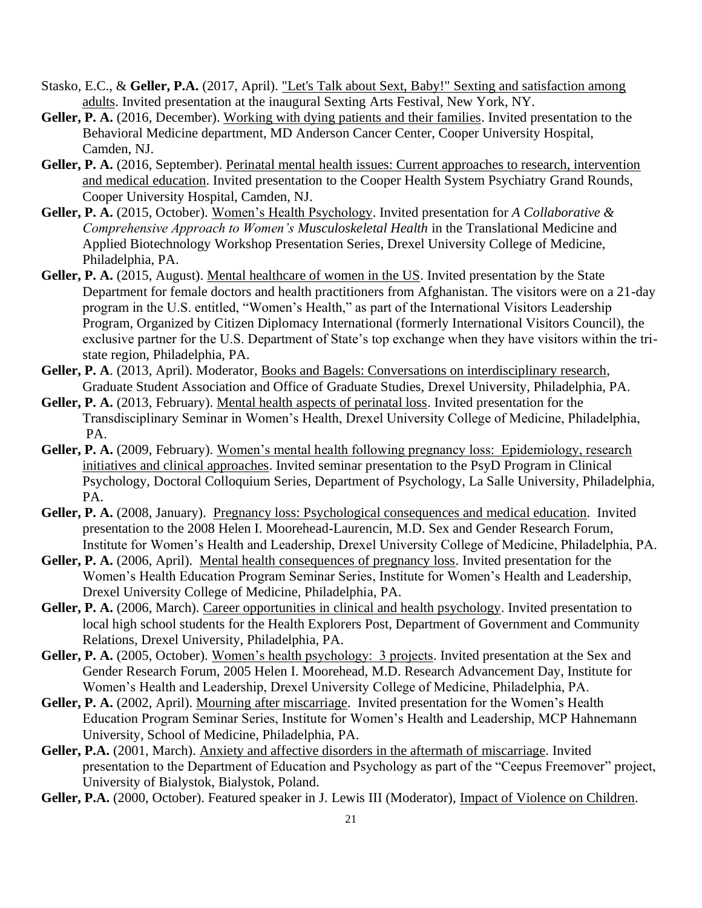- Stasko, E.C., & **Geller, P.A.** (2017, April). "Let's Talk about Sext, Baby!" Sexting and satisfaction among adults. Invited presentation at the inaugural Sexting Arts Festival, New York, NY.
- Geller, P. A. (2016, December). Working with dying patients and their families. Invited presentation to the Behavioral Medicine department, MD Anderson Cancer Center, Cooper University Hospital, Camden, NJ.
- Geller, P. A. (2016, September). Perinatal mental health issues: Current approaches to research, intervention and medical education. Invited presentation to the Cooper Health System Psychiatry Grand Rounds, Cooper University Hospital, Camden, NJ.
- **Geller, P. A.** (2015, October). Women's Health Psychology. Invited presentation for *A Collaborative & Comprehensive Approach to Women's Musculoskeletal Health* in the Translational Medicine and Applied Biotechnology Workshop Presentation Series, Drexel University College of Medicine, Philadelphia, PA.
- Geller, P. A. (2015, August). Mental healthcare of women in the US. Invited presentation by the State Department for female doctors and health practitioners from Afghanistan. The visitors were on a 21-day program in the U.S. entitled, "Women's Health," as part of the International Visitors Leadership Program, Organized by Citizen Diplomacy International (formerly International Visitors Council), the exclusive partner for the U.S. Department of State's top exchange when they have visitors within the tristate region, Philadelphia, PA.
- **Geller, P. A**. (2013, April). Moderator, Books and Bagels: Conversations on interdisciplinary research, Graduate Student Association and Office of Graduate Studies, Drexel University, Philadelphia, PA.
- **Geller, P. A.** (2013, February). Mental health aspects of perinatal loss. Invited presentation for the Transdisciplinary Seminar in Women's Health, Drexel University College of Medicine, Philadelphia, PA.
- Geller, P. A. (2009, February). Women's mental health following pregnancy loss: Epidemiology, research initiatives and clinical approaches. Invited seminar presentation to the PsyD Program in Clinical Psychology, Doctoral Colloquium Series, Department of Psychology, La Salle University, Philadelphia, PA.
- **Geller, P. A.** (2008, January). Pregnancy loss: Psychological consequences and medical education. Invited presentation to the 2008 Helen I. Moorehead-Laurencin, M.D. Sex and Gender Research Forum, Institute for Women's Health and Leadership, Drexel University College of Medicine, Philadelphia, PA.
- Geller, P. A. (2006, April). Mental health consequences of pregnancy loss. Invited presentation for the Women's Health Education Program Seminar Series, Institute for Women's Health and Leadership, Drexel University College of Medicine, Philadelphia, PA.
- Geller, P. A. (2006, March). Career opportunities in clinical and health psychology. Invited presentation to local high school students for the Health Explorers Post, Department of Government and Community Relations, Drexel University, Philadelphia, PA.
- **Geller, P. A.** (2005, October). Women's health psychology: 3 projects. Invited presentation at the Sex and Gender Research Forum, 2005 Helen I. Moorehead, M.D. Research Advancement Day, Institute for Women's Health and Leadership, Drexel University College of Medicine, Philadelphia, PA.
- **Geller, P. A.** (2002, April). Mourning after miscarriage. Invited presentation for the Women's Health Education Program Seminar Series, Institute for Women's Health and Leadership, MCP Hahnemann University, School of Medicine, Philadelphia, PA.
- **Geller, P.A.** (2001, March). Anxiety and affective disorders in the aftermath of miscarriage. Invited presentation to the Department of Education and Psychology as part of the "Ceepus Freemover" project, University of Bialystok, Bialystok, Poland.
- **Geller, P.A.** (2000, October). Featured speaker in J. Lewis III (Moderator), Impact of Violence on Children.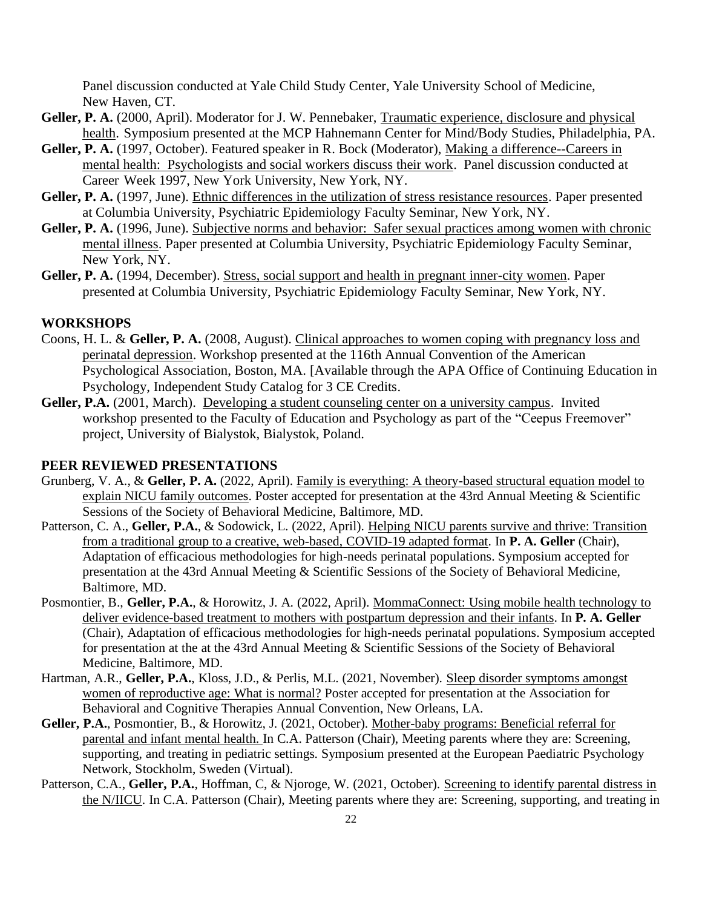Panel discussion conducted at Yale Child Study Center, Yale University School of Medicine, New Haven, CT.

- **Geller, P. A.** (2000, April). Moderator for J. W. Pennebaker, Traumatic experience, disclosure and physical health. Symposium presented at the MCP Hahnemann Center for Mind/Body Studies, Philadelphia, PA.
- **Geller, P. A.** (1997, October). Featured speaker in R. Bock (Moderator), Making a difference--Careers in mental health: Psychologists and social workers discuss their work. Panel discussion conducted at Career Week 1997, New York University, New York, NY.
- **Geller, P. A.** (1997, June). Ethnic differences in the utilization of stress resistance resources. Paper presented at Columbia University, Psychiatric Epidemiology Faculty Seminar, New York, NY.
- **Geller, P. A.** (1996, June). Subjective norms and behavior: Safer sexual practices among women with chronic mental illness. Paper presented at Columbia University, Psychiatric Epidemiology Faculty Seminar, New York, NY.
- **Geller, P. A.** (1994, December). Stress, social support and health in pregnant inner-city women. Paper presented at Columbia University, Psychiatric Epidemiology Faculty Seminar, New York, NY.

#### **WORKSHOPS**

- Coons, H. L. & **Geller, P. A.** (2008, August). Clinical approaches to women coping with pregnancy loss and perinatal depression. Workshop presented at the 116th Annual Convention of the American Psychological Association, Boston, MA. [Available through the APA Office of Continuing Education in Psychology, Independent Study Catalog for 3 CE Credits.
- **Geller, P.A.** (2001, March). Developing a student counseling center on a university campus. Invited workshop presented to the Faculty of Education and Psychology as part of the "Ceepus Freemover" project, University of Bialystok, Bialystok, Poland.

#### **PEER REVIEWED PRESENTATIONS**

- Grunberg, V. A., & **Geller, P. A.** (2022, April). Family is everything: A theory-based structural equation model to explain NICU family outcomes. Poster accepted for presentation at the 43rd Annual Meeting & Scientific Sessions of the Society of Behavioral Medicine, Baltimore, MD.
- Patterson, C. A., **Geller, P.A.**, & Sodowick, L. (2022, April). Helping NICU parents survive and thrive: Transition from a traditional group to a creative, web-based, COVID-19 adapted format. In **P. A. Geller** (Chair), Adaptation of efficacious methodologies for high-needs perinatal populations. Symposium accepted for presentation at the 43rd Annual Meeting & Scientific Sessions of the Society of Behavioral Medicine, Baltimore, MD.
- Posmontier, B., Geller, P.A., & Horowitz, J. A. (2022, April). MommaConnect: Using mobile health technology to deliver evidence-based treatment to mothers with postpartum depression and their infants. In **P. A. Geller** (Chair), Adaptation of efficacious methodologies for high-needs perinatal populations. Symposium accepted for presentation at the at the 43rd Annual Meeting & Scientific Sessions of the Society of Behavioral Medicine, Baltimore, MD.
- Hartman, A.R., **Geller, P.A.**, Kloss, J.D., & Perlis, M.L. (2021, November). Sleep disorder symptoms amongst women of reproductive age: What is normal? Poster accepted for presentation at the Association for Behavioral and Cognitive Therapies Annual Convention, New Orleans, LA.
- **Geller, P.A.**, Posmontier, B., & Horowitz, J. (2021, October). Mother-baby programs: Beneficial referral for parental and infant mental health. In C.A. Patterson (Chair), Meeting parents where they are: Screening, supporting, and treating in pediatric settings. Symposium presented at the European Paediatric Psychology Network, Stockholm, Sweden (Virtual).
- Patterson, C.A., **Geller, P.A.**, Hoffman, C, & Njoroge, W. (2021, October). Screening to identify parental distress in the N/IICU. In C.A. Patterson (Chair), Meeting parents where they are: Screening, supporting, and treating in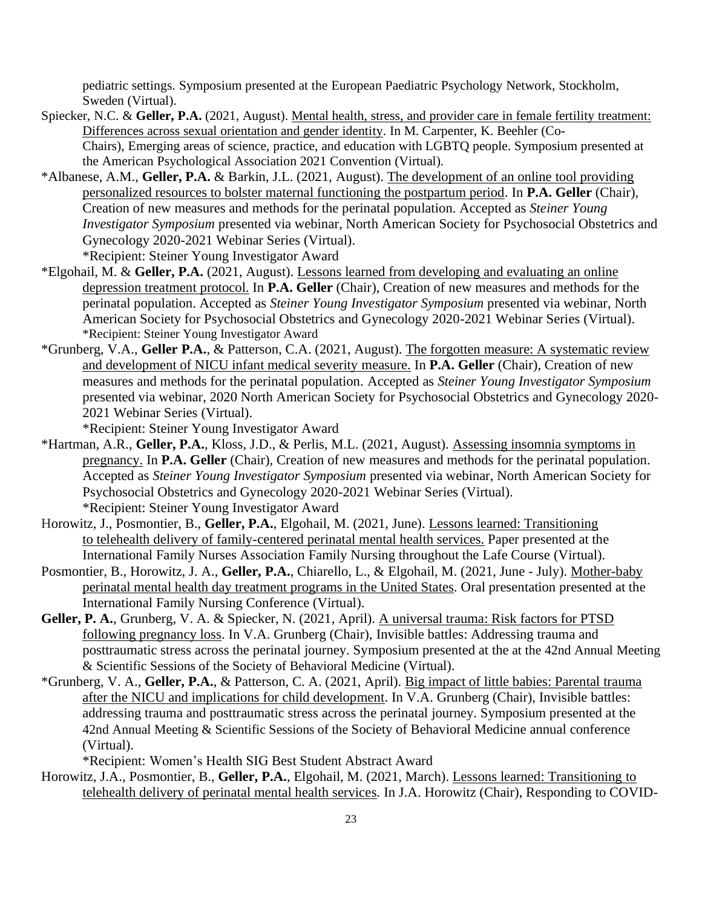pediatric settings. Symposium presented at the European Paediatric Psychology Network, Stockholm, Sweden (Virtual).

- Spiecker, N.C. & **Geller, P.A.** (2021, August). Mental health, stress, and provider care in female fertility treatment: Differences across sexual orientation and gender identity. In M. Carpenter, K. Beehler (Co-Chairs), Emerging areas of science, practice, and education with LGBTQ people. Symposium presented at the American Psychological Association 2021 Convention (Virtual).
- \*Albanese, A.M., **Geller, P.A.** & Barkin, J.L. (2021, August). The development of an online tool providing personalized resources to bolster maternal functioning the postpartum period. In **P.A. Geller** (Chair), Creation of new measures and methods for the perinatal population. Accepted as *Steiner Young Investigator Symposium* presented via webinar, North American Society for Psychosocial Obstetrics and Gynecology 2020-2021 Webinar Series (Virtual). \*Recipient: Steiner Young Investigator Award
- \*Elgohail, M. & **Geller, P.A.** (2021, August). Lessons learned from developing and evaluating an online depression treatment protocol. In **P.A. Geller** (Chair), Creation of new measures and methods for the perinatal population. Accepted as *Steiner Young Investigator Symposium* presented via webinar, North American Society for Psychosocial Obstetrics and Gynecology 2020-2021 Webinar Series (Virtual). \*Recipient: Steiner Young Investigator Award
- \*Grunberg, V.A., **Geller P.A.**, & Patterson, C.A. (2021, August). The forgotten measure: A systematic review and development of NICU infant medical severity measure. In **P.A. Geller** (Chair), Creation of new measures and methods for the perinatal population. Accepted as *Steiner Young Investigator Symposium* presented via webinar, 2020 North American Society for Psychosocial Obstetrics and Gynecology 2020- 2021 Webinar Series (Virtual).

\*Recipient: Steiner Young Investigator Award

- \*Hartman, A.R., **Geller, P.A.**, Kloss, J.D., & Perlis, M.L. (2021, August). Assessing insomnia symptoms in pregnancy. In **P.A. Geller** (Chair), Creation of new measures and methods for the perinatal population. Accepted as *Steiner Young Investigator Symposium* presented via webinar, North American Society for Psychosocial Obstetrics and Gynecology 2020-2021 Webinar Series (Virtual). \*Recipient: Steiner Young Investigator Award
- Horowitz, J., Posmontier, B., **Geller, P.A.**, Elgohail, M. (2021, June). Lessons learned: Transitioning to telehealth delivery of family-centered perinatal mental health services. Paper presented at the International Family Nurses Association Family Nursing throughout the Lafe Course (Virtual).
- Posmontier, B., Horowitz, J. A., **Geller, P.A.**, Chiarello, L., & Elgohail, M. (2021, June July). Mother-baby perinatal mental health day treatment programs in the United States*.* Oral presentation presented at the International Family Nursing Conference (Virtual).
- **Geller, P. A.**, Grunberg, V. A. & Spiecker, N. (2021, April). A universal trauma: Risk factors for PTSD following pregnancy loss. In V.A. Grunberg (Chair), Invisible battles: Addressing trauma and posttraumatic stress across the perinatal journey. Symposium presented at the at the 42nd Annual Meeting & Scientific Sessions of the Society of Behavioral Medicine (Virtual).
- \*Grunberg, V. A., **Geller, P.A.**, & Patterson, C. A. (2021, April). Big impact of little babies: Parental trauma after the NICU and implications for child development. In V.A. Grunberg (Chair), Invisible battles: addressing trauma and posttraumatic stress across the perinatal journey. Symposium presented at the 42nd Annual Meeting & Scientific Sessions of the Society of Behavioral Medicine annual conference (Virtual).

\*Recipient: Women's Health SIG Best Student Abstract Award

Horowitz, J.A., Posmontier, B., **Geller, P.A.**, Elgohail, M. (2021, March). Lessons learned: Transitioning to telehealth delivery of perinatal mental health services*.* In J.A. Horowitz (Chair), Responding to COVID-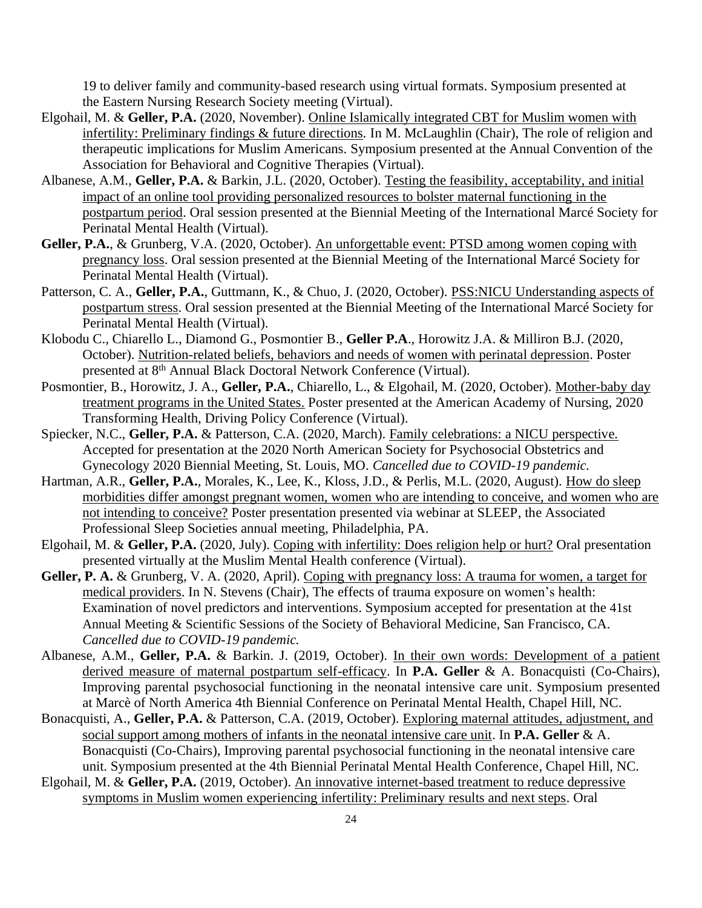19 to deliver family and community-based research using virtual formats. Symposium presented at the Eastern Nursing Research Society meeting (Virtual).

- Elgohail, M. & **Geller, P.A.** (2020, November). Online Islamically integrated CBT for Muslim women with infertility: Preliminary findings & future directions*.* In M. McLaughlin (Chair), The role of religion and therapeutic implications for Muslim Americans. Symposium presented at the Annual Convention of the Association for Behavioral and Cognitive Therapies (Virtual).
- Albanese, A.M., **Geller, P.A.** & Barkin, J.L. (2020, October). Testing the feasibility, acceptability, and initial impact of an online tool providing personalized resources to bolster maternal functioning in the postpartum period. Oral session presented at the Biennial Meeting of the International Marcé Society for Perinatal Mental Health (Virtual).
- **Geller, P.A.**, & Grunberg, V.A. (2020, October). An unforgettable event: PTSD among women coping with pregnancy loss. Oral session presented at the Biennial Meeting of the International Marcé Society for Perinatal Mental Health (Virtual).
- Patterson, C. A., **Geller, P.A.**, Guttmann, K., & Chuo, J. (2020, October). PSS:NICU Understanding aspects of postpartum stress. Oral session presented at the Biennial Meeting of the International Marcé Society for Perinatal Mental Health (Virtual).
- Klobodu C., Chiarello L., Diamond G., Posmontier B., **Geller P.A**., Horowitz J.A. & Milliron B.J. (2020, October). Nutrition-related beliefs, behaviors and needs of women with perinatal depression. Poster presented at 8th Annual Black Doctoral Network Conference (Virtual).
- Posmontier, B., Horowitz, J. A., **Geller, P.A.**, Chiarello, L., & Elgohail, M. (2020, October). Mother-baby day treatment programs in the United States. Poster presented at the American Academy of Nursing, [2020](https://nam10.safelinks.protection.outlook.com/?url=http:%2F%2Fsend.aannet.org%2Flink.cfm%3Fr%3D9xEIi3HuwtFXNpX5w8CckA~~%26pe%3DW87pVUGvV00x3MdYY9P6iv2hxTcYYW5hniOAWeOcYMa19I-151YgfBpp_n62l-n3v0rXYGZZxR8ZvdPx87z8ng~~%26t%3DYA3ZtSEcYCWAVJvuyDcR6g~~&data=04%7C01%7Cpg27%40drexel.edu%7C919ae92b297c4bf8d1ce08d8d8521de5%7C3664e6fa47bd45a696708c4f080f8ca6%7C0%7C0%7C637497194505861957%7CUnknown%7CTWFpbGZsb3d8eyJWIjoiMC4wLjAwMDAiLCJQIjoiV2luMzIiLCJBTiI6Ik1haWwiLCJXVCI6Mn0%3D%7C1000&sdata=4Ra3qiTda4Jcg7VfuwivFARxhQ2C9EuuS6zQmQkVVeQ%3D&reserved=0)  [Transforming Health, Driving Policy Conference](https://nam10.safelinks.protection.outlook.com/?url=http:%2F%2Fsend.aannet.org%2Flink.cfm%3Fr%3D9xEIi3HuwtFXNpX5w8CckA~~%26pe%3DW87pVUGvV00x3MdYY9P6iv2hxTcYYW5hniOAWeOcYMa19I-151YgfBpp_n62l-n3v0rXYGZZxR8ZvdPx87z8ng~~%26t%3DYA3ZtSEcYCWAVJvuyDcR6g~~&data=04%7C01%7Cpg27%40drexel.edu%7C919ae92b297c4bf8d1ce08d8d8521de5%7C3664e6fa47bd45a696708c4f080f8ca6%7C0%7C0%7C637497194505861957%7CUnknown%7CTWFpbGZsb3d8eyJWIjoiMC4wLjAwMDAiLCJQIjoiV2luMzIiLCJBTiI6Ik1haWwiLCJXVCI6Mn0%3D%7C1000&sdata=4Ra3qiTda4Jcg7VfuwivFARxhQ2C9EuuS6zQmQkVVeQ%3D&reserved=0) (Virtual).
- Spiecker, N.C., **Geller, P.A.** & Patterson, C.A. (2020, March). Family celebrations: a NICU perspective. Accepted for presentation at the 2020 North American Society for Psychosocial Obstetrics and Gynecology 2020 Biennial Meeting, St. Louis, MO. *Cancelled due to COVID-19 pandemic.*
- Hartman, A.R., **Geller, P.A.**, Morales, K., Lee, K., Kloss, J.D., & Perlis, M.L. (2020, August). How do sleep morbidities differ amongst pregnant women, women who are intending to conceive, and women who are not intending to conceive? Poster presentation presented via webinar at SLEEP, the Associated Professional Sleep Societies annual meeting, Philadelphia, PA.
- Elgohail, M. & **Geller, P.A.** (2020, July). Coping with infertility: Does religion help or hurt? Oral presentation presented virtually at the Muslim Mental Health conference (Virtual).
- **Geller, P. A.** & Grunberg, V. A. (2020, April). Coping with pregnancy loss: A trauma for women, a target for medical providers. In N. Stevens (Chair), The effects of trauma exposure on women's health: Examination of novel predictors and interventions. Symposium accepted for presentation at the 41st Annual Meeting & Scientific Sessions of the Society of Behavioral Medicine, San Francisco, CA. *Cancelled due to COVID-19 pandemic.*
- Albanese, A.M., **Geller, P.A.** & Barkin. J. (2019, October). In their own words: Development of a patient derived measure of maternal postpartum self-efficacy. In **P.A. Geller** & A. Bonacquisti (Co-Chairs), Improving parental psychosocial functioning in the neonatal intensive care unit. Symposium presented at Marcè of North America 4th Biennial Conference on Perinatal Mental Health, Chapel Hill, NC.
- Bonacquisti, A., **Geller, P.A.** & Patterson, C.A. (2019, October). Exploring maternal attitudes, adjustment, and social support among mothers of infants in the neonatal intensive care unit. In **P.A. Geller** & A. Bonacquisti (Co-Chairs), Improving parental psychosocial functioning in the neonatal intensive care unit. Symposium presented at the 4th Biennial Perinatal Mental Health Conference, Chapel Hill, NC.
- Elgohail, M. & **Geller, P.A.** (2019, October). An innovative internet-based treatment to reduce depressive symptoms in Muslim women experiencing infertility: Preliminary results and next steps. Oral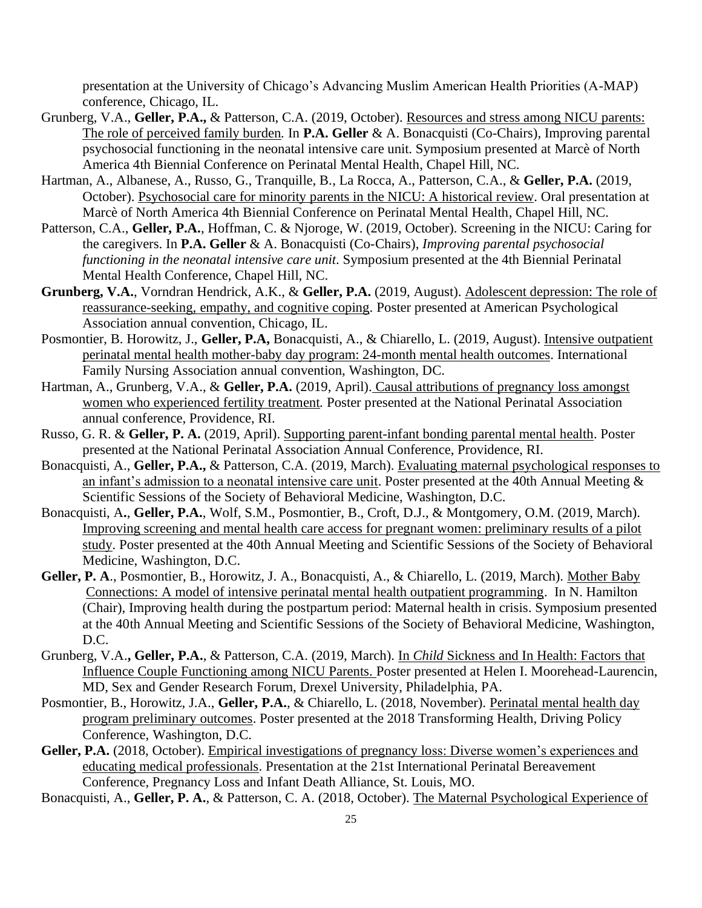presentation at the University of Chicago's Advancing Muslim American Health Priorities (A-MAP) conference, Chicago, IL.

- Grunberg, V.A., **Geller, P.A.,** & Patterson, C.A. (2019, October). Resources and stress among NICU parents: The role of perceived family burden*.* In **P.A. Geller** & A. Bonacquisti (Co-Chairs), Improving parental psychosocial functioning in the neonatal intensive care unit. Symposium presented at Marcè of North America 4th Biennial Conference on Perinatal Mental Health, Chapel Hill, NC.
- Hartman, A., Albanese, A., Russo, G., Tranquille, B., La Rocca, A., Patterson, C.A., & **Geller, P.A.** (2019, October). Psychosocial care for minority parents in the NICU: A historical review. Oral presentation at Marcè of North America 4th Biennial Conference on Perinatal Mental Health, Chapel Hill, NC.
- Patterson, C.A., **Geller, P.A.**, Hoffman, C. & Njoroge, W. (2019, October). Screening in the NICU: Caring for the caregivers. In **P.A. Geller** & A. Bonacquisti (Co-Chairs), *Improving parental psychosocial functioning in the neonatal intensive care unit*. Symposium presented at the 4th Biennial Perinatal Mental Health Conference, Chapel Hill, NC.
- **Grunberg, V.A.**, Vorndran Hendrick, A.K., & **Geller, P.A.** (2019, August). Adolescent depression: The role of reassurance-seeking, empathy, and cognitive coping. Poster presented at American Psychological Association annual convention, Chicago, IL.
- Posmontier, B. Horowitz, J., **Geller, P.A,** Bonacquisti, A., & Chiarello, L. (2019, August). Intensive outpatient perinatal mental health mother-baby day program: 24-month mental health outcomes. International Family Nursing Association annual convention, Washington, DC.
- Hartman, A., Grunberg, V.A., & **Geller, P.A.** (2019, April). Causal attributions of pregnancy loss amongst women who experienced fertility treatment*.* Poster presented at the National Perinatal Association annual conference, Providence, RI.
- Russo, G. R. & **Geller, P. A.** (2019, April). Supporting parent-infant bonding parental mental health. Poster presented at the National Perinatal Association Annual Conference, Providence, RI.
- Bonacquisti, A., **Geller, P.A.,** & Patterson, C.A. (2019, March). Evaluating maternal psychological responses to an infant's admission to a neonatal intensive care unit. Poster presented at the 40th Annual Meeting & Scientific Sessions of the Society of Behavioral Medicine, Washington, D.C.
- Bonacquisti, A**.**, **Geller, P.A.**, Wolf, S.M., Posmontier, B., Croft, D.J., & Montgomery, O.M. (2019, March). Improving screening and mental health care access for pregnant women: preliminary results of a pilot study. Poster presented at the 40th Annual Meeting and Scientific Sessions of the Society of Behavioral Medicine, Washington, D.C.
- **Geller, P. A**., Posmontier, B., Horowitz, J. A., Bonacquisti, A., & Chiarello, L. (2019, March). Mother Baby Connections: A model of intensive perinatal mental health outpatient programming. In N. Hamilton (Chair), Improving health during the postpartum period: Maternal health in crisis. Symposium presented at the 40th Annual Meeting and Scientific Sessions of the Society of Behavioral Medicine, Washington, D.C.
- Grunberg, V.A.**, Geller, P.A.**, & Patterson, C.A. (2019, March). In *Child* Sickness and In Health: Factors that Influence Couple Functioning among NICU Parents. Poster presented at Helen I. Moorehead-Laurencin, MD, Sex and Gender Research Forum, Drexel University, Philadelphia, PA.
- Posmontier, B., Horowitz, J.A., **Geller, P.A.**, & Chiarello, L. (2018, November). Perinatal mental health day program preliminary outcomes. Poster presented at the 2018 Transforming Health, Driving Policy Conference, Washington, D.C.
- Geller, P.A. (2018, October). Empirical investigations of pregnancy loss: Diverse women's experiences and educating medical professionals. Presentation at the 21st International Perinatal Bereavement Conference, Pregnancy Loss and Infant Death Alliance, St. Louis, MO.

Bonacquisti, A., **Geller, P. A.**, & Patterson, C. A. (2018, October). The Maternal Psychological Experience of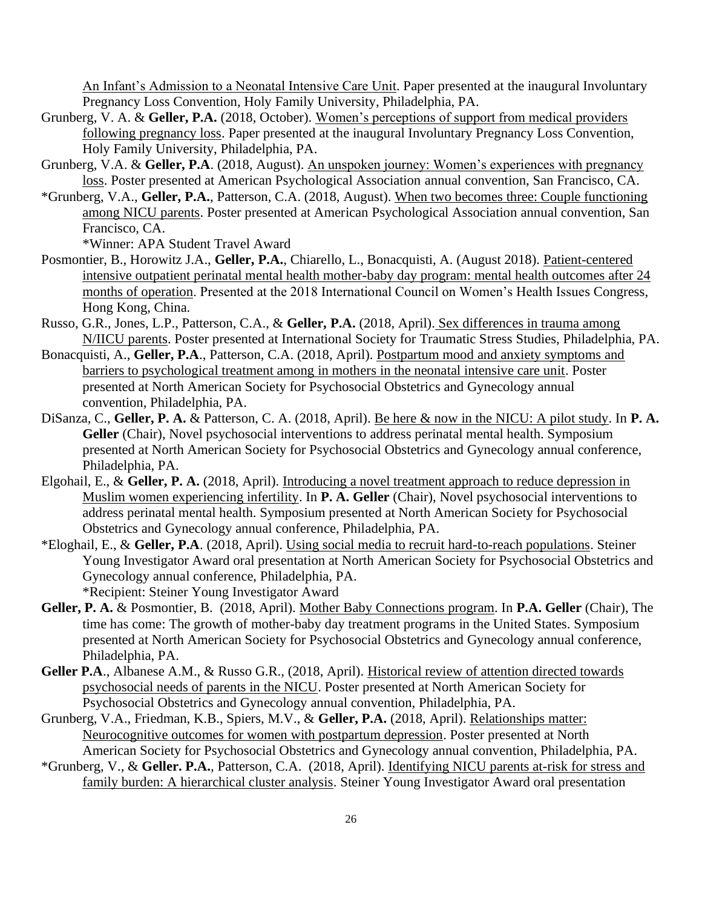An Infant's Admission to a Neonatal Intensive Care Unit. Paper presented at the inaugural Involuntary Pregnancy Loss Convention, Holy Family University, Philadelphia, PA.

- Grunberg, V. A. & **Geller, P.A.** (2018, October). Women's perceptions of support from medical providers following pregnancy loss. Paper presented at the inaugural Involuntary Pregnancy Loss Convention, Holy Family University, Philadelphia, PA.
- Grunberg, V.A. & **Geller, P.A**. (2018, August). An unspoken journey: Women's experiences with pregnancy loss. Poster presented at American Psychological Association annual convention, San Francisco, CA.
- \*Grunberg, V.A., **Geller, P.A.**, Patterson, C.A. (2018, August). When two becomes three: Couple functioning among NICU parents. Poster presented at American Psychological Association annual convention, San Francisco, CA.

\*Winner: APA Student Travel Award

- Posmontier, B., Horowitz J.A., **Geller, P.A.**, Chiarello, L., Bonacquisti, A. (August 2018). Patient-centered intensive outpatient perinatal mental health mother-baby day program: mental health outcomes after 24 months of operation. Presented at the 2018 International Council on Women's Health Issues Congress, Hong Kong, China.
- Russo, G.R., Jones, L.P., Patterson, C.A., & **Geller, P.A.** (2018, April). Sex differences in trauma among N/IICU parents. Poster presented at International Society for Traumatic Stress Studies, Philadelphia, PA.
- Bonacquisti, A., **Geller, P.A**., Patterson, C.A. (2018, April). Postpartum mood and anxiety symptoms and barriers to psychological treatment among in mothers in the neonatal intensive care unit. Poster presented at North American Society for Psychosocial Obstetrics and Gynecology annual convention, Philadelphia, PA.
- DiSanza, C., **Geller, P. A.** & Patterson, C. A. (2018, April). Be here & now in the NICU: A pilot study. In **P. A. Geller** (Chair), Novel psychosocial interventions to address perinatal mental health. Symposium presented at North American Society for Psychosocial Obstetrics and Gynecology annual conference, Philadelphia, PA.
- Elgohail, E., & **Geller, P. A.** (2018, April). Introducing a novel treatment approach to reduce depression in Muslim women experiencing infertility. In **P. A. Geller** (Chair), Novel psychosocial interventions to address perinatal mental health. Symposium presented at North American Society for Psychosocial Obstetrics and Gynecology annual conference, Philadelphia, PA.
- \*Eloghail, E., & **Geller, P.A**. (2018, April). Using social media to recruit hard-to-reach populations. Steiner Young Investigator Award oral presentation at North American Society for Psychosocial Obstetrics and Gynecology annual conference, Philadelphia, PA. \*Recipient: Steiner Young Investigator Award
- **Geller, P. A.** & Posmontier, B. (2018, April). Mother Baby Connections program. In **P.A. Geller** (Chair), The time has come: The growth of mother-baby day treatment programs in the United States. Symposium presented at North American Society for Psychosocial Obstetrics and Gynecology annual conference, Philadelphia, PA.
- **Geller P.A**., Albanese A.M., & Russo G.R., (2018, April). Historical review of attention directed towards psychosocial needs of parents in the NICU. Poster presented at North American Society for Psychosocial Obstetrics and Gynecology annual convention, Philadelphia, PA.
- Grunberg, V.A., Friedman, K.B., Spiers, M.V., & **Geller, P.A.** (2018, April). Relationships matter: Neurocognitive outcomes for women with postpartum depression. Poster presented at North American Society for Psychosocial Obstetrics and Gynecology annual convention, Philadelphia, PA.
- \*Grunberg, V., & **Geller. P.A.**, Patterson, C.A. (2018, April). Identifying NICU parents at-risk for stress and family burden: A hierarchical cluster analysis. Steiner Young Investigator Award oral presentation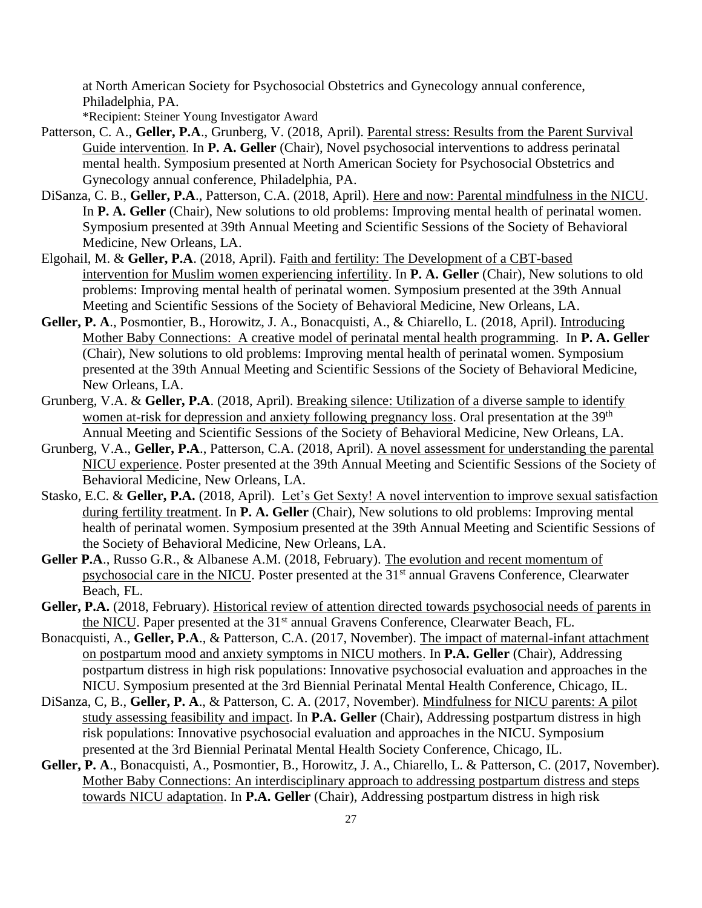at North American Society for Psychosocial Obstetrics and Gynecology annual conference, Philadelphia, PA.

\*Recipient: Steiner Young Investigator Award

- Patterson, C. A., Geller, P.A., Grunberg, V. (2018, April). Parental stress: Results from the Parent Survival Guide intervention. In **P. A. Geller** (Chair), Novel psychosocial interventions to address perinatal mental health. Symposium presented at North American Society for Psychosocial Obstetrics and Gynecology annual conference, Philadelphia, PA.
- DiSanza, C. B., **Geller, P.A**., Patterson, C.A. (2018, April). Here and now: Parental mindfulness in the NICU. In **P. A. Geller** (Chair), New solutions to old problems: Improving mental health of perinatal women. Symposium presented at 39th Annual Meeting and Scientific Sessions of the Society of Behavioral Medicine, New Orleans, LA.
- Elgohail, M. & **Geller, P.A**. (2018, April). Faith and fertility: The Development of a CBT-based intervention for Muslim women experiencing infertility. In **P. A. Geller** (Chair), New solutions to old problems: Improving mental health of perinatal women. Symposium presented at the 39th Annual Meeting and Scientific Sessions of the Society of Behavioral Medicine, New Orleans, LA.
- **Geller, P. A**., Posmontier, B., Horowitz, J. A., Bonacquisti, A., & Chiarello, L. (2018, April). Introducing Mother Baby Connections: A creative model of perinatal mental health programming. In **P. A. Geller** (Chair), New solutions to old problems: Improving mental health of perinatal women. Symposium presented at the 39th Annual Meeting and Scientific Sessions of the Society of Behavioral Medicine, New Orleans, LA.
- Grunberg, V.A. & **Geller, P.A**. (2018, April). Breaking silence: Utilization of a diverse sample to identify women at-risk for depression and anxiety following pregnancy loss. Oral presentation at the 39<sup>th</sup> Annual Meeting and Scientific Sessions of the Society of Behavioral Medicine, New Orleans, LA.
- Grunberg, V.A., **Geller, P.A**., Patterson, C.A. (2018, April). A novel assessment for understanding the parental NICU experience. Poster presented at the 39th Annual Meeting and Scientific Sessions of the Society of Behavioral Medicine, New Orleans, LA.
- Stasko, E.C. & Geller, P.A. (2018, April). Let's Get Sexty! A novel intervention to improve sexual satisfaction during fertility treatment. In **P. A. Geller** (Chair), New solutions to old problems: Improving mental health of perinatal women. Symposium presented at the 39th Annual Meeting and Scientific Sessions of the Society of Behavioral Medicine, New Orleans, LA.
- **Geller P.A**., Russo G.R., & Albanese A.M. (2018, February). The evolution and recent momentum of psychosocial care in the NICU. Poster presented at the 31<sup>st</sup> annual Gravens Conference, Clearwater Beach, FL.
- **Geller, P.A.** (2018, February). Historical review of attention directed towards psychosocial needs of parents in the NICU. Paper presented at the 31<sup>st</sup> annual Gravens Conference, Clearwater Beach, FL.
- Bonacquisti, A., **Geller, P.A**., & Patterson, C.A. (2017, November). The impact of maternal-infant attachment on postpartum mood and anxiety symptoms in NICU mothers. In **P.A. Geller** (Chair), Addressing postpartum distress in high risk populations: Innovative psychosocial evaluation and approaches in the NICU. Symposium presented at the 3rd Biennial Perinatal Mental Health Conference, Chicago, IL.
- DiSanza, C, B., **Geller, P. A**., & Patterson, C. A. (2017, November). Mindfulness for NICU parents: A pilot study assessing feasibility and impact. In **P.A. Geller** (Chair), Addressing postpartum distress in high risk populations: Innovative psychosocial evaluation and approaches in the NICU. Symposium presented at the 3rd Biennial Perinatal Mental Health Society Conference, Chicago, IL.
- **Geller, P. A**., Bonacquisti, A., Posmontier, B., Horowitz, J. A., Chiarello, L. & Patterson, C. (2017, November). Mother Baby Connections: An interdisciplinary approach to addressing postpartum distress and steps towards NICU adaptation. In **P.A. Geller** (Chair), Addressing postpartum distress in high risk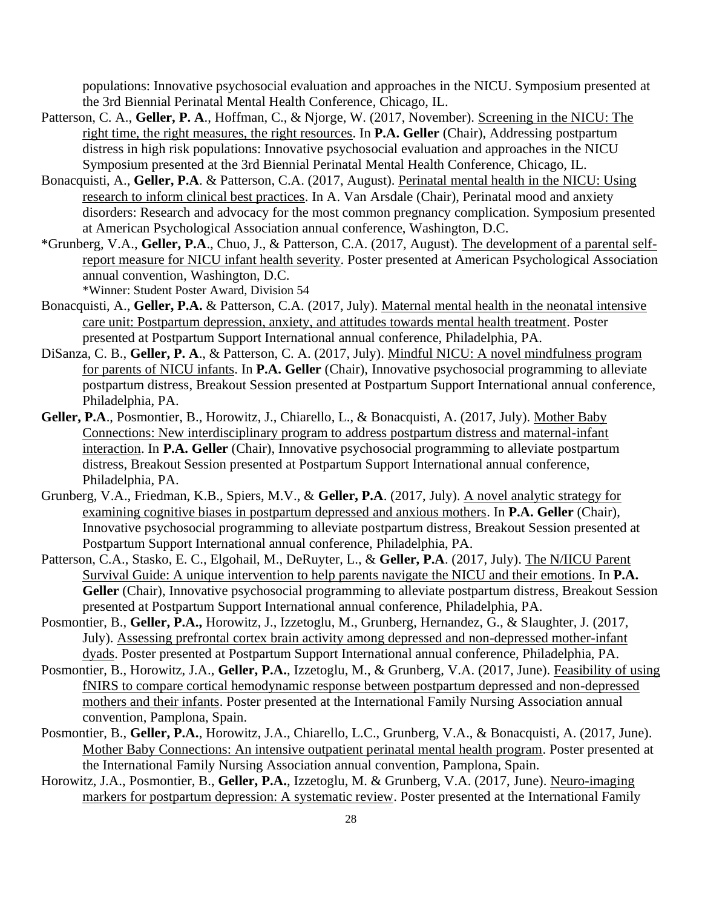populations: Innovative psychosocial evaluation and approaches in the NICU. Symposium presented at the 3rd Biennial Perinatal Mental Health Conference, Chicago, IL.

- Patterson, C. A., **Geller, P. A**., Hoffman, C., & Njorge, W. (2017, November). Screening in the NICU: The right time, the right measures, the right resources. In **P.A. Geller** (Chair), Addressing postpartum distress in high risk populations: Innovative psychosocial evaluation and approaches in the NICU Symposium presented at the 3rd Biennial Perinatal Mental Health Conference, Chicago, IL.
- Bonacquisti, A., **Geller, P.A**. & Patterson, C.A. (2017, August). Perinatal mental health in the NICU: Using research to inform clinical best practices. In A. Van Arsdale (Chair), Perinatal mood and anxiety disorders: Research and advocacy for the most common pregnancy complication. Symposium presented at American Psychological Association annual conference, Washington, D.C.
- \*Grunberg, V.A., **Geller, P.A**., Chuo, J., & Patterson, C.A. (2017, August). The development of a parental selfreport measure for NICU infant health severity. Poster presented at American Psychological Association annual convention, Washington, D.C.

\*Winner: Student Poster Award, Division 54

- Bonacquisti, A., **Geller, P.A.** & Patterson, C.A. (2017, July). Maternal mental health in the neonatal intensive care unit: Postpartum depression, anxiety, and attitudes towards mental health treatment. Poster presented at Postpartum Support International annual conference, Philadelphia, PA.
- DiSanza, C. B., **Geller, P. A**., & Patterson, C. A. (2017, July). Mindful NICU: A novel mindfulness program for parents of NICU infants. In **P.A. Geller** (Chair), Innovative psychosocial programming to alleviate postpartum distress, Breakout Session presented at Postpartum Support International annual conference, Philadelphia, PA.
- **Geller, P.A**., Posmontier, B., Horowitz, J., Chiarello, L., & Bonacquisti, A. (2017, July). Mother Baby Connections: New interdisciplinary program to address postpartum distress and maternal-infant interaction. In **P.A. Geller** (Chair), Innovative psychosocial programming to alleviate postpartum distress, Breakout Session presented at Postpartum Support International annual conference, Philadelphia, PA.
- Grunberg, V.A., Friedman, K.B., Spiers, M.V., & **Geller, P.A**. (2017, July). A novel analytic strategy for examining cognitive biases in postpartum depressed and anxious mothers. In **P.A. Geller** (Chair), Innovative psychosocial programming to alleviate postpartum distress, Breakout Session presented at Postpartum Support International annual conference, Philadelphia, PA.
- Patterson, C.A., Stasko, E. C., Elgohail, M., DeRuyter, L., & **Geller, P.A**. (2017, July). The N/IICU Parent Survival Guide: A unique intervention to help parents navigate the NICU and their emotions. In **P.A. Geller** (Chair), Innovative psychosocial programming to alleviate postpartum distress, Breakout Session presented at Postpartum Support International annual conference, Philadelphia, PA.
- Posmontier, B., **Geller, P.A.,** Horowitz, J., Izzetoglu, M., Grunberg, Hernandez, G., & Slaughter, J. (2017, July). Assessing prefrontal cortex brain activity among depressed and non-depressed mother-infant dyads. Poster presented at Postpartum Support International annual conference, Philadelphia, PA.
- Posmontier, B., Horowitz, J.A., **Geller, P.A.**, Izzetoglu, M., & Grunberg, V.A. (2017, June). Feasibility of using fNIRS to compare cortical hemodynamic response between postpartum depressed and non-depressed mothers and their infants. Poster presented at the International Family Nursing Association annual convention, Pamplona, Spain.
- Posmontier, B., **Geller, P.A.**, Horowitz, J.A., Chiarello, L.C., Grunberg, V.A., & Bonacquisti, A. (2017, June). Mother Baby Connections: An intensive outpatient perinatal mental health program. Poster presented at the International Family Nursing Association annual convention, Pamplona, Spain.
- Horowitz, J.A., Posmontier, B., **Geller, P.A.**, Izzetoglu, M. & Grunberg, V.A. (2017, June). Neuro-imaging markers for postpartum depression: A systematic review. Poster presented at the International Family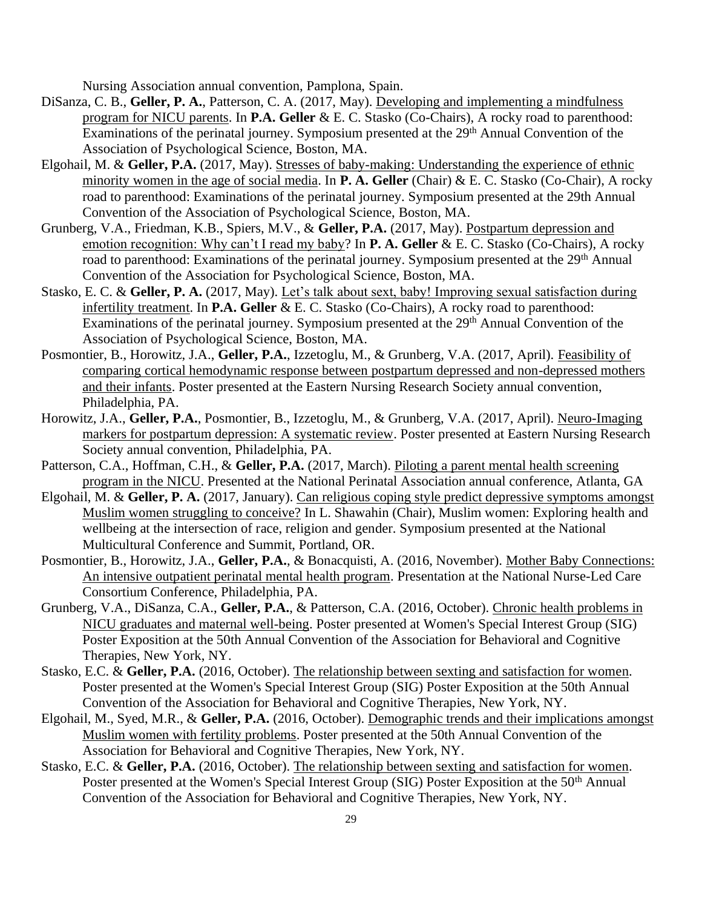Nursing Association annual convention, Pamplona, Spain.

- DiSanza, C. B., **Geller, P. A.**, Patterson, C. A. (2017, May). Developing and implementing a mindfulness program for NICU parents. In **P.A. Geller** & E. C. Stasko (Co-Chairs), A rocky road to parenthood: Examinations of the perinatal journey. Symposium presented at the 29<sup>th</sup> Annual Convention of the Association of Psychological Science, Boston, MA.
- Elgohail, M. & **Geller, P.A.** (2017, May). Stresses of baby-making: Understanding the experience of ethnic minority women in the age of social media. In **P. A. Geller** (Chair) & E. C. Stasko (Co-Chair), A rocky road to parenthood: Examinations of the perinatal journey. Symposium presented at the 29th Annual Convention of the Association of Psychological Science, Boston, MA.
- Grunberg, V.A., Friedman, K.B., Spiers, M.V., & **Geller, P.A.** (2017, May). Postpartum depression and emotion recognition: Why can't I read my baby? In **P. A. Geller** & E. C. Stasko (Co-Chairs), A rocky road to parenthood: Examinations of the perinatal journey. Symposium presented at the 29<sup>th</sup> Annual Convention of the Association for Psychological Science, Boston, MA.
- Stasko, E. C. & **Geller, P. A.** (2017, May). Let's talk about sext, baby! Improving sexual satisfaction during infertility treatment. In **P.A. Geller** & E. C. Stasko (Co-Chairs), A rocky road to parenthood: Examinations of the perinatal journey. Symposium presented at the 29<sup>th</sup> Annual Convention of the Association of Psychological Science, Boston, MA.
- Posmontier, B., Horowitz, J.A., **Geller, P.A.**, Izzetoglu, M., & Grunberg, V.A. (2017, April). Feasibility of comparing cortical hemodynamic response between postpartum depressed and non-depressed mothers and their infants. Poster presented at the Eastern Nursing Research Society annual convention, Philadelphia, PA.
- Horowitz, J.A., **Geller, P.A.**, Posmontier, B., Izzetoglu, M., & Grunberg, V.A. (2017, April). Neuro-Imaging markers for postpartum depression: A systematic review. Poster presented at Eastern Nursing Research Society annual convention, Philadelphia, PA.
- Patterson, C.A., Hoffman, C.H., & Geller, P.A. (2017, March). Piloting a parent mental health screening program in the NICU. Presented at the National Perinatal Association annual conference, Atlanta, GA
- Elgohail, M. & **Geller, P. A.** (2017, January). Can religious coping style predict depressive symptoms amongst Muslim women struggling to conceive? In L. Shawahin (Chair), Muslim women: Exploring health and wellbeing at the intersection of race, religion and gender. Symposium presented at the National Multicultural Conference and Summit, Portland, OR.
- Posmontier, B., Horowitz, J.A., **Geller, P.A.**, & Bonacquisti, A. (2016, November). Mother Baby Connections: An intensive outpatient perinatal mental health program. Presentation at the National Nurse-Led Care Consortium Conference, Philadelphia, PA.
- Grunberg, V.A., DiSanza, C.A., **Geller, P.A.**, & Patterson, C.A. (2016, October). Chronic health problems in NICU graduates and maternal well-being. Poster presented at Women's Special Interest Group (SIG) Poster Exposition at the 50th Annual Convention of the Association for Behavioral and Cognitive Therapies, New York, NY.
- Stasko, E.C. & **Geller, P.A.** (2016, October). The relationship between sexting and satisfaction for women. Poster presented at the Women's Special Interest Group (SIG) Poster Exposition at the 50th Annual Convention of the Association for Behavioral and Cognitive Therapies, New York, NY.
- Elgohail, M., Syed, M.R., & **Geller, P.A.** (2016, October). Demographic trends and their implications amongst Muslim women with fertility problems. Poster presented at the 50th Annual Convention of the Association for Behavioral and Cognitive Therapies, New York, NY.
- Stasko, E.C. & **Geller, P.A.** (2016, October). The relationship between sexting and satisfaction for women. Poster presented at the Women's Special Interest Group (SIG) Poster Exposition at the 50<sup>th</sup> Annual Convention of the Association for Behavioral and Cognitive Therapies, New York, NY.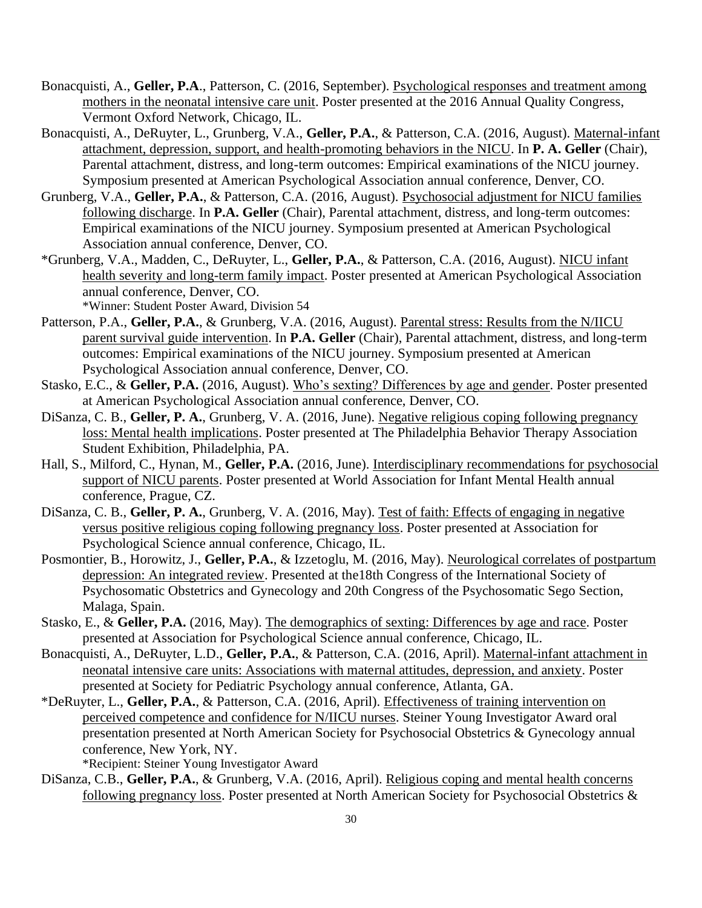- Bonacquisti, A., **Geller, P.A**., Patterson, C. (2016, September). Psychological responses and treatment among mothers in the neonatal intensive care unit. Poster presented at the 2016 Annual Quality Congress, Vermont Oxford Network, Chicago, IL.
- Bonacquisti, A., DeRuyter, L., Grunberg, V.A., **Geller, P.A.**, & Patterson, C.A. (2016, August). Maternal-infant attachment, depression, support, and health-promoting behaviors in the NICU. In **P. A. Geller** (Chair), Parental attachment, distress, and long-term outcomes: Empirical examinations of the NICU journey. Symposium presented at American Psychological Association annual conference, Denver, CO.
- Grunberg, V.A., **Geller, P.A.**, & Patterson, C.A. (2016, August). Psychosocial adjustment for NICU families following discharge. In **P.A. Geller** (Chair), Parental attachment, distress, and long-term outcomes: Empirical examinations of the NICU journey. Symposium presented at American Psychological Association annual conference, Denver, CO.
- \*Grunberg, V.A., Madden, C., DeRuyter, L., **Geller, P.A.**, & Patterson, C.A. (2016, August). NICU infant health severity and long-term family impact. Poster presented at American Psychological Association annual conference, Denver, CO.

\*Winner: Student Poster Award, Division 54

- Patterson, P.A., **Geller, P.A.**, & Grunberg, V.A. (2016, August). Parental stress: Results from the N/IICU parent survival guide intervention. In **P.A. Geller** (Chair), Parental attachment, distress, and long-term outcomes: Empirical examinations of the NICU journey. Symposium presented at American Psychological Association annual conference, Denver, CO.
- Stasko, E.C., & **Geller, P.A.** (2016, August). Who's sexting? Differences by age and gender. Poster presented at American Psychological Association annual conference, Denver, CO.
- DiSanza, C. B., **Geller, P. A.**, Grunberg, V. A. (2016, June). Negative religious coping following pregnancy loss: Mental health implications. Poster presented at The Philadelphia Behavior Therapy Association Student Exhibition, Philadelphia, PA.
- Hall, S., Milford, C., Hynan, M., **Geller, P.A.** (2016, June). Interdisciplinary recommendations for psychosocial support of NICU parents. Poster presented at World Association for Infant Mental Health annual conference, Prague, CZ.
- DiSanza, C. B., **Geller, P. A.**, Grunberg, V. A. (2016, May). Test of faith: Effects of engaging in negative versus positive religious coping following pregnancy loss. Poster presented at Association for Psychological Science annual conference, Chicago, IL.
- Posmontier, B., Horowitz, J., **Geller, P.A.**, & Izzetoglu, M. (2016, May). Neurological correlates of postpartum depression: An integrated review. Presented at the18th Congress of the International Society of Psychosomatic Obstetrics and Gynecology and 20th Congress of the Psychosomatic Sego Section, Malaga, Spain.
- Stasko, E., & **Geller, P.A.** (2016, May). The demographics of sexting: Differences by age and race. Poster presented at Association for Psychological Science annual conference, Chicago, IL.
- Bonacquisti, A., DeRuyter, L.D., **Geller, P.A.**, & Patterson, C.A. (2016, April). Maternal-infant attachment in neonatal intensive care units: Associations with maternal attitudes, depression, and anxiety. Poster presented at Society for Pediatric Psychology annual conference, Atlanta, GA.
- \*DeRuyter, L., **Geller, P.A.**, & Patterson, C.A. (2016, April). Effectiveness of training intervention on perceived competence and confidence for N/IICU nurses. Steiner Young Investigator Award oral presentation presented at North American Society for Psychosocial Obstetrics & Gynecology annual conference, New York, NY.

\*Recipient: Steiner Young Investigator Award

DiSanza, C.B., **Geller, P.A.**, & Grunberg, V.A. (2016, April). Religious coping and mental health concerns following pregnancy loss. Poster presented at North American Society for Psychosocial Obstetrics &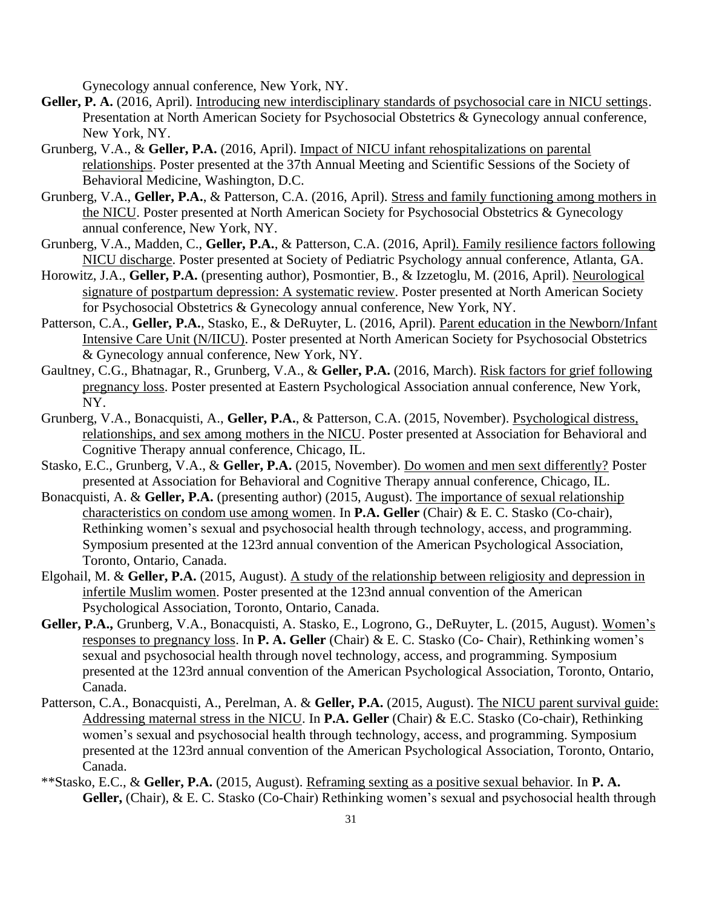Gynecology annual conference, New York, NY.

- **Geller, P. A.** (2016, April). Introducing new interdisciplinary standards of psychosocial care in NICU settings. Presentation at North American Society for Psychosocial Obstetrics & Gynecology annual conference, New York, NY.
- Grunberg, V.A., & **Geller, P.A.** (2016, April). Impact of NICU infant rehospitalizations on parental relationships. Poster presented at the 37th Annual Meeting and Scientific Sessions of the Society of Behavioral Medicine, Washington, D.C.
- Grunberg, V.A., **Geller, P.A.**, & Patterson, C.A. (2016, April). Stress and family functioning among mothers in the NICU. Poster presented at North American Society for Psychosocial Obstetrics & Gynecology annual conference, New York, NY.
- Grunberg, V.A., Madden, C., **Geller, P.A.**, & Patterson, C.A. (2016, April). Family resilience factors following NICU discharge. Poster presented at Society of Pediatric Psychology annual conference, Atlanta, GA.
- Horowitz, J.A., **Geller, P.A.** (presenting author), Posmontier, B., & Izzetoglu, M. (2016, April). Neurological signature of postpartum depression: A systematic review. Poster presented at North American Society for Psychosocial Obstetrics & Gynecology annual conference, New York, NY.
- Patterson, C.A., **Geller, P.A.**, Stasko, E., & DeRuyter, L. (2016, April). Parent education in the Newborn/Infant Intensive Care Unit (N/IICU). Poster presented at North American Society for Psychosocial Obstetrics & Gynecology annual conference, New York, NY.
- Gaultney, C.G., Bhatnagar, R., Grunberg, V.A., & **Geller, P.A.** (2016, March). Risk factors for grief following pregnancy loss. Poster presented at Eastern Psychological Association annual conference, New York, NY.
- Grunberg, V.A., Bonacquisti, A., **Geller, P.A.**, & Patterson, C.A. (2015, November). Psychological distress, relationships, and sex among mothers in the NICU. Poster presented at Association for Behavioral and Cognitive Therapy annual conference, Chicago, IL.
- Stasko, E.C., Grunberg, V.A., & **Geller, P.A.** (2015, November). Do women and men sext differently? Poster presented at Association for Behavioral and Cognitive Therapy annual conference, Chicago, IL.
- Bonacquisti, A. & **Geller, P.A.** (presenting author) (2015, August). The importance of sexual relationship characteristics on condom use among women. In **P.A. Geller** (Chair) & E. C. Stasko (Co-chair), Rethinking women's sexual and psychosocial health through technology, access, and programming. Symposium presented at the 123rd annual convention of the American Psychological Association, Toronto, Ontario, Canada.
- Elgohail, M. & **Geller, P.A.** (2015, August). A study of the relationship between religiosity and depression in infertile Muslim women. Poster presented at the 123nd annual convention of the American Psychological Association, Toronto, Ontario, Canada.
- **Geller, P.A.,** Grunberg, V.A., Bonacquisti, A. Stasko, E., Logrono, G., DeRuyter, L. (2015, August). Women's responses to pregnancy loss. In **P. A. Geller** (Chair) & E. C. Stasko (Co- Chair), Rethinking women's sexual and psychosocial health through novel technology, access, and programming. Symposium presented at the 123rd annual convention of the American Psychological Association, Toronto, Ontario, Canada.
- Patterson, C.A., Bonacquisti, A., Perelman, A. & **Geller, P.A.** (2015, August). The NICU parent survival guide: Addressing maternal stress in the NICU. In **P.A. Geller** (Chair) & E.C. Stasko (Co-chair), Rethinking women's sexual and psychosocial health through technology, access, and programming. Symposium presented at the 123rd annual convention of the American Psychological Association, Toronto, Ontario, Canada.
- \*\*Stasko, E.C., & **Geller, P.A.** (2015, August). Reframing sexting as a positive sexual behavior. In **P. A. Geller,** (Chair), & E. C. Stasko (Co-Chair) Rethinking women's sexual and psychosocial health through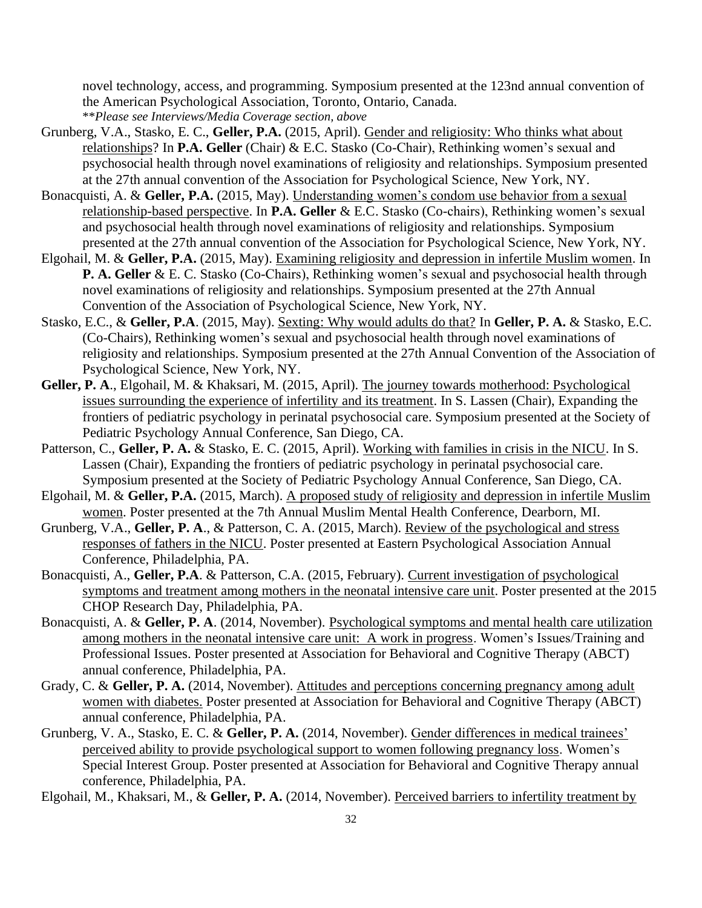novel technology, access, and programming. Symposium presented at the 123nd annual convention of the American Psychological Association, Toronto, Ontario, Canada. \*\**Please see Interviews/Media Coverage section, above*

- Grunberg, V.A., Stasko, E. C., **Geller, P.A.** (2015, April). Gender and religiosity: Who thinks what about relationships? In **P.A. Geller** (Chair) & E.C. Stasko (Co-Chair), Rethinking women's sexual and psychosocial health through novel examinations of religiosity and relationships. Symposium presented at the 27th annual convention of the Association for Psychological Science, New York, NY.
- Bonacquisti, A. & **Geller, P.A.** (2015, May). Understanding women's condom use behavior from a sexual relationship-based perspective. In **P.A. Geller** & E.C. Stasko (Co-chairs), Rethinking women's sexual and psychosocial health through novel examinations of religiosity and relationships. Symposium presented at the 27th annual convention of the Association for Psychological Science, New York, NY.
- Elgohail, M. & **Geller, P.A.** (2015, May). Examining religiosity and depression in infertile Muslim women. In **P. A. Geller** & E. C. Stasko (Co-Chairs), Rethinking women's sexual and psychosocial health through novel examinations of religiosity and relationships. Symposium presented at the 27th Annual Convention of the Association of Psychological Science, New York, NY.
- Stasko, E.C., & **Geller, P.A**. (2015, May). Sexting: Why would adults do that? In **Geller, P. A.** & Stasko, E.C. (Co-Chairs), Rethinking women's sexual and psychosocial health through novel examinations of religiosity and relationships. Symposium presented at the 27th Annual Convention of the Association of Psychological Science, New York, NY.
- **Geller, P. A**., Elgohail, M. & Khaksari, M. (2015, April). The journey towards motherhood: Psychological issues surrounding the experience of infertility and its treatment. In S. Lassen (Chair), Expanding the frontiers of pediatric psychology in perinatal psychosocial care. Symposium presented at the Society of Pediatric Psychology Annual Conference, San Diego, CA.
- Patterson, C., **Geller, P. A.** & Stasko, E. C. (2015, April). Working with families in crisis in the NICU. In S. Lassen (Chair), Expanding the frontiers of pediatric psychology in perinatal psychosocial care. Symposium presented at the Society of Pediatric Psychology Annual Conference, San Diego, CA.
- Elgohail, M. & **Geller, P.A.** (2015, March). A proposed study of religiosity and depression in infertile Muslim women. Poster presented at the 7th Annual Muslim Mental Health Conference, Dearborn, MI.
- Grunberg, V.A., **Geller, P. A**., & Patterson, C. A. (2015, March). Review of the psychological and stress responses of fathers in the NICU. Poster presented at Eastern Psychological Association Annual Conference, Philadelphia, PA.
- Bonacquisti, A., **Geller, P.A**. & Patterson, C.A. (2015, February). Current investigation of psychological symptoms and treatment among mothers in the neonatal intensive care unit. Poster presented at the 2015 CHOP Research Day, Philadelphia, PA.
- Bonacquisti, A. & **Geller, P. A**. (2014, November). Psychological symptoms and mental health care utilization among mothers in the neonatal intensive care unit: A work in progress. Women's Issues/Training and Professional Issues. Poster presented at Association for Behavioral and Cognitive Therapy (ABCT) annual conference, Philadelphia, PA.
- Grady, C. & **Geller, P. A.** (2014, November). Attitudes and perceptions concerning pregnancy among adult women with diabetes. Poster presented at Association for Behavioral and Cognitive Therapy (ABCT) annual conference, Philadelphia, PA.
- Grunberg, V. A., Stasko, E. C. & **Geller, P. A.** (2014, November). Gender differences in medical trainees' perceived ability to provide psychological support to women following pregnancy loss. Women's Special Interest Group. Poster presented at Association for Behavioral and Cognitive Therapy annual conference, Philadelphia, PA.

Elgohail, M., Khaksari, M., & **Geller, P. A.** (2014, November). Perceived barriers to infertility treatment by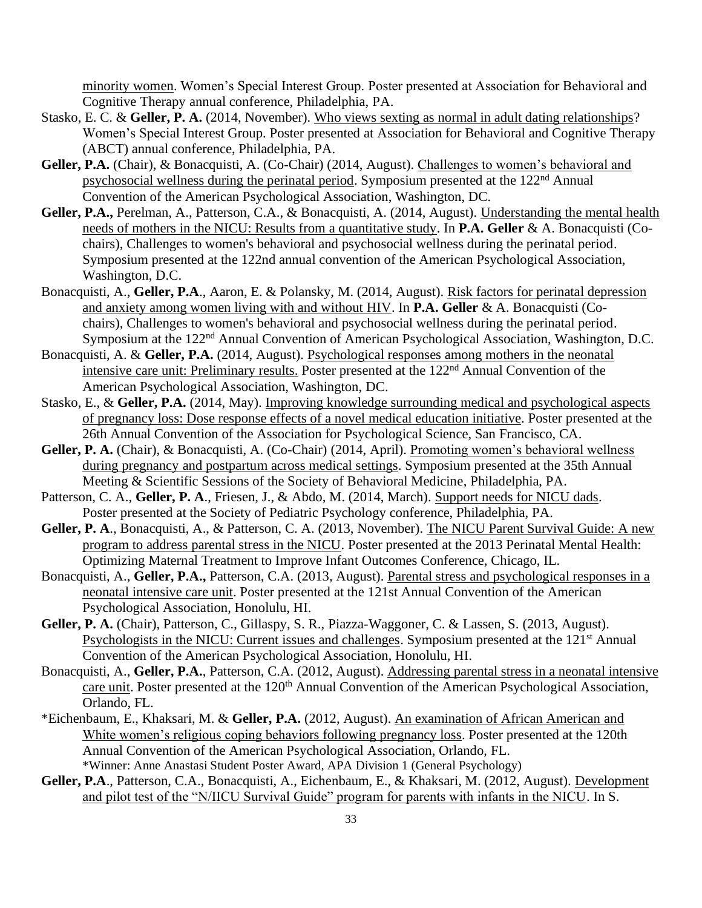minority women. Women's Special Interest Group. Poster presented at Association for Behavioral and Cognitive Therapy annual conference, Philadelphia, PA.

- Stasko, E. C. & **Geller, P. A.** (2014, November). Who views sexting as normal in adult dating relationships? Women's Special Interest Group. Poster presented at Association for Behavioral and Cognitive Therapy (ABCT) annual conference, Philadelphia, PA.
- Geller, P.A. (Chair), & Bonacquisti, A. (Co-Chair) (2014, August). Challenges to women's behavioral and psychosocial wellness during the perinatal period. Symposium presented at the 122nd Annual Convention of the American Psychological Association, Washington, DC.
- Geller, P.A., Perelman, A., Patterson, C.A., & Bonacquisti, A. (2014, August). Understanding the mental health needs of mothers in the NICU: Results from a quantitative study. In **P.A. Geller** & A. Bonacquisti (Cochairs), Challenges to women's behavioral and psychosocial wellness during the perinatal period. Symposium presented at the 122nd annual convention of the American Psychological Association, Washington, D.C.
- Bonacquisti, A., **Geller, P.A**., Aaron, E. & Polansky, M. (2014, August). Risk factors for perinatal depression and anxiety among women living with and without HIV. In **P.A. Geller** & A. Bonacquisti (Cochairs), Challenges to women's behavioral and psychosocial wellness during the perinatal period. Symposium at the 122nd Annual Convention of American Psychological Association, Washington, D.C.
- Bonacquisti, A. & **Geller, P.A.** (2014, August). Psychological responses among mothers in the neonatal intensive care unit: Preliminary results. Poster presented at the 122<sup>nd</sup> Annual Convention of the American Psychological Association, Washington, DC.
- Stasko, E., & **Geller, P.A.** (2014, May). Improving knowledge surrounding medical and psychological aspects of pregnancy loss: Dose response effects of a novel medical education initiative. Poster presented at the 26th Annual Convention of the Association for Psychological Science, San Francisco, CA.
- Geller, P. A. (Chair), & Bonacquisti, A. (Co-Chair) (2014, April). Promoting women's behavioral wellness during pregnancy and postpartum across medical settings. Symposium presented at the 35th Annual Meeting & Scientific Sessions of the Society of Behavioral Medicine, Philadelphia, PA.
- Patterson, C. A., **Geller, P. A**., Friesen, J., & Abdo, M. (2014, March). Support needs for NICU dads. Poster presented at the Society of Pediatric Psychology conference, Philadelphia, PA.
- **Geller, P. A**., Bonacquisti, A., & Patterson, C. A. (2013, November). The NICU Parent Survival Guide: A new program to address parental stress in the NICU. Poster presented at the 2013 Perinatal Mental Health: Optimizing Maternal Treatment to Improve Infant Outcomes Conference, Chicago, IL.
- Bonacquisti, A., **Geller, P.A.,** Patterson, C.A. (2013, August). Parental stress and psychological responses in a neonatal intensive care unit. Poster presented at the 121st Annual Convention of the American Psychological Association, Honolulu, HI.
- **Geller, P. A.** (Chair), Patterson, C., Gillaspy, S. R., Piazza-Waggoner, C. & Lassen, S. (2013, August). Psychologists in the NICU: Current issues and challenges. Symposium presented at the 121<sup>st</sup> Annual Convention of the American Psychological Association, Honolulu, HI.
- Bonacquisti, A., **Geller, P.A.**, Patterson, C.A. (2012, August). Addressing parental stress in a neonatal intensive care unit. Poster presented at the 120<sup>th</sup> Annual Convention of the American Psychological Association, Orlando, FL.
- \*Eichenbaum, E., Khaksari, M. & **Geller, P.A.** (2012, August). An examination of African American and White women's religious coping behaviors following pregnancy loss. Poster presented at the 120th Annual Convention of the American Psychological Association, Orlando, FL. \*Winner: Anne Anastasi Student Poster Award, APA Division 1 (General Psychology)
- **Geller, P.A**., Patterson, C.A., Bonacquisti, A., Eichenbaum, E., & Khaksari, M. (2012, August). Development and pilot test of the "N/IICU Survival Guide" program for parents with infants in the NICU. In S.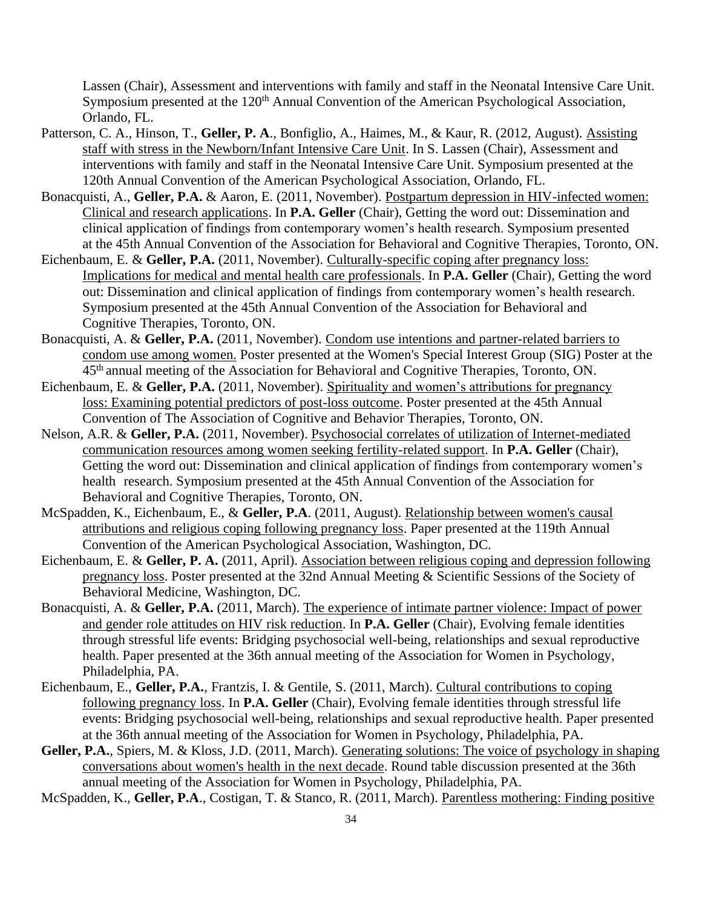Lassen (Chair), Assessment and interventions with family and staff in the Neonatal Intensive Care Unit. Symposium presented at the 120<sup>th</sup> Annual Convention of the American Psychological Association, Orlando, FL.

- Patterson, C. A., Hinson, T., **Geller, P. A**., Bonfiglio, A., Haimes, M., & Kaur, R. (2012, August). Assisting staff with stress in the Newborn/Infant Intensive Care Unit. In S. Lassen (Chair), Assessment and interventions with family and staff in the Neonatal Intensive Care Unit. Symposium presented at the 120th Annual Convention of the American Psychological Association, Orlando, FL.
- Bonacquisti, A., **Geller, P.A.** & Aaron, E. (2011, November). Postpartum depression in HIV-infected women: Clinical and research applications. In **P.A. Geller** (Chair), Getting the word out: Dissemination and clinical application of findings from contemporary women's health research. Symposium presented at the 45th Annual Convention of the Association for Behavioral and Cognitive Therapies, Toronto, ON.
- Eichenbaum, E. & **Geller, P.A.** (2011, November). Culturally-specific coping after pregnancy loss: Implications for medical and mental health care professionals. In **P.A. Geller** (Chair), Getting the word out: Dissemination and clinical application of findings from contemporary women's health research. Symposium presented at the 45th Annual Convention of the Association for Behavioral and Cognitive Therapies, Toronto, ON.
- Bonacquisti, A. & **Geller, P.A.** (2011, November). Condom use intentions and partner-related barriers to condom use among women. Poster presented at the Women's Special Interest Group (SIG) Poster at the 45th annual meeting of the Association for Behavioral and Cognitive Therapies, Toronto, ON.
- Eichenbaum, E. & **Geller, P.A.** (2011, November). Spirituality and women's attributions for pregnancy loss: Examining potential predictors of post-loss outcome. Poster presented at the 45th Annual Convention of The Association of Cognitive and Behavior Therapies, Toronto, ON.
- Nelson, A.R. & **Geller, P.A.** (2011, November). Psychosocial correlates of utilization of Internet-mediated communication resources among women seeking fertility-related support. In **P.A. Geller** (Chair), Getting the word out: Dissemination and clinical application of findings from contemporary women's health research. Symposium presented at the 45th Annual Convention of the Association for Behavioral and Cognitive Therapies, Toronto, ON.
- McSpadden, K., Eichenbaum, E., & **Geller, P.A**. (2011, August). Relationship between women's causal attributions and religious coping following pregnancy loss. Paper presented at the 119th Annual Convention of the American Psychological Association, Washington, DC.
- Eichenbaum, E. & **Geller, P. A.** (2011, April). Association between religious coping and depression following pregnancy loss. Poster presented at the 32nd Annual Meeting & Scientific Sessions of the Society of Behavioral Medicine, Washington, DC.
- Bonacquisti, A. & **Geller, P.A.** (2011, March). The experience of intimate partner violence: Impact of power and gender role attitudes on HIV risk reduction. In **P.A. Geller** (Chair), Evolving female identities through stressful life events: Bridging psychosocial well-being, relationships and sexual reproductive health. Paper presented at the 36th annual meeting of the Association for Women in Psychology, Philadelphia, PA.
- Eichenbaum, E., **Geller, P.A.**, Frantzis, I. & Gentile, S. (2011, March). Cultural contributions to coping following pregnancy loss. In **P.A. Geller** (Chair), Evolving female identities through stressful life events: Bridging psychosocial well-being, relationships and sexual reproductive health. Paper presented at the 36th annual meeting of the Association for Women in Psychology, Philadelphia, PA.
- Geller, P.A., Spiers, M. & Kloss, J.D. (2011, March). Generating solutions: The voice of psychology in shaping conversations about women's health in the next decade. Round table discussion presented at the 36th annual meeting of the Association for Women in Psychology, Philadelphia, PA.
- McSpadden, K., **Geller, P.A**., Costigan, T. & Stanco, R. (2011, March). Parentless mothering: Finding positive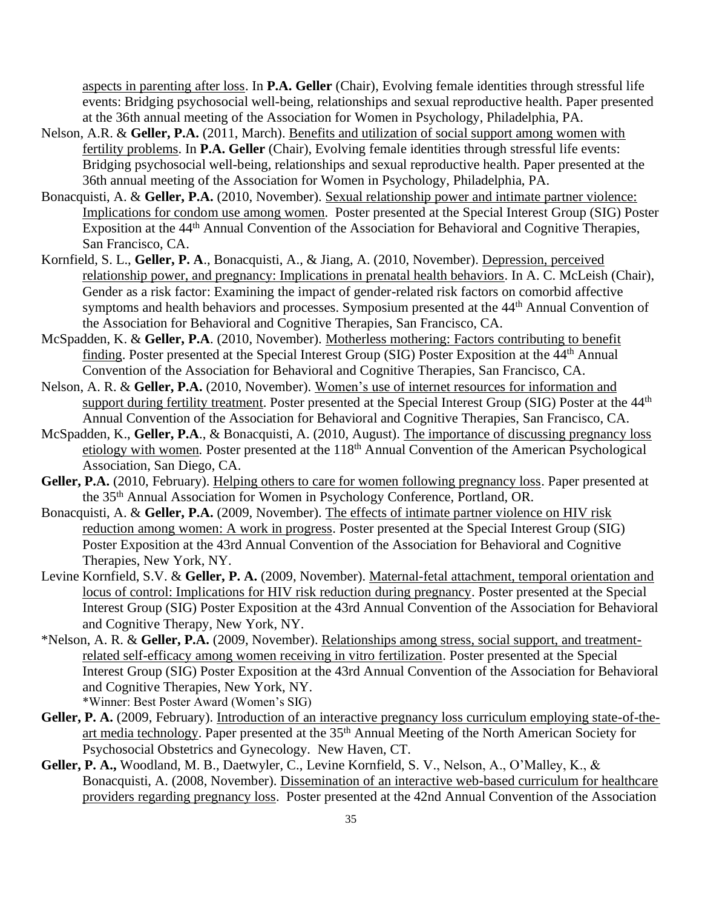aspects in parenting after loss. In **P.A. Geller** (Chair), Evolving female identities through stressful life events: Bridging psychosocial well-being, relationships and sexual reproductive health. Paper presented at the 36th annual meeting of the Association for Women in Psychology, Philadelphia, PA.

- Nelson, A.R. & **Geller, P.A.** (2011, March). Benefits and utilization of social support among women with fertility problems. In **P.A. Geller** (Chair), Evolving female identities through stressful life events: Bridging psychosocial well-being, relationships and sexual reproductive health. Paper presented at the 36th annual meeting of the Association for Women in Psychology, Philadelphia, PA.
- Bonacquisti, A. & **Geller, P.A.** (2010, November). Sexual relationship power and intimate partner violence: Implications for condom use among women. Poster presented at the Special Interest Group (SIG) Poster Exposition at the 44th Annual Convention of the Association for Behavioral and Cognitive Therapies, San Francisco, CA.
- Kornfield, S. L., **Geller, P. A**., Bonacquisti, A., & Jiang, A. (2010, November). Depression, perceived relationship power, and pregnancy: Implications in prenatal health behaviors. In A. C. McLeish (Chair), Gender as a risk factor: Examining the impact of gender-related risk factors on comorbid affective symptoms and health behaviors and processes. Symposium presented at the 44<sup>th</sup> Annual Convention of the Association for Behavioral and Cognitive Therapies, San Francisco, CA.
- McSpadden, K. & **Geller, P.A**. (2010, November). Motherless mothering: Factors contributing to benefit finding. Poster presented at the Special Interest Group (SIG) Poster Exposition at the 44<sup>th</sup> Annual Convention of the Association for Behavioral and Cognitive Therapies, San Francisco, CA.
- Nelson, A. R. & **Geller, P.A.** (2010, November). Women's use of internet resources for information and support during fertility treatment. Poster presented at the Special Interest Group (SIG) Poster at the 44<sup>th</sup> Annual Convention of the Association for Behavioral and Cognitive Therapies, San Francisco, CA.
- McSpadden, K., **Geller, P.A**., & Bonacquisti, A. (2010, August). The importance of discussing pregnancy loss etiology with women*.* Poster presented at the 118th Annual Convention of the American Psychological Association, San Diego, CA.
- **Geller, P.A.** (2010, February). Helping others to care for women following pregnancy loss. Paper presented at the 35th Annual Association for Women in Psychology Conference, Portland, OR.
- Bonacquisti, A. & **Geller, P.A.** (2009, November). The effects of intimate partner violence on HIV risk reduction among women: A work in progress. Poster presented at the Special Interest Group (SIG) Poster Exposition at the 43rd Annual Convention of the Association for Behavioral and Cognitive Therapies, New York, NY.
- Levine Kornfield, S.V. & **Geller, P. A.** (2009, November). Maternal-fetal attachment, temporal orientation and locus of control: Implications for HIV risk reduction during pregnancy. Poster presented at the Special Interest Group (SIG) Poster Exposition at the 43rd Annual Convention of the Association for Behavioral and Cognitive Therapy, New York, NY.
- \*Nelson, A. R. & **Geller, P.A.** (2009, November). Relationships among stress, social support, and treatmentrelated self-efficacy among women receiving in vitro fertilization. Poster presented at the Special Interest Group (SIG) Poster Exposition at the 43rd Annual Convention of the Association for Behavioral and Cognitive Therapies, New York, NY. \*Winner: Best Poster Award (Women's SIG)
- Geller, P. A. (2009, February). Introduction of an interactive pregnancy loss curriculum employing state-of-theart media technology. Paper presented at the 35<sup>th</sup> Annual Meeting of the North American Society for Psychosocial Obstetrics and Gynecology. New Haven, CT.
- **Geller, P. A.,** Woodland, M. B., Daetwyler, C., Levine Kornfield, S. V., Nelson, A., O'Malley, K., & Bonacquisti, A. (2008, November). Dissemination of an interactive web-based curriculum for healthcare providers regarding pregnancy loss. Poster presented at the 42nd Annual Convention of the Association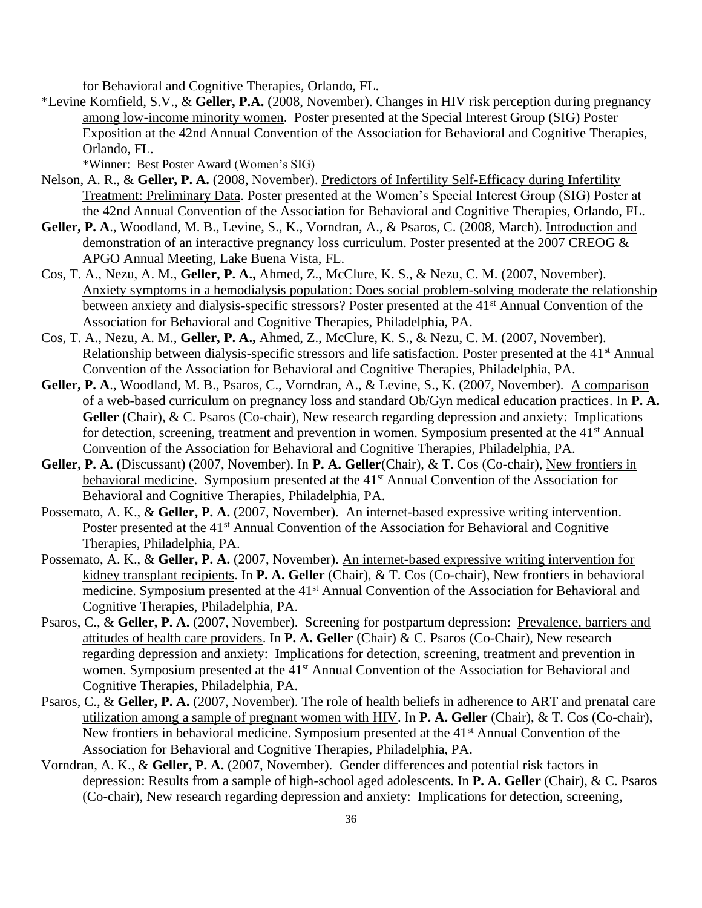for Behavioral and Cognitive Therapies, Orlando, FL.

\*Levine Kornfield, S.V., & **Geller, P.A.** (2008, November). Changes in HIV risk perception during pregnancy among low-income minority women. Poster presented at the Special Interest Group (SIG) Poster Exposition at the 42nd Annual Convention of the Association for Behavioral and Cognitive Therapies, Orlando, FL.

\*Winner: Best Poster Award (Women's SIG)

- Nelson, A. R., & **Geller, P. A.** (2008, November). Predictors of Infertility Self-Efficacy during Infertility Treatment: Preliminary Data. Poster presented at the Women's Special Interest Group (SIG) Poster at the 42nd Annual Convention of the Association for Behavioral and Cognitive Therapies, Orlando, FL.
- **Geller, P. A**., Woodland, M. B., Levine, S., K., Vorndran, A., & Psaros, C. (2008, March). Introduction and demonstration of an interactive pregnancy loss curriculum. Poster presented at the 2007 CREOG & APGO Annual Meeting, Lake Buena Vista, FL.
- Cos, T. A., Nezu, A. M., **Geller, P. A.,** Ahmed, Z., McClure, K. S., & Nezu, C. M. (2007, November). Anxiety symptoms in a hemodialysis population: Does social problem-solving moderate the relationship between anxiety and dialysis-specific stressors? Poster presented at the 41<sup>st</sup> Annual Convention of the Association for Behavioral and Cognitive Therapies, Philadelphia, PA.
- Cos, T. A., Nezu, A. M., **Geller, P. A.,** Ahmed, Z., McClure, K. S., & Nezu, C. M. (2007, November). Relationship between dialysis-specific stressors and life satisfaction. Poster presented at the 41<sup>st</sup> Annual Convention of the Association for Behavioral and Cognitive Therapies, Philadelphia, PA.
- **Geller, P. A**., Woodland, M. B., Psaros, C., Vorndran, A., & Levine, S., K. (2007, November). A comparison of a web-based curriculum on pregnancy loss and standard Ob/Gyn medical education practices. In **P. A.**  Geller (Chair), & C. Psaros (Co-chair), New research regarding depression and anxiety: Implications for detection, screening, treatment and prevention in women. Symposium presented at the 41<sup>st</sup> Annual Convention of the Association for Behavioral and Cognitive Therapies, Philadelphia, PA.
- **Geller, P. A.** (Discussant) (2007, November). In **P. A. Geller**(Chair), & T. Cos (Co-chair), New frontiers in behavioral medicine. Symposium presented at the 41<sup>st</sup> Annual Convention of the Association for Behavioral and Cognitive Therapies, Philadelphia, PA.
- Possemato, A. K., & **Geller, P. A.** (2007, November). An internet-based expressive writing intervention. Poster presented at the 41<sup>st</sup> Annual Convention of the Association for Behavioral and Cognitive Therapies, Philadelphia, PA.
- Possemato, A. K., & **Geller, P. A.** (2007, November). An internet-based expressive writing intervention for kidney transplant recipients. In **P. A. Geller** (Chair), & T. Cos (Co-chair), New frontiers in behavioral medicine. Symposium presented at the 41<sup>st</sup> Annual Convention of the Association for Behavioral and Cognitive Therapies, Philadelphia, PA.
- Psaros, C., & Geller, P. A. (2007, November). Screening for postpartum depression: Prevalence, barriers and attitudes of health care providers. In **P. A. Geller** (Chair) & C. Psaros (Co-Chair), New research regarding depression and anxiety: Implications for detection, screening, treatment and prevention in women. Symposium presented at the 41<sup>st</sup> Annual Convention of the Association for Behavioral and Cognitive Therapies, Philadelphia, PA.
- Psaros, C., & **Geller, P. A.** (2007, November). The role of health beliefs in adherence to ART and prenatal care utilization among a sample of pregnant women with HIV. In **P. A. Geller** (Chair), & T. Cos (Co-chair), New frontiers in behavioral medicine. Symposium presented at the 41<sup>st</sup> Annual Convention of the Association for Behavioral and Cognitive Therapies, Philadelphia, PA.
- Vorndran, A. K., & **Geller, P. A.** (2007, November). Gender differences and potential risk factors in depression: Results from a sample of high-school aged adolescents. In **P. A. Geller** (Chair), & C. Psaros (Co-chair), New research regarding depression and anxiety: Implications for detection, screening,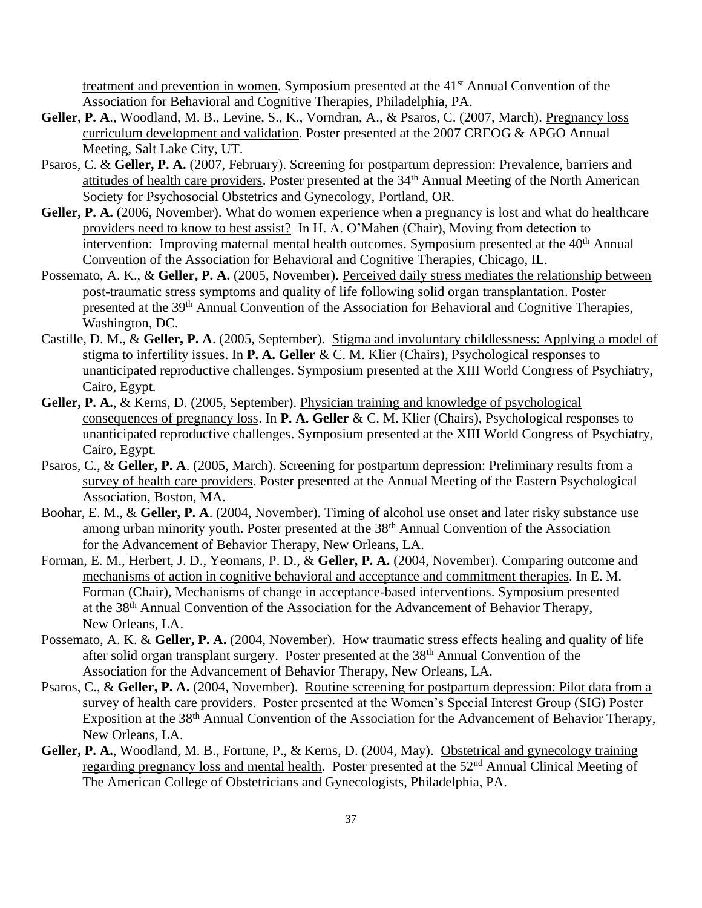treatment and prevention in women. Symposium presented at the 41st Annual Convention of the Association for Behavioral and Cognitive Therapies, Philadelphia, PA.

- **Geller, P. A**., Woodland, M. B., Levine, S., K., Vorndran, A., & Psaros, C. (2007, March). Pregnancy loss curriculum development and validation. Poster presented at the 2007 CREOG & APGO Annual Meeting, Salt Lake City, UT.
- Psaros, C. & **Geller, P. A.** (2007, February). Screening for postpartum depression: Prevalence, barriers and attitudes of health care providers. Poster presented at the 34th Annual Meeting of the North American Society for Psychosocial Obstetrics and Gynecology, Portland, OR.
- Geller, P. A. (2006, November). What do women experience when a pregnancy is lost and what do healthcare providers need to know to best assist? In H. A. O'Mahen (Chair), Moving from detection to intervention: Improving maternal mental health outcomes. Symposium presented at the 40<sup>th</sup> Annual Convention of the Association for Behavioral and Cognitive Therapies, Chicago, IL.
- Possemato, A. K., & **Geller, P. A.** (2005, November). Perceived daily stress mediates the relationship between post-traumatic stress symptoms and quality of life following solid organ transplantation. Poster presented at the 39th Annual Convention of the Association for Behavioral and Cognitive Therapies, Washington, DC.
- Castille, D. M., & **Geller, P. A**. (2005, September). Stigma and involuntary childlessness: Applying a model of stigma to infertility issues. In **P. A. Geller** & C. M. Klier (Chairs), Psychological responses to unanticipated reproductive challenges. Symposium presented at the XIII World Congress of Psychiatry, Cairo, Egypt.
- **Geller, P. A.**, & Kerns, D. (2005, September). Physician training and knowledge of psychological consequences of pregnancy loss. In **P. A. Geller** & C. M. Klier (Chairs), Psychological responses to unanticipated reproductive challenges. Symposium presented at the XIII World Congress of Psychiatry, Cairo, Egypt.
- Psaros, C., & **Geller, P. A**. (2005, March). Screening for postpartum depression: Preliminary results from a survey of health care providers. Poster presented at the Annual Meeting of the Eastern Psychological Association, Boston, MA.
- Boohar, E. M., & **Geller, P. A**. (2004, November). Timing of alcohol use onset and later risky substance use among urban minority youth. Poster presented at the 38<sup>th</sup> Annual Convention of the Association for the Advancement of Behavior Therapy, New Orleans, LA.
- Forman, E. M., Herbert, J. D., Yeomans, P. D., & **Geller, P. A.** (2004, November). Comparing outcome and mechanisms of action in cognitive behavioral and acceptance and commitment therapies. In E. M. Forman (Chair), Mechanisms of change in acceptance-based interventions. Symposium presented at the 38th Annual Convention of the Association for the Advancement of Behavior Therapy, New Orleans, LA.
- Possemato, A. K. & **Geller, P. A.** (2004, November). How traumatic stress effects healing and quality of life after solid organ transplant surgery. Poster presented at the 38<sup>th</sup> Annual Convention of the Association for the Advancement of Behavior Therapy, New Orleans, LA.
- Psaros, C., & **Geller, P. A.** (2004, November). Routine screening for postpartum depression: Pilot data from a survey of health care providers. Poster presented at the Women's Special Interest Group (SIG) Poster Exposition at the 38<sup>th</sup> Annual Convention of the Association for the Advancement of Behavior Therapy, New Orleans, LA.
- Geller, P. A., Woodland, M. B., Fortune, P., & Kerns, D. (2004, May). Obstetrical and gynecology training regarding pregnancy loss and mental health. Poster presented at the 52<sup>nd</sup> Annual Clinical Meeting of The American College of Obstetricians and Gynecologists, Philadelphia, PA.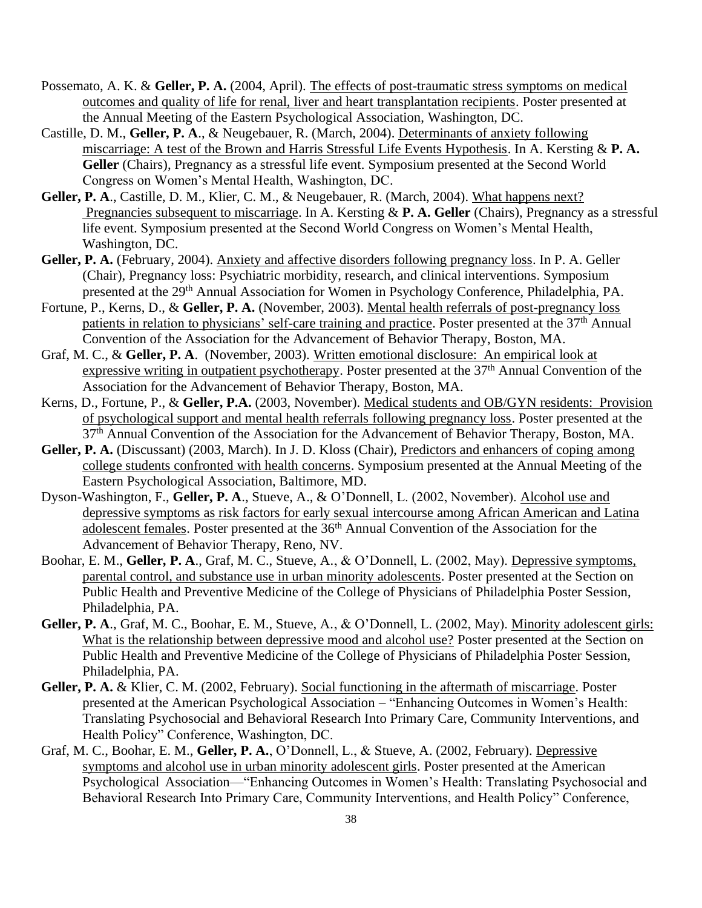- Possemato, A. K. & **Geller, P. A.** (2004, April). The effects of post-traumatic stress symptoms on medical outcomes and quality of life for renal, liver and heart transplantation recipients. Poster presented at the Annual Meeting of the Eastern Psychological Association, Washington, DC.
- Castille, D. M., **Geller, P. A**., & Neugebauer, R. (March, 2004). Determinants of anxiety following miscarriage: A test of the Brown and Harris Stressful Life Events Hypothesis. In A. Kersting & **P. A. Geller** (Chairs), Pregnancy as a stressful life event. Symposium presented at the Second World Congress on Women's Mental Health, Washington, DC.
- Geller, P. A., Castille, D. M., Klier, C. M., & Neugebauer, R. (March, 2004). What happens next? Pregnancies subsequent to miscarriage. In A. Kersting & **P. A. Geller** (Chairs), Pregnancy as a stressful life event. Symposium presented at the Second World Congress on Women's Mental Health, Washington, DC.
- **Geller, P. A.** (February, 2004). Anxiety and affective disorders following pregnancy loss. In P. A. Geller (Chair), Pregnancy loss: Psychiatric morbidity, research, and clinical interventions. Symposium presented at the 29th Annual Association for Women in Psychology Conference, Philadelphia, PA.
- Fortune, P., Kerns, D., & **Geller, P. A.** (November, 2003). Mental health referrals of post-pregnancy loss patients in relation to physicians' self-care training and practice. Poster presented at the 37<sup>th</sup> Annual Convention of the Association for the Advancement of Behavior Therapy, Boston, MA.
- Graf, M. C., & **Geller, P. A**. (November, 2003). Written emotional disclosure: An empirical look at expressive writing in outpatient psychotherapy. Poster presented at the 37<sup>th</sup> Annual Convention of the Association for the Advancement of Behavior Therapy, Boston, MA.
- Kerns, D., Fortune, P., & **Geller, P.A.** (2003, November). Medical students and OB/GYN residents: Provision of psychological support and mental health referrals following pregnancy loss. Poster presented at the 37th Annual Convention of the Association for the Advancement of Behavior Therapy, Boston, MA.
- **Geller, P. A.** (Discussant) (2003, March). In J. D. Kloss (Chair), Predictors and enhancers of coping among college students confronted with health concerns. Symposium presented at the Annual Meeting of the Eastern Psychological Association, Baltimore, MD.
- Dyson-Washington, F., **Geller, P. A**., Stueve, A., & O'Donnell, L. (2002, November). Alcohol use and depressive symptoms as risk factors for early sexual intercourse among African American and Latina adolescent females. Poster presented at the 36th Annual Convention of the Association for the Advancement of Behavior Therapy, Reno, NV.
- Boohar, E. M., **Geller, P. A**., Graf, M. C., Stueve, A., & O'Donnell, L. (2002, May). Depressive symptoms, parental control, and substance use in urban minority adolescents. Poster presented at the Section on Public Health and Preventive Medicine of the College of Physicians of Philadelphia Poster Session, Philadelphia, PA.
- **Geller, P. A**., Graf, M. C., Boohar, E. M., Stueve, A., & O'Donnell, L. (2002, May). Minority adolescent girls: What is the relationship between depressive mood and alcohol use? Poster presented at the Section on Public Health and Preventive Medicine of the College of Physicians of Philadelphia Poster Session, Philadelphia, PA.
- **Geller, P. A.** & Klier, C. M. (2002, February). Social functioning in the aftermath of miscarriage. Poster presented at the American Psychological Association – "Enhancing Outcomes in Women's Health: Translating Psychosocial and Behavioral Research Into Primary Care, Community Interventions, and Health Policy" Conference, Washington, DC.
- Graf, M. C., Boohar, E. M., **Geller, P. A.**, O'Donnell, L., & Stueve, A. (2002, February). Depressive symptoms and alcohol use in urban minority adolescent girls. Poster presented at the American Psychological Association—"Enhancing Outcomes in Women's Health: Translating Psychosocial and Behavioral Research Into Primary Care, Community Interventions, and Health Policy" Conference,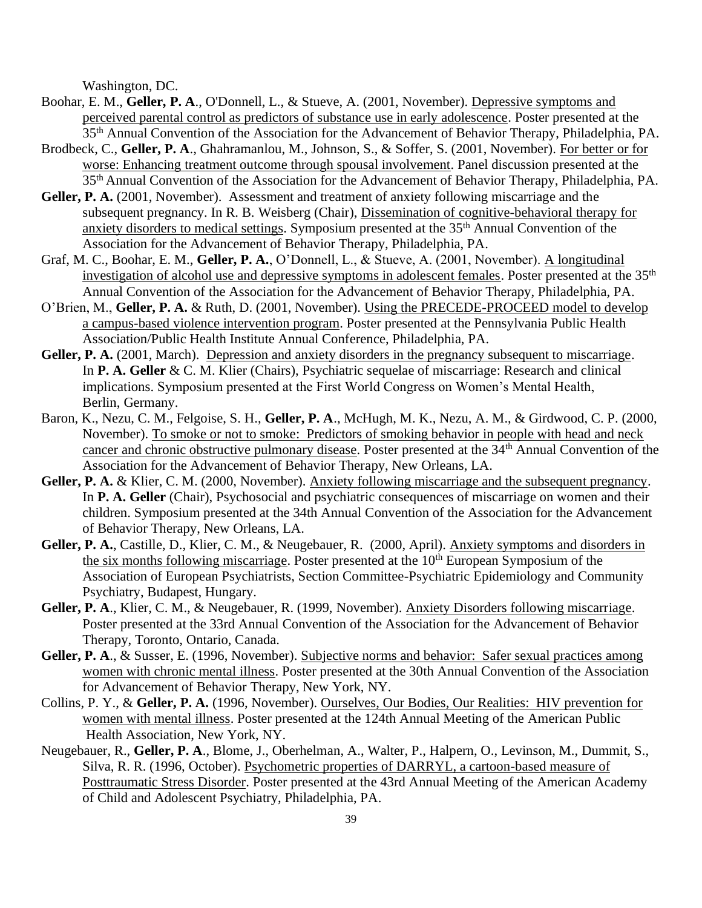Washington, DC.

- Boohar, E. M., **Geller, P. A**., O'Donnell, L., & Stueve, A. (2001, November). Depressive symptoms and perceived parental control as predictors of substance use in early adolescence. Poster presented at the 35th Annual Convention of the Association for the Advancement of Behavior Therapy, Philadelphia, PA.
- Brodbeck, C., **Geller, P. A**., Ghahramanlou, M., Johnson, S., & Soffer, S. (2001, November). For better or for worse: Enhancing treatment outcome through spousal involvement. Panel discussion presented at the 35th Annual Convention of the Association for the Advancement of Behavior Therapy, Philadelphia, PA.
- **Geller, P. A.** (2001, November). Assessment and treatment of anxiety following miscarriage and the subsequent pregnancy. In R. B. Weisberg (Chair), Dissemination of cognitive-behavioral therapy for anxiety disorders to medical settings. Symposium presented at the 35th Annual Convention of the Association for the Advancement of Behavior Therapy, Philadelphia, PA.
- Graf, M. C., Boohar, E. M., **Geller, P. A.**, O'Donnell, L., & Stueve, A. (2001, November). A longitudinal investigation of alcohol use and depressive symptoms in adolescent females. Poster presented at the 35<sup>th</sup> Annual Convention of the Association for the Advancement of Behavior Therapy, Philadelphia, PA.
- O'Brien, M., **Geller, P. A.** & Ruth, D. (2001, November). Using the PRECEDE-PROCEED model to develop a campus-based violence intervention program. Poster presented at the Pennsylvania Public Health Association/Public Health Institute Annual Conference, Philadelphia, PA.
- Geller, P. A. (2001, March). Depression and anxiety disorders in the pregnancy subsequent to miscarriage. In **P. A. Geller** & C. M. Klier (Chairs), Psychiatric sequelae of miscarriage: Research and clinical implications. Symposium presented at the First World Congress on Women's Mental Health, Berlin, Germany.
- Baron, K., Nezu, C. M., Felgoise, S. H., **Geller, P. A**., McHugh, M. K., Nezu, A. M., & Girdwood, C. P. (2000, November). To smoke or not to smoke: Predictors of smoking behavior in people with head and neck cancer and chronic obstructive pulmonary disease. Poster presented at the 34th Annual Convention of the Association for the Advancement of Behavior Therapy, New Orleans, LA.
- **Geller, P. A.** & Klier, C. M. (2000, November). Anxiety following miscarriage and the subsequent pregnancy. In **P. A. Geller** (Chair), Psychosocial and psychiatric consequences of miscarriage on women and their children. Symposium presented at the 34th Annual Convention of the Association for the Advancement of Behavior Therapy, New Orleans, LA.
- **Geller, P. A.**, Castille, D., Klier, C. M., & Neugebauer, R. (2000, April). Anxiety symptoms and disorders in the six months following miscarriage. Poster presented at the 10<sup>th</sup> European Symposium of the Association of European Psychiatrists, Section Committee-Psychiatric Epidemiology and Community Psychiatry, Budapest, Hungary.
- **Geller, P. A**., Klier, C. M., & Neugebauer, R. (1999, November). Anxiety Disorders following miscarriage. Poster presented at the 33rd Annual Convention of the Association for the Advancement of Behavior Therapy, Toronto, Ontario, Canada.
- **Geller, P. A**., & Susser, E. (1996, November). Subjective norms and behavior: Safer sexual practices among women with chronic mental illness. Poster presented at the 30th Annual Convention of the Association for Advancement of Behavior Therapy, New York, NY.
- Collins, P. Y., & **Geller, P. A.** (1996, November). Ourselves, Our Bodies, Our Realities: HIV prevention for women with mental illness. Poster presented at the 124th Annual Meeting of the American Public Health Association, New York, NY.
- Neugebauer, R., **Geller, P. A**., Blome, J., Oberhelman, A., Walter, P., Halpern, O., Levinson, M., Dummit, S., Silva, R. R. (1996, October). Psychometric properties of DARRYL, a cartoon-based measure of Posttraumatic Stress Disorder. Poster presented at the 43rd Annual Meeting of the American Academy of Child and Adolescent Psychiatry, Philadelphia, PA.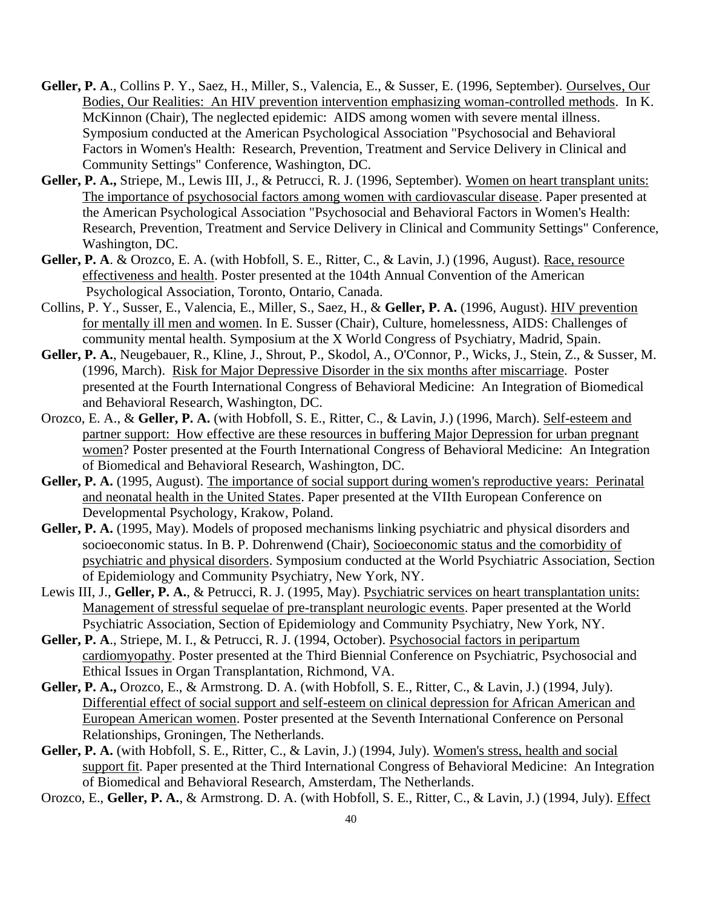- **Geller, P. A**., Collins P. Y., Saez, H., Miller, S., Valencia, E., & Susser, E. (1996, September). Ourselves, Our Bodies, Our Realities: An HIV prevention intervention emphasizing woman-controlled methods. In K. McKinnon (Chair), The neglected epidemic: AIDS among women with severe mental illness. Symposium conducted at the American Psychological Association "Psychosocial and Behavioral Factors in Women's Health: Research, Prevention, Treatment and Service Delivery in Clinical and Community Settings" Conference, Washington, DC.
- **Geller, P. A.,** Striepe, M., Lewis III, J., & Petrucci, R. J. (1996, September). Women on heart transplant units: The importance of psychosocial factors among women with cardiovascular disease. Paper presented at the American Psychological Association "Psychosocial and Behavioral Factors in Women's Health: Research, Prevention, Treatment and Service Delivery in Clinical and Community Settings" Conference, Washington, DC.
- **Geller, P. A**. & Orozco, E. A. (with Hobfoll, S. E., Ritter, C., & Lavin, J.) (1996, August). Race, resource effectiveness and health. Poster presented at the 104th Annual Convention of the American Psychological Association, Toronto, Ontario, Canada.
- Collins, P. Y., Susser, E., Valencia, E., Miller, S., Saez, H., & **Geller, P. A.** (1996, August). HIV prevention for mentally ill men and women. In E. Susser (Chair), Culture, homelessness, AIDS: Challenges of community mental health. Symposium at the X World Congress of Psychiatry, Madrid, Spain.
- **Geller, P. A.**, Neugebauer, R., Kline, J., Shrout, P., Skodol, A., O'Connor, P., Wicks, J., Stein, Z., & Susser, M. (1996, March). Risk for Major Depressive Disorder in the six months after miscarriage. Poster presented at the Fourth International Congress of Behavioral Medicine: An Integration of Biomedical and Behavioral Research, Washington, DC.
- Orozco, E. A., & **Geller, P. A.** (with Hobfoll, S. E., Ritter, C., & Lavin, J.) (1996, March). Self-esteem and partner support: How effective are these resources in buffering Major Depression for urban pregnant women? Poster presented at the Fourth International Congress of Behavioral Medicine: An Integration of Biomedical and Behavioral Research, Washington, DC.
- Geller, P. A. (1995, August). The importance of social support during women's reproductive years: Perinatal and neonatal health in the United States. Paper presented at the VIIth European Conference on Developmental Psychology, Krakow, Poland.
- **Geller, P. A.** (1995, May). Models of proposed mechanisms linking psychiatric and physical disorders and socioeconomic status. In B. P. Dohrenwend (Chair), Socioeconomic status and the comorbidity of psychiatric and physical disorders. Symposium conducted at the World Psychiatric Association, Section of Epidemiology and Community Psychiatry, New York, NY.
- Lewis III, J., **Geller, P. A.**, & Petrucci, R. J. (1995, May). Psychiatric services on heart transplantation units: Management of stressful sequelae of pre-transplant neurologic events. Paper presented at the World Psychiatric Association, Section of Epidemiology and Community Psychiatry, New York, NY.
- **Geller, P. A**., Striepe, M. I., & Petrucci, R. J. (1994, October). Psychosocial factors in peripartum cardiomyopathy. Poster presented at the Third Biennial Conference on Psychiatric, Psychosocial and Ethical Issues in Organ Transplantation, Richmond, VA.
- **Geller, P. A.,** Orozco, E., & Armstrong. D. A. (with Hobfoll, S. E., Ritter, C., & Lavin, J.) (1994, July). Differential effect of social support and self-esteem on clinical depression for African American and European American women. Poster presented at the Seventh International Conference on Personal Relationships, Groningen, The Netherlands.
- Geller, P. A. (with Hobfoll, S. E., Ritter, C., & Lavin, J.) (1994, July). Women's stress, health and social support fit. Paper presented at the Third International Congress of Behavioral Medicine: An Integration of Biomedical and Behavioral Research, Amsterdam, The Netherlands.
- Orozco, E., **Geller, P. A.**, & Armstrong. D. A. (with Hobfoll, S. E., Ritter, C., & Lavin, J.) (1994, July). Effect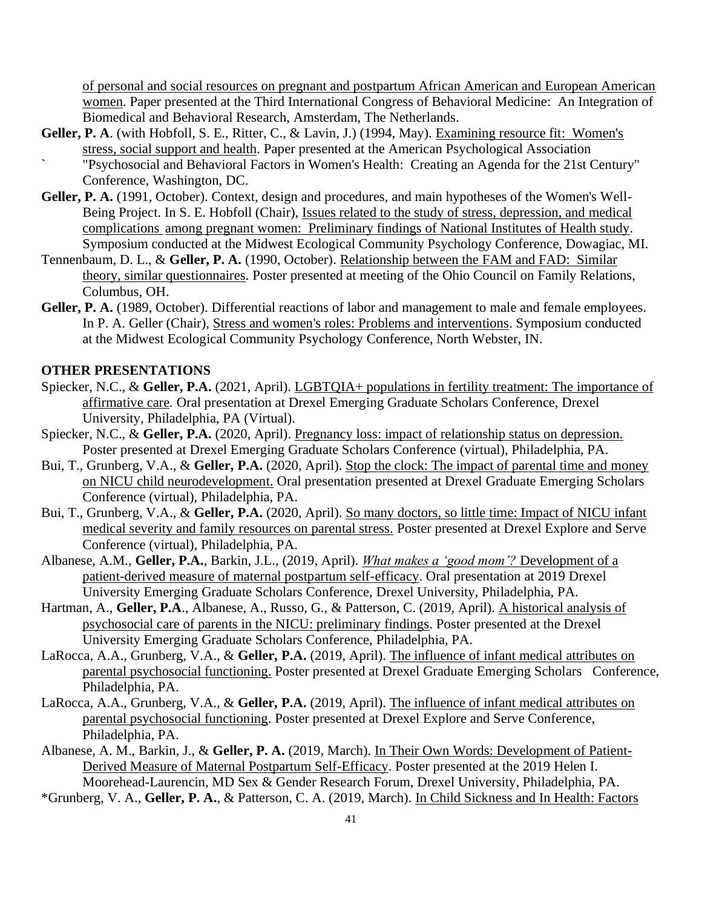of personal and social resources on pregnant and postpartum African American and European American women. Paper presented at the Third International Congress of Behavioral Medicine: An Integration of Biomedical and Behavioral Research, Amsterdam, The Netherlands.

- Geller, P. A. (with Hobfoll, S. E., Ritter, C., & Lavin, J.) (1994, May). Examining resource fit: Women's stress, social support and health. Paper presented at the American Psychological Association ` "Psychosocial and Behavioral Factors in Women's Health: Creating an Agenda for the 21st Century" Conference, Washington, DC.
- **Geller, P. A.** (1991, October). Context, design and procedures, and main hypotheses of the Women's Well-Being Project. In S. E. Hobfoll (Chair), Issues related to the study of stress, depression, and medical complications among pregnant women: Preliminary findings of National Institutes of Health study. Symposium conducted at the Midwest Ecological Community Psychology Conference, Dowagiac, MI.
- Tennenbaum, D. L., & **Geller, P. A.** (1990, October). Relationship between the FAM and FAD: Similar theory, similar questionnaires. Poster presented at meeting of the Ohio Council on Family Relations, Columbus, OH.
- Geller, P. A. (1989, October). Differential reactions of labor and management to male and female employees. In P. A. Geller (Chair), Stress and women's roles: Problems and interventions. Symposium conducted at the Midwest Ecological Community Psychology Conference, North Webster, IN.

#### **OTHER PRESENTATIONS**

- Spiecker, N.C., & **Geller, P.A.** (2021, April). LGBTQIA+ populations in fertility treatment: The importance of affirmative care*.* Oral presentation at Drexel Emerging Graduate Scholars Conference, Drexel University, Philadelphia, PA (Virtual).
- Spiecker, N.C., & **Geller, P.A.** (2020, April). Pregnancy loss: impact of relationship status on depression. Poster presented at Drexel Emerging Graduate Scholars Conference (virtual), Philadelphia, PA.
- Bui, T., Grunberg, V.A., & **Geller, P.A.** (2020, April). Stop the clock: The impact of parental time and money on NICU child neurodevelopment. Oral presentation presented at Drexel Graduate Emerging Scholars Conference (virtual), Philadelphia, PA.
- Bui, T., Grunberg, V.A., & **Geller, P.A.** (2020, April). So many doctors, so little time: Impact of NICU infant medical severity and family resources on parental stress. Poster presented at Drexel Explore and Serve Conference (virtual), Philadelphia, PA.
- Albanese, A.M., **Geller, P.A.**, Barkin, J.L., (2019, April). *What makes a 'good mom'?* Development of a patient-derived measure of maternal postpartum self-efficacy. Oral presentation at 2019 Drexel University Emerging Graduate Scholars Conference, Drexel University, Philadelphia, PA.
- Hartman, A., **Geller, P.A**., Albanese, A., Russo, G., & Patterson, C. (2019, April). A historical analysis of psychosocial care of parents in the NICU: preliminary findings. Poster presented at the Drexel University Emerging Graduate Scholars Conference, Philadelphia, PA.
- LaRocca, A.A., Grunberg, V.A., & **Geller, P.A.** (2019, April). The influence of infant medical attributes on parental psychosocial functioning. Poster presented at Drexel Graduate Emerging Scholars Conference, Philadelphia, PA.
- LaRocca, A.A., Grunberg, V.A., & **Geller, P.A.** (2019, April). The influence of infant medical attributes on parental psychosocial functioning. Poster presented at Drexel Explore and Serve Conference, Philadelphia, PA.
- Albanese, A. M., Barkin, J., & **Geller, P. A.** (2019, March). In Their Own Words: Development of Patient-Derived Measure of Maternal Postpartum Self-Efficacy. Poster presented at the 2019 Helen I. Moorehead-Laurencin, MD Sex & Gender Research Forum, Drexel University, Philadelphia, PA.

\*Grunberg, V. A., **Geller, P. A.**, & Patterson, C. A. (2019, March). In Child Sickness and In Health: Factors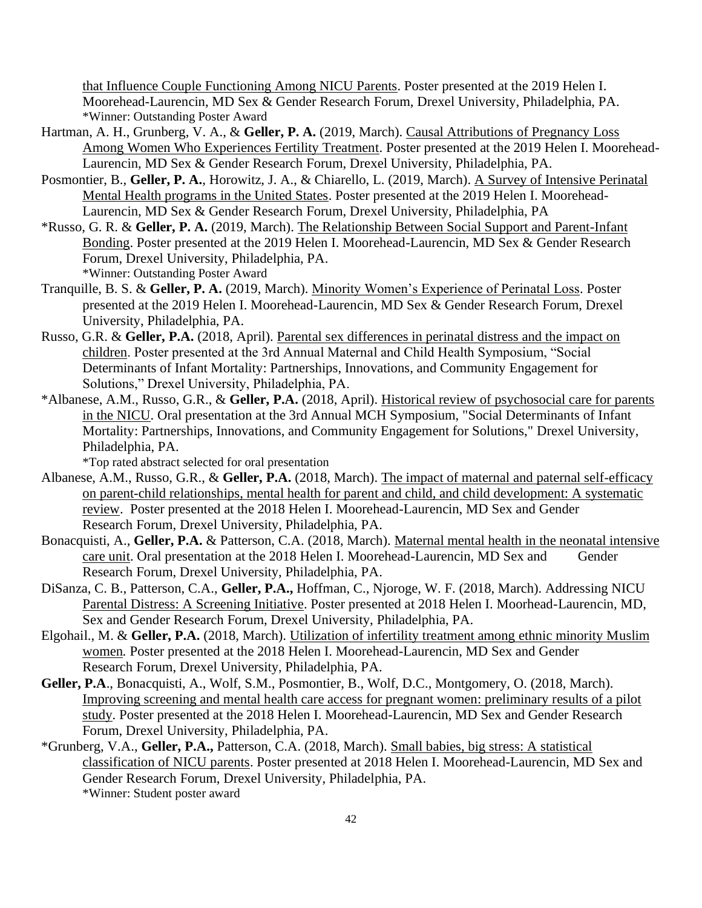that Influence Couple Functioning Among NICU Parents. Poster presented at the 2019 Helen I. Moorehead-Laurencin, MD Sex & Gender Research Forum, Drexel University, Philadelphia, PA. \*Winner: Outstanding Poster Award

- Hartman, A. H., Grunberg, V. A., & **Geller, P. A.** (2019, March). Causal Attributions of Pregnancy Loss Among Women Who Experiences Fertility Treatment. Poster presented at the 2019 Helen I. Moorehead-Laurencin, MD Sex & Gender Research Forum, Drexel University, Philadelphia, PA.
- Posmontier, B., **Geller, P. A.**, Horowitz, J. A., & Chiarello, L. (2019, March). A Survey of Intensive Perinatal Mental Health programs in the United States. Poster presented at the 2019 Helen I. Moorehead-Laurencin, MD Sex & Gender Research Forum, Drexel University, Philadelphia, PA
- \*Russo, G. R. & **Geller, P. A.** (2019, March). The Relationship Between Social Support and Parent-Infant Bonding. Poster presented at the 2019 Helen I. Moorehead-Laurencin, MD Sex & Gender Research Forum, Drexel University, Philadelphia, PA. \*Winner: Outstanding Poster Award
- Tranquille, B. S. & **Geller, P. A.** (2019, March). Minority Women's Experience of Perinatal Loss. Poster presented at the 2019 Helen I. Moorehead-Laurencin, MD Sex & Gender Research Forum, Drexel University, Philadelphia, PA.
- Russo, G.R. & **Geller, P.A.** (2018, April). Parental sex differences in perinatal distress and the impact on children. Poster presented at the 3rd Annual Maternal and Child Health Symposium, "Social Determinants of Infant Mortality: Partnerships, Innovations, and Community Engagement for Solutions," Drexel University, Philadelphia, PA.
- \*Albanese, A.M., Russo, G.R., & **Geller, P.A.** (2018, April). Historical review of psychosocial care for parents in the NICU. Oral presentation at the 3rd Annual MCH Symposium, "Social Determinants of Infant Mortality: Partnerships, Innovations, and Community Engagement for Solutions," Drexel University, Philadelphia, PA.

\*Top rated abstract selected for oral presentation

- Albanese, A.M., Russo, G.R., & **Geller, P.A.** (2018, March). The impact of maternal and paternal self-efficacy on parent-child relationships, mental health for parent and child, and child development: A systematic review. Poster presented at the 2018 Helen I. Moorehead-Laurencin, MD Sex and Gender Research Forum, Drexel University, Philadelphia, PA.
- Bonacquisti, A., **Geller, P.A.** & Patterson, C.A. (2018, March). Maternal mental health in the neonatal intensive care unit. Oral presentation at the 2018 Helen I. Moorehead-Laurencin, MD Sex and Gender Research Forum, Drexel University, Philadelphia, PA.
- DiSanza, C. B., Patterson, C.A., **Geller, P.A.,** Hoffman, C., Njoroge, W. F. (2018, March). Addressing NICU Parental Distress: A Screening Initiative. Poster presented at 2018 Helen I. Moorhead-Laurencin, MD, Sex and Gender Research Forum, Drexel University, Philadelphia, PA.
- Elgohail., M. & **Geller, P.A.** (2018, March). Utilization of infertility treatment among ethnic minority Muslim women*.* Poster presented at the 2018 Helen I. Moorehead-Laurencin, MD Sex and Gender Research Forum, Drexel University, Philadelphia, PA.
- **Geller, P.A**., Bonacquisti, A., Wolf, S.M., Posmontier, B., Wolf, D.C., Montgomery, O. (2018, March). Improving screening and mental health care access for pregnant women: preliminary results of a pilot study. Poster presented at the 2018 Helen I. Moorehead-Laurencin, MD Sex and Gender Research Forum, Drexel University, Philadelphia, PA.
- \*Grunberg, V.A., **Geller, P.A.,** Patterson, C.A. (2018, March). Small babies, big stress: A statistical classification of NICU parents. Poster presented at 2018 Helen I. Moorehead-Laurencin, MD Sex and Gender Research Forum, Drexel University, Philadelphia, PA. \*Winner: Student poster award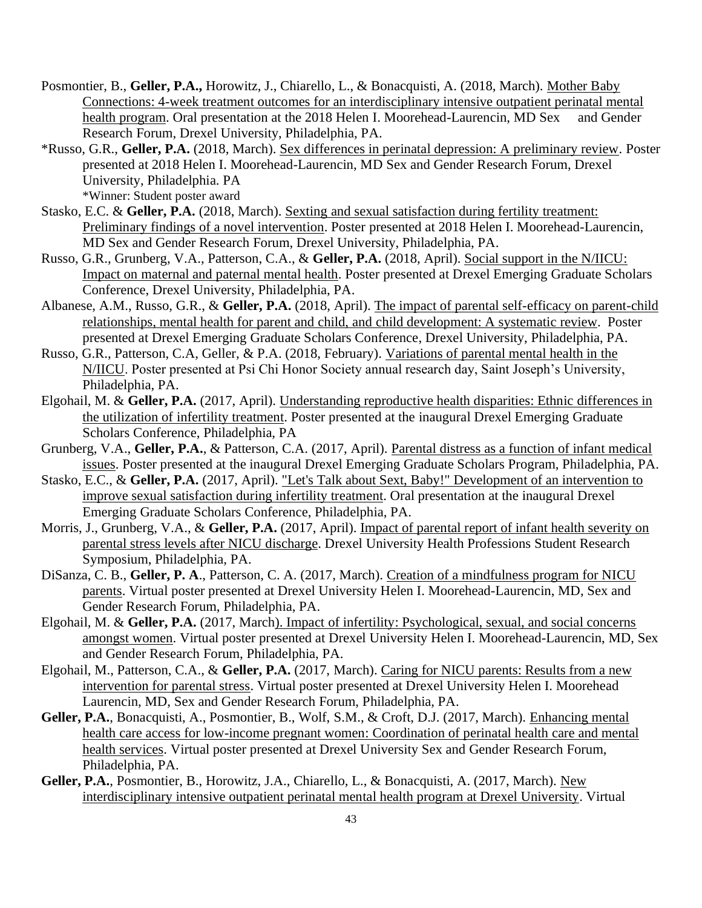- Posmontier, B., **Geller, P.A.,** Horowitz, J., Chiarello, L., & Bonacquisti, A. (2018, March). Mother Baby Connections: 4-week treatment outcomes for an interdisciplinary intensive outpatient perinatal mental health program. Oral presentation at the 2018 Helen I. Moorehead-Laurencin, MD Sex and Gender Research Forum, Drexel University, Philadelphia, PA.
- \*Russo, G.R., **Geller, P.A.** (2018, March). Sex differences in perinatal depression: A preliminary review. Poster presented at 2018 Helen I. Moorehead-Laurencin, MD Sex and Gender Research Forum, Drexel University, Philadelphia. PA \*Winner: Student poster award
- Stasko, E.C. & **Geller, P.A.** (2018, March). Sexting and sexual satisfaction during fertility treatment: Preliminary findings of a novel intervention. Poster presented at 2018 Helen I. Moorehead-Laurencin, MD Sex and Gender Research Forum, Drexel University, Philadelphia, PA.
- Russo, G.R., Grunberg, V.A., Patterson, C.A., & **Geller, P.A.** (2018, April). Social support in the N/IICU: Impact on maternal and paternal mental health. Poster presented at Drexel Emerging Graduate Scholars Conference, Drexel University, Philadelphia, PA.
- Albanese, A.M., Russo, G.R., & **Geller, P.A.** (2018, April). The impact of parental self-efficacy on parent-child relationships, mental health for parent and child, and child development: A systematic review. Poster presented at Drexel Emerging Graduate Scholars Conference, Drexel University, Philadelphia, PA.
- Russo, G.R., Patterson, C.A, Geller, & P.A. (2018, February). Variations of parental mental health in the N/IICU. Poster presented at Psi Chi Honor Society annual research day, Saint Joseph's University, Philadelphia, PA.
- Elgohail, M. & **Geller, P.A.** (2017, April). Understanding reproductive health disparities: Ethnic differences in the utilization of infertility treatment. Poster presented at the inaugural Drexel Emerging Graduate Scholars Conference, Philadelphia, PA
- Grunberg, V.A., **Geller, P.A.**, & Patterson, C.A. (2017, April). Parental distress as a function of infant medical issues. Poster presented at the inaugural Drexel Emerging Graduate Scholars Program, Philadelphia, PA.
- Stasko, E.C., & **Geller, P.A.** (2017, April). "Let's Talk about Sext, Baby!" Development of an intervention to improve sexual satisfaction during infertility treatment. Oral presentation at the inaugural Drexel Emerging Graduate Scholars Conference, Philadelphia, PA.
- Morris, J., Grunberg, V.A., & **Geller, P.A.** (2017, April). Impact of parental report of infant health severity on parental stress levels after NICU discharge. Drexel University Health Professions Student Research Symposium, Philadelphia, PA.
- DiSanza, C. B., **Geller, P. A**., Patterson, C. A. (2017, March). Creation of a mindfulness program for NICU parents. Virtual poster presented at Drexel University Helen I. Moorehead-Laurencin, MD, Sex and Gender Research Forum, Philadelphia, PA.
- Elgohail, M. & **Geller, P.A.** (2017, March). Impact of infertility: Psychological, sexual, and social concerns amongst women. Virtual poster presented at Drexel University Helen I. Moorehead-Laurencin, MD, Sex and Gender Research Forum, Philadelphia, PA.
- Elgohail, M., Patterson, C.A., & **Geller, P.A.** (2017, March). Caring for NICU parents: Results from a new intervention for parental stress. Virtual poster presented at Drexel University Helen I. Moorehead Laurencin, MD, Sex and Gender Research Forum, Philadelphia, PA.
- **Geller, P.A.**, Bonacquisti, A., Posmontier, B., Wolf, S.M., & Croft, D.J. (2017, March). Enhancing mental health care access for low-income pregnant women: Coordination of perinatal health care and mental health services. Virtual poster presented at Drexel University Sex and Gender Research Forum, Philadelphia, PA.
- **Geller, P.A.**, Posmontier, B., Horowitz, J.A., Chiarello, L., & Bonacquisti, A. (2017, March). New interdisciplinary intensive outpatient perinatal mental health program at Drexel University. Virtual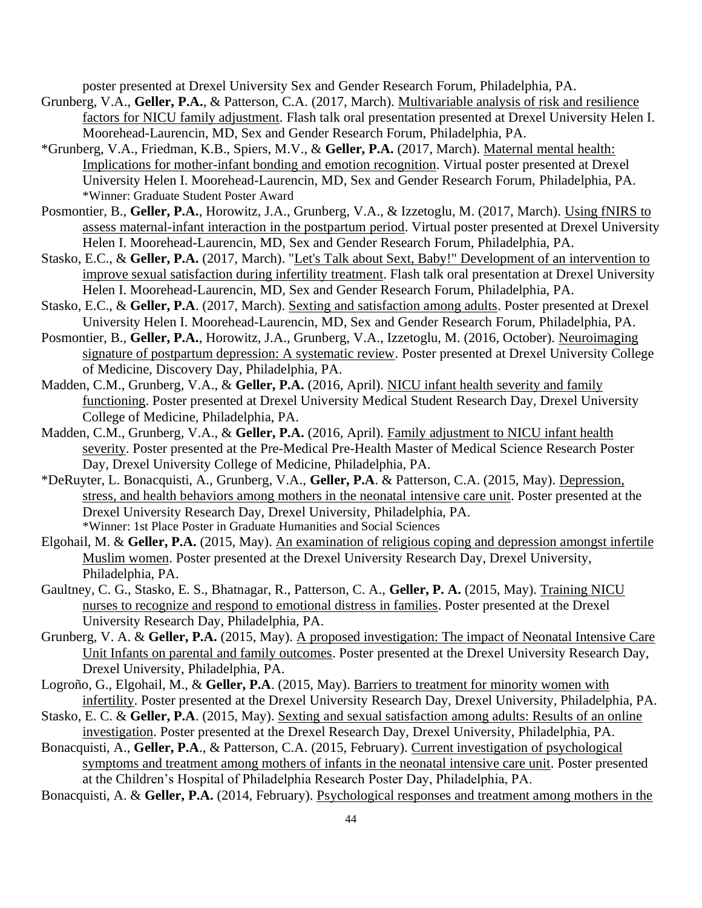poster presented at Drexel University Sex and Gender Research Forum, Philadelphia, PA.

- Grunberg, V.A., **Geller, P.A.**, & Patterson, C.A. (2017, March). Multivariable analysis of risk and resilience factors for NICU family adjustment. Flash talk oral presentation presented at Drexel University Helen I. Moorehead-Laurencin, MD, Sex and Gender Research Forum, Philadelphia, PA.
- \*Grunberg, V.A., Friedman, K.B., Spiers, M.V., & **Geller, P.A.** (2017, March). Maternal mental health: Implications for mother-infant bonding and emotion recognition. Virtual poster presented at Drexel University Helen I. Moorehead-Laurencin, MD, Sex and Gender Research Forum, Philadelphia, PA. \*Winner: Graduate Student Poster Award
- Posmontier, B., **Geller, P.A.**, Horowitz, J.A., Grunberg, V.A., & Izzetoglu, M. (2017, March). Using fNIRS to assess maternal-infant interaction in the postpartum period. Virtual poster presented at Drexel University Helen I. Moorehead-Laurencin, MD, Sex and Gender Research Forum, Philadelphia, PA.
- Stasko, E.C., & **Geller, P.A.** (2017, March). "Let's Talk about Sext, Baby!" Development of an intervention to improve sexual satisfaction during infertility treatment. Flash talk oral presentation at Drexel University Helen I. Moorehead-Laurencin, MD, Sex and Gender Research Forum, Philadelphia, PA.
- Stasko, E.C., & **Geller, P.A**. (2017, March). Sexting and satisfaction among adults. Poster presented at Drexel University Helen I. Moorehead-Laurencin, MD, Sex and Gender Research Forum, Philadelphia, PA.
- Posmontier, B., **Geller, P.A.**, Horowitz, J.A., Grunberg, V.A., Izzetoglu, M. (2016, October). Neuroimaging signature of postpartum depression: A systematic review. Poster presented at Drexel University College of Medicine, Discovery Day, Philadelphia, PA.
- Madden, C.M., Grunberg, V.A., & **Geller, P.A.** (2016, April). NICU infant health severity and family functioning. Poster presented at Drexel University Medical Student Research Day, Drexel University College of Medicine, Philadelphia, PA.
- Madden, C.M., Grunberg, V.A., & **Geller, P.A.** (2016, April). Family adjustment to NICU infant health severity. Poster presented at the Pre-Medical Pre-Health Master of Medical Science Research Poster Day, Drexel University College of Medicine, Philadelphia, PA.
- \*DeRuyter, L. Bonacquisti, A., Grunberg, V.A., **Geller, P.A**. & Patterson, C.A. (2015, May). Depression, stress, and health behaviors among mothers in the neonatal intensive care unit. Poster presented at the Drexel University Research Day, Drexel University, Philadelphia, PA. \*Winner: 1st Place Poster in Graduate Humanities and Social Sciences
- Elgohail, M. & **Geller, P.A.** (2015, May). An examination of religious coping and depression amongst infertile Muslim women. Poster presented at the Drexel University Research Day, Drexel University, Philadelphia, PA.
- Gaultney, C. G., Stasko, E. S., Bhatnagar, R., Patterson, C. A., **Geller, P. A.** (2015, May). Training NICU nurses to recognize and respond to emotional distress in families. Poster presented at the Drexel University Research Day, Philadelphia, PA.
- Grunberg, V. A. & **Geller, P.A.** (2015, May). A proposed investigation: The impact of Neonatal Intensive Care Unit Infants on parental and family outcomes. Poster presented at the Drexel University Research Day, Drexel University, Philadelphia, PA.
- Logroño, G., Elgohail, M., & **Geller, P.A**. (2015, May). Barriers to treatment for minority women with infertility. Poster presented at the Drexel University Research Day, Drexel University, Philadelphia, PA.
- Stasko, E. C. & **Geller, P.A**. (2015, May). Sexting and sexual satisfaction among adults: Results of an online investigation. Poster presented at the Drexel Research Day, Drexel University, Philadelphia, PA.

Bonacquisti, A., **Geller, P.A**., & Patterson, C.A. (2015, February). Current investigation of psychological symptoms and treatment among mothers of infants in the neonatal intensive care unit. Poster presented at the Children's Hospital of Philadelphia Research Poster Day, Philadelphia, PA.

Bonacquisti, A. & **Geller, P.A.** (2014, February). Psychological responses and treatment among mothers in the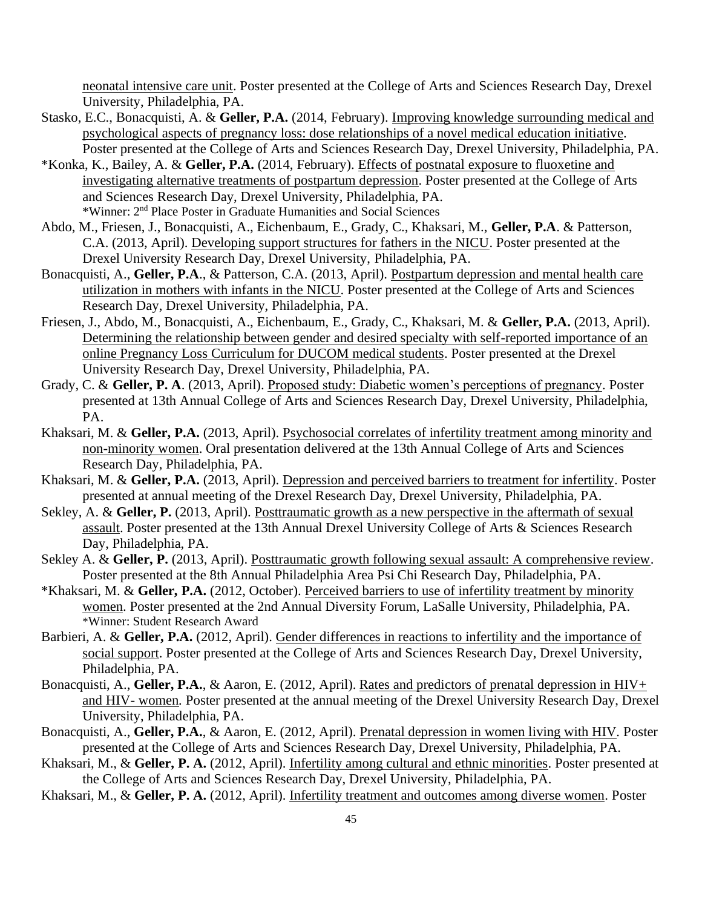neonatal intensive care unit. Poster presented at the College of Arts and Sciences Research Day, Drexel University, Philadelphia, PA.

- Stasko, E.C., Bonacquisti, A. & **Geller, P.A.** (2014, February). Improving knowledge surrounding medical and psychological aspects of pregnancy loss: dose relationships of a novel medical education initiative. Poster presented at the College of Arts and Sciences Research Day, Drexel University, Philadelphia, PA.
- \*Konka, K., Bailey, A. & **Geller, P.A.** (2014, February). Effects of postnatal exposure to fluoxetine and investigating alternative treatments of postpartum depression. Poster presented at the College of Arts and Sciences Research Day, Drexel University, Philadelphia, PA. \*Winner: 2nd Place Poster in Graduate Humanities and Social Sciences
- Abdo, M., Friesen, J., Bonacquisti, A., Eichenbaum, E., Grady, C., Khaksari, M., **Geller, P.A**. & Patterson, C.A. (2013, April). Developing support structures for fathers in the NICU. Poster presented at the Drexel University Research Day, Drexel University, Philadelphia, PA.
- Bonacquisti, A., **Geller, P.A**., & Patterson, C.A. (2013, April). Postpartum depression and mental health care utilization in mothers with infants in the NICU. Poster presented at the College of Arts and Sciences Research Day, Drexel University, Philadelphia, PA.
- Friesen, J., Abdo, M., Bonacquisti, A., Eichenbaum, E., Grady, C., Khaksari, M. & **Geller, P.A.** (2013, April). Determining the relationship between gender and desired specialty with self-reported importance of an online Pregnancy Loss Curriculum for DUCOM medical students. Poster presented at the Drexel University Research Day, Drexel University, Philadelphia, PA.
- Grady, C. & **Geller, P. A**. (2013, April). Proposed study: Diabetic women's perceptions of pregnancy. Poster presented at 13th Annual College of Arts and Sciences Research Day, Drexel University, Philadelphia, PA.
- Khaksari, M. & **Geller, P.A.** (2013, April). Psychosocial correlates of infertility treatment among minority and non-minority women. Oral presentation delivered at the 13th Annual College of Arts and Sciences Research Day, Philadelphia, PA.
- Khaksari, M. & **Geller, P.A.** (2013, April). Depression and perceived barriers to treatment for infertility. Poster presented at annual meeting of the Drexel Research Day, Drexel University, Philadelphia, PA.
- Sekley, A. & **Geller, P.** (2013, April). Posttraumatic growth as a new perspective in the aftermath of sexual assault. Poster presented at the 13th Annual Drexel University College of Arts & Sciences Research Day, Philadelphia, PA.
- Sekley A. & **Geller, P.** (2013, April). Posttraumatic growth following sexual assault: A comprehensive review. Poster presented at the 8th Annual Philadelphia Area Psi Chi Research Day, Philadelphia, PA.
- \*Khaksari, M. & **Geller, P.A.** (2012, October). Perceived barriers to use of infertility treatment by minority women. Poster presented at the 2nd Annual Diversity Forum, LaSalle University, Philadelphia, PA. \*Winner: Student Research Award
- Barbieri, A. & Geller, P.A. (2012, April). Gender differences in reactions to infertility and the importance of social support. Poster presented at the College of Arts and Sciences Research Day, Drexel University, Philadelphia, PA.
- Bonacquisti, A., **Geller, P.A.**, & Aaron, E. (2012, April). Rates and predictors of prenatal depression in HIV+ and HIV- women*.* Poster presented at the annual meeting of the Drexel University Research Day, Drexel University, Philadelphia, PA.
- Bonacquisti, A., **Geller, P.A.**, & Aaron, E. (2012, April). Prenatal depression in women living with HIV*.* Poster presented at the College of Arts and Sciences Research Day, Drexel University, Philadelphia, PA.
- Khaksari, M., & **Geller, P. A.** (2012, April). Infertility among cultural and ethnic minorities. Poster presented at the College of Arts and Sciences Research Day, Drexel University, Philadelphia, PA.
- Khaksari, M., & **Geller, P. A.** (2012, April). Infertility treatment and outcomes among diverse women. Poster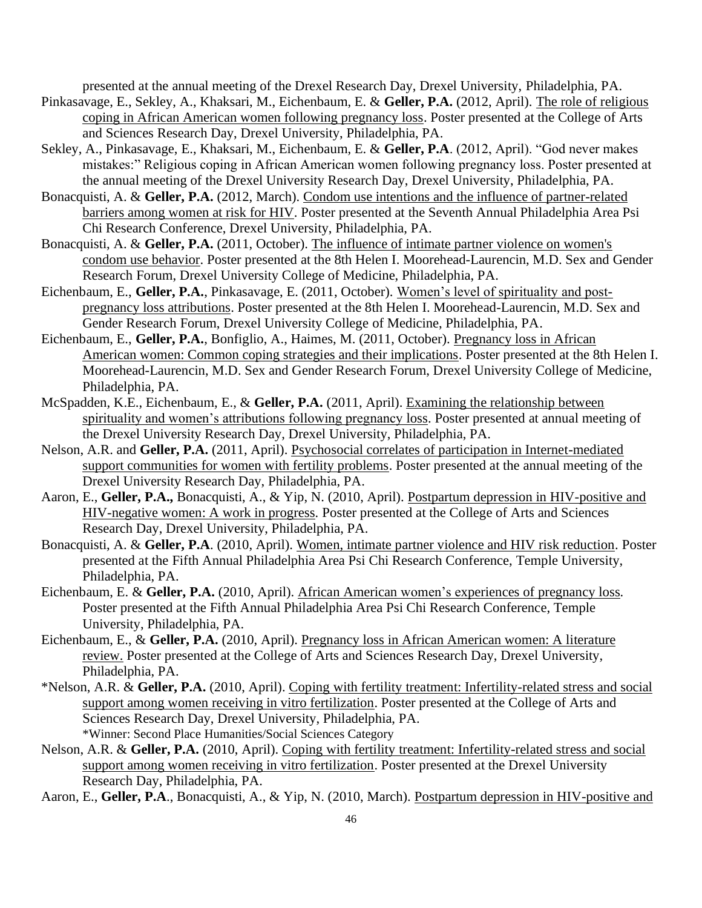presented at the annual meeting of the Drexel Research Day, Drexel University, Philadelphia, PA.

- Pinkasavage, E., Sekley, A., Khaksari, M., Eichenbaum, E. & **Geller, P.A.** (2012, April). The role of religious coping in African American women following pregnancy loss. Poster presented at the College of Arts and Sciences Research Day, Drexel University, Philadelphia, PA.
- Sekley, A., Pinkasavage, E., Khaksari, M., Eichenbaum, E. & **Geller, P.A**. (2012, April). "God never makes mistakes:" Religious coping in African American women following pregnancy loss. Poster presented at the annual meeting of the Drexel University Research Day, Drexel University, Philadelphia, PA.
- Bonacquisti, A. & **Geller, P.A.** (2012, March). Condom use intentions and the influence of partner-related barriers among women at risk for HIV. Poster presented at the Seventh Annual Philadelphia Area Psi Chi Research Conference, Drexel University, Philadelphia, PA.
- Bonacquisti, A. & **Geller, P.A.** (2011, October). The influence of intimate partner violence on women's condom use behavior. Poster presented at the 8th Helen I. Moorehead-Laurencin, M.D. Sex and Gender Research Forum, Drexel University College of Medicine, Philadelphia, PA.
- Eichenbaum, E., **Geller, P.A.**, Pinkasavage, E. (2011, October). Women's level of spirituality and postpregnancy loss attributions. Poster presented at the 8th Helen I. Moorehead-Laurencin, M.D. Sex and Gender Research Forum, Drexel University College of Medicine, Philadelphia, PA.
- Eichenbaum, E., **Geller, P.A.**, Bonfiglio, A., Haimes, M. (2011, October). Pregnancy loss in African American women: Common coping strategies and their implications. Poster presented at the 8th Helen I. Moorehead-Laurencin, M.D. Sex and Gender Research Forum, Drexel University College of Medicine, Philadelphia, PA.
- McSpadden, K.E., Eichenbaum, E., & **Geller, P.A.** (2011, April). Examining the relationship between spirituality and women's attributions following pregnancy loss. Poster presented at annual meeting of the Drexel University Research Day, Drexel University, Philadelphia, PA.
- Nelson, A.R. and **Geller, P.A.** (2011, April). Psychosocial correlates of participation in Internet-mediated support communities for women with fertility problems. Poster presented at the annual meeting of the Drexel University Research Day, Philadelphia, PA.
- Aaron, E., **Geller, P.A.,** Bonacquisti, A., & Yip, N. (2010, April). Postpartum depression in HIV-positive and HIV-negative women: A work in progress*.* Poster presented at the College of Arts and Sciences Research Day, Drexel University, Philadelphia, PA.
- Bonacquisti, A. & **Geller, P.A**. (2010, April). Women, intimate partner violence and HIV risk reduction. Poster presented at the Fifth Annual Philadelphia Area Psi Chi Research Conference, Temple University, Philadelphia, PA.
- Eichenbaum, E. & **Geller, P.A.** (2010, April). African American women's experiences of pregnancy loss*.* Poster presented at the Fifth Annual Philadelphia Area Psi Chi Research Conference, Temple University, Philadelphia, PA.
- Eichenbaum, E., & **Geller, P.A.** (2010, April). Pregnancy loss in African American women: A literature review. Poster presented at the College of Arts and Sciences Research Day, Drexel University, Philadelphia, PA.
- \*Nelson, A.R. & **Geller, P.A.** (2010, April). Coping with fertility treatment: Infertility-related stress and social support among women receiving in vitro fertilization. Poster presented at the College of Arts and Sciences Research Day, Drexel University, Philadelphia, PA. \*Winner: Second Place Humanities/Social Sciences Category
- Nelson, A.R. & **Geller, P.A.** (2010, April). Coping with fertility treatment: Infertility-related stress and social support among women receiving in vitro fertilization. Poster presented at the Drexel University Research Day, Philadelphia, PA.

Aaron, E., **Geller, P.A**., Bonacquisti, A., & Yip, N. (2010, March). Postpartum depression in HIV-positive and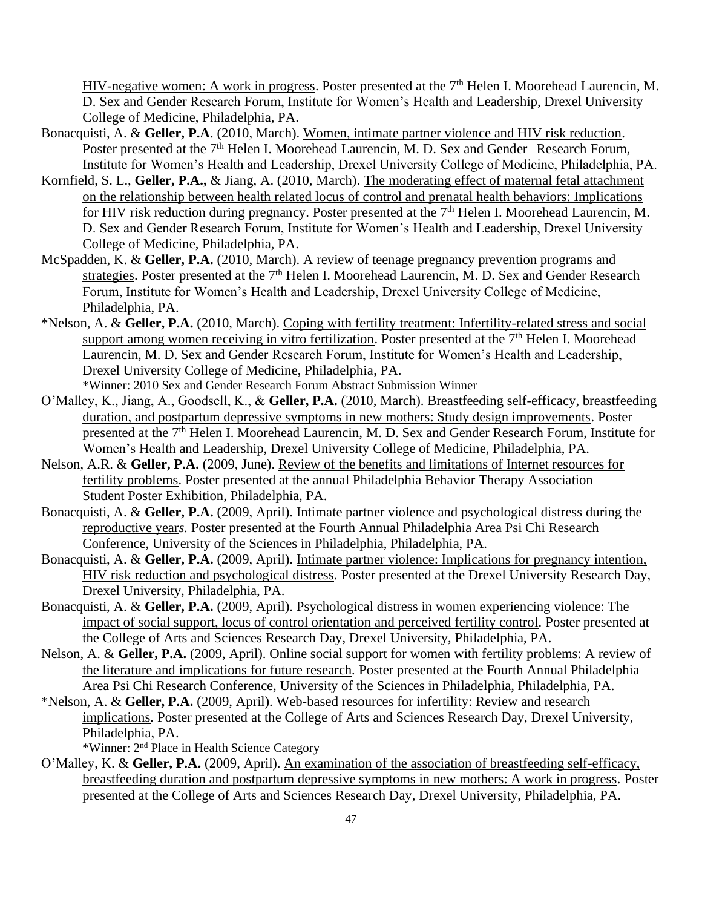HIV-negative women: A work in progress. Poster presented at the 7<sup>th</sup> Helen I. Moorehead Laurencin, M. D. Sex and Gender Research Forum, Institute for Women's Health and Leadership, Drexel University College of Medicine, Philadelphia, PA.

- Bonacquisti, A. & **Geller, P.A**. (2010, March). Women, intimate partner violence and HIV risk reduction. Poster presented at the 7<sup>th</sup> Helen I. Moorehead Laurencin, M. D. Sex and Gender Research Forum, Institute for Women's Health and Leadership, Drexel University College of Medicine, Philadelphia, PA.
- Kornfield, S. L., **Geller, P.A.,** & Jiang, A. (2010, March). The moderating effect of maternal fetal attachment on the relationship between health related locus of control and prenatal health behaviors: Implications for HIV risk reduction during pregnancy. Poster presented at the 7<sup>th</sup> Helen I. Moorehead Laurencin, M. D. Sex and Gender Research Forum, Institute for Women's Health and Leadership, Drexel University College of Medicine, Philadelphia, PA.
- McSpadden, K. & **Geller, P.A.** (2010, March). A review of teenage pregnancy prevention programs and strategies. Poster presented at the 7<sup>th</sup> Helen I. Moorehead Laurencin, M. D. Sex and Gender Research Forum, Institute for Women's Health and Leadership, Drexel University College of Medicine, Philadelphia, PA.
- \*Nelson, A. & **Geller, P.A.** (2010, March). Coping with fertility treatment: Infertility-related stress and social support among women receiving in vitro fertilization. Poster presented at the 7<sup>th</sup> Helen I. Moorehead Laurencin, M. D. Sex and Gender Research Forum, Institute for Women's Health and Leadership, Drexel University College of Medicine, Philadelphia, PA. \*Winner: 2010 Sex and Gender Research Forum Abstract Submission Winner
- O'Malley, K., Jiang, A., Goodsell, K., & **Geller, P.A.** (2010, March). Breastfeeding self-efficacy, breastfeeding duration, and postpartum depressive symptoms in new mothers: Study design improvements. Poster presented at the 7<sup>th</sup> Helen I. Moorehead Laurencin, M. D. Sex and Gender Research Forum, Institute for Women's Health and Leadership, Drexel University College of Medicine, Philadelphia, PA.
- Nelson, A.R. & **Geller, P.A.** (2009, June). Review of the benefits and limitations of Internet resources for fertility problems. Poster presented at the annual Philadelphia Behavior Therapy Association Student Poster Exhibition, Philadelphia, PA.
- Bonacquisti, A. & **Geller, P.A.** (2009, April). Intimate partner violence and psychological distress during the reproductive year*s.* Poster presented at the Fourth Annual Philadelphia Area Psi Chi Research Conference, University of the Sciences in Philadelphia, Philadelphia, PA.
- Bonacquisti, A. & **Geller, P.A.** (2009, April). Intimate partner violence: Implications for pregnancy intention, HIV risk reduction and psychological distress*.* Poster presented at the Drexel University Research Day, Drexel University, Philadelphia, PA.
- Bonacquisti, A. & **Geller, P.A.** (2009, April). Psychological distress in women experiencing violence: The impact of social support, locus of control orientation and perceived fertility control*.* Poster presented at the College of Arts and Sciences Research Day, Drexel University, Philadelphia, PA.
- Nelson, A. & **Geller, P.A.** (2009, April). Online social support for women with fertility problems: A review of the literature and implications for future research*.* Poster presented at the Fourth Annual Philadelphia Area Psi Chi Research Conference, University of the Sciences in Philadelphia, Philadelphia, PA.
- \*Nelson, A. & **Geller, P.A.** (2009, April). Web-based resources for infertility: Review and research implications*.* Poster presented at the College of Arts and Sciences Research Day, Drexel University, Philadelphia, PA.

\*Winner: 2nd Place in Health Science Category

O'Malley, K. & **Geller, P.A.** (2009, April). An examination of the association of breastfeeding self-efficacy, breastfeeding duration and postpartum depressive symptoms in new mothers: A work in progress*.* Poster presented at the College of Arts and Sciences Research Day, Drexel University, Philadelphia, PA.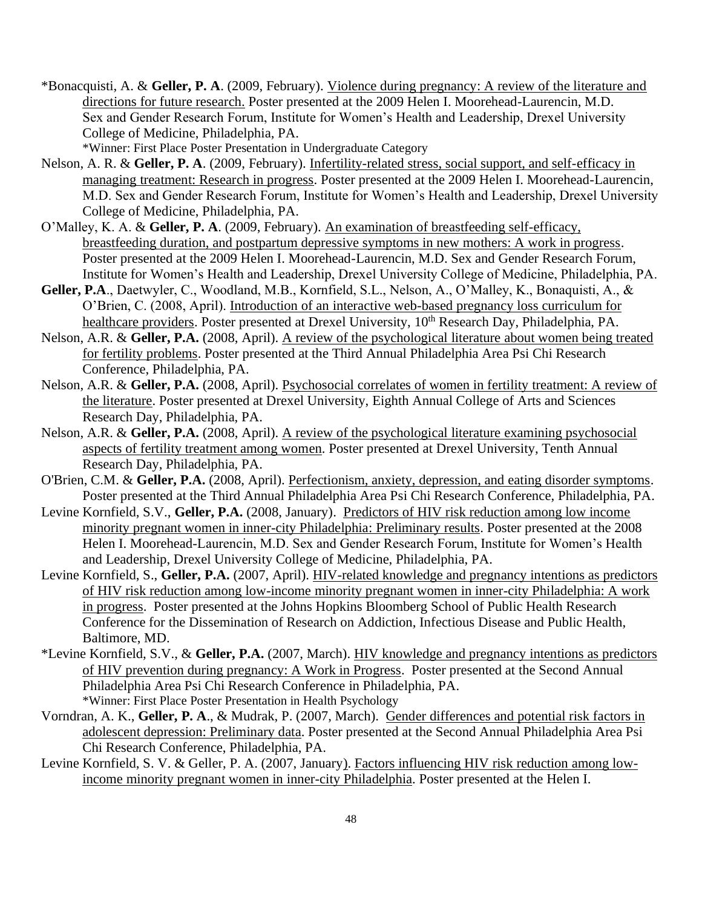\*Bonacquisti, A. & **Geller, P. A**. (2009, February). Violence during pregnancy: A review of the literature and directions for future research. Poster presented at the 2009 Helen I. Moorehead-Laurencin, M.D. Sex and Gender Research Forum, Institute for Women's Health and Leadership, Drexel University College of Medicine, Philadelphia, PA.

\*Winner: First Place Poster Presentation in Undergraduate Category

- Nelson, A. R. & **Geller, P. A**. (2009, February). Infertility-related stress, social support, and self-efficacy in managing treatment: Research in progress. Poster presented at the 2009 Helen I. Moorehead-Laurencin, M.D. Sex and Gender Research Forum, Institute for Women's Health and Leadership, Drexel University College of Medicine, Philadelphia, PA.
- O'Malley, K. A. & **Geller, P. A**. (2009, February). An examination of breastfeeding self-efficacy, breastfeeding duration, and postpartum depressive symptoms in new mothers: A work in progress. Poster presented at the 2009 Helen I. Moorehead-Laurencin, M.D. Sex and Gender Research Forum, Institute for Women's Health and Leadership, Drexel University College of Medicine, Philadelphia, PA.
- **Geller, P.A**., Daetwyler, C., Woodland, M.B., Kornfield, S.L., Nelson, A., O'Malley, K., Bonaquisti, A., & O'Brien, C. (2008, April). Introduction of an interactive web-based pregnancy loss curriculum for healthcare providers. Poster presented at Drexel University, 10<sup>th</sup> Research Day, Philadelphia, PA.
- Nelson, A.R. & **Geller, P.A.** (2008, April). A review of the psychological literature about women being treated for fertility problems. Poster presented at the Third Annual Philadelphia Area Psi Chi Research Conference, Philadelphia, PA.
- Nelson, A.R. & **Geller, P.A.** (2008, April). Psychosocial correlates of women in fertility treatment: A review of the literature. Poster presented at Drexel University, Eighth Annual College of Arts and Sciences Research Day, Philadelphia, PA.
- Nelson, A.R. & **Geller, P.A.** (2008, April). A review of the psychological literature examining psychosocial aspects of fertility treatment among women. Poster presented at Drexel University, Tenth Annual Research Day, Philadelphia, PA.
- O'Brien, C.M. & **Geller, P.A.** (2008, April). Perfectionism, anxiety, depression, and eating disorder symptoms. Poster presented at the Third Annual Philadelphia Area Psi Chi Research Conference, Philadelphia, PA.
- Levine Kornfield, S.V., **Geller, P.A.** (2008, January). Predictors of HIV risk reduction among low income minority pregnant women in inner-city Philadelphia: Preliminary results. Poster presented at the 2008 Helen I. Moorehead-Laurencin, M.D. Sex and Gender Research Forum, Institute for Women's Health and Leadership, Drexel University College of Medicine, Philadelphia, PA.
- Levine Kornfield, S., **Geller, P.A.** (2007, April). HIV-related knowledge and pregnancy intentions as predictors of HIV risk reduction among low-income minority pregnant women in inner-city Philadelphia: A work in progress. Poster presented at the Johns Hopkins Bloomberg School of Public Health Research Conference for the Dissemination of Research on Addiction, Infectious Disease and Public Health, Baltimore, MD.
- \*Levine Kornfield, S.V., & **Geller, P.A.** (2007, March). HIV knowledge and pregnancy intentions as predictors of HIV prevention during pregnancy: A Work in Progress. Poster presented at the Second Annual Philadelphia Area Psi Chi Research Conference in Philadelphia, PA. \*Winner: First Place Poster Presentation in Health Psychology
- Vorndran, A. K., **Geller, P. A**., & Mudrak, P. (2007, March). Gender differences and potential risk factors in adolescent depression: Preliminary data. Poster presented at the Second Annual Philadelphia Area Psi Chi Research Conference, Philadelphia, PA.
- Levine Kornfield, S. V. & Geller, P. A. (2007, January). Factors influencing HIV risk reduction among lowincome minority pregnant women in inner-city Philadelphia. Poster presented at the Helen I.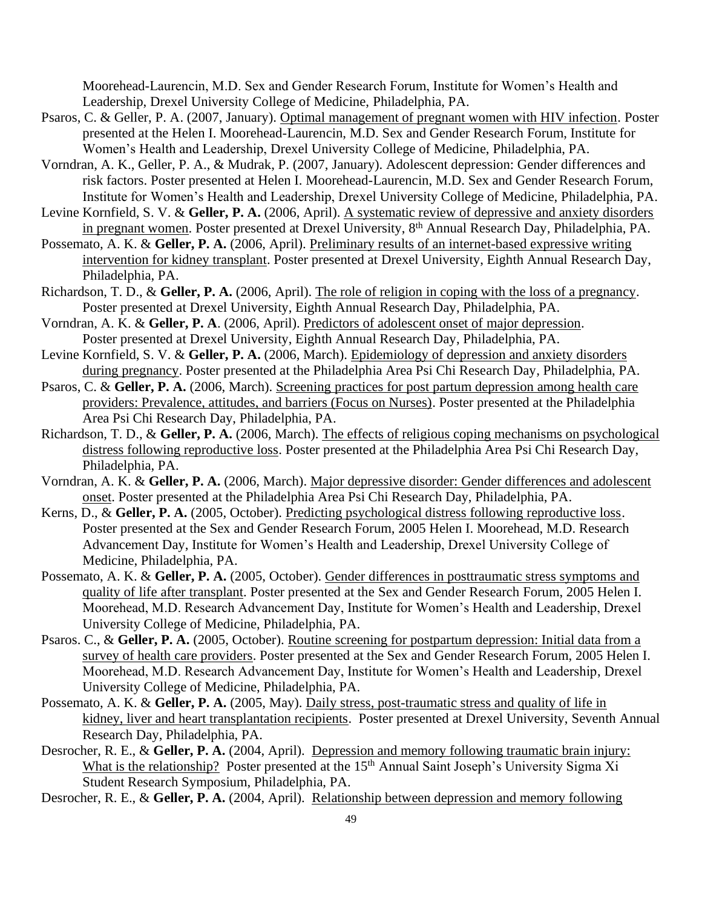Moorehead-Laurencin, M.D. Sex and Gender Research Forum, Institute for Women's Health and Leadership, Drexel University College of Medicine, Philadelphia, PA.

- Psaros, C. & Geller, P. A. (2007, January). Optimal management of pregnant women with HIV infection. Poster presented at the Helen I. Moorehead-Laurencin, M.D. Sex and Gender Research Forum, Institute for Women's Health and Leadership, Drexel University College of Medicine, Philadelphia, PA.
- Vorndran, A. K., Geller, P. A., & Mudrak, P. (2007, January). Adolescent depression: Gender differences and risk factors. Poster presented at Helen I. Moorehead-Laurencin, M.D. Sex and Gender Research Forum, Institute for Women's Health and Leadership, Drexel University College of Medicine, Philadelphia, PA.
- Levine Kornfield, S. V. & Geller, P. A. (2006, April). A systematic review of depressive and anxiety disorders in pregnant women. Poster presented at Drexel University, 8 th Annual Research Day*,* Philadelphia, PA.
- Possemato, A. K. & **Geller, P. A.** (2006, April). Preliminary results of an internet-based expressive writing intervention for kidney transplant. Poster presented at Drexel University, Eighth Annual Research Day, Philadelphia, PA.
- Richardson, T. D., & **Geller, P. A.** (2006, April). The role of religion in coping with the loss of a pregnancy. Poster presented at Drexel University, Eighth Annual Research Day, Philadelphia, PA.
- Vorndran, A. K. & **Geller, P. A**. (2006, April). Predictors of adolescent onset of major depression. Poster presented at Drexel University, Eighth Annual Research Day, Philadelphia, PA.
- Levine Kornfield, S. V. & **Geller, P. A.** (2006, March). Epidemiology of depression and anxiety disorders during pregnancy. Poster presented at the Philadelphia Area Psi Chi Research Day*,* Philadelphia, PA.
- Psaros, C. & **Geller, P. A.** (2006, March). Screening practices for post partum depression among health care providers: Prevalence, attitudes, and barriers (Focus on Nurses). Poster presented at the Philadelphia Area Psi Chi Research Day, Philadelphia, PA.
- Richardson, T. D., & **Geller, P. A.** (2006, March). The effects of religious coping mechanisms on psychological distress following reproductive loss. Poster presented at the Philadelphia Area Psi Chi Research Day, Philadelphia, PA.
- Vorndran, A. K. & **Geller, P. A.** (2006, March). Major depressive disorder: Gender differences and adolescent onset. Poster presented at the Philadelphia Area Psi Chi Research Day, Philadelphia, PA.
- Kerns, D., & **Geller, P. A.** (2005, October). Predicting psychological distress following reproductive loss. Poster presented at the Sex and Gender Research Forum, 2005 Helen I. Moorehead, M.D. Research Advancement Day, Institute for Women's Health and Leadership, Drexel University College of Medicine, Philadelphia, PA.
- Possemato, A. K. & **Geller, P. A.** (2005, October). Gender differences in posttraumatic stress symptoms and quality of life after transplant. Poster presented at the Sex and Gender Research Forum, 2005 Helen I. Moorehead, M.D. Research Advancement Day, Institute for Women's Health and Leadership, Drexel University College of Medicine, Philadelphia, PA.
- Psaros. C., & **Geller, P. A.** (2005, October). Routine screening for postpartum depression: Initial data from a survey of health care providers. Poster presented at the Sex and Gender Research Forum, 2005 Helen I. Moorehead, M.D. Research Advancement Day, Institute for Women's Health and Leadership, Drexel University College of Medicine, Philadelphia, PA.
- Possemato, A. K. & **Geller, P. A.** (2005, May). Daily stress, post-traumatic stress and quality of life in kidney, liver and heart transplantation recipients. Poster presented at Drexel University, Seventh Annual Research Day, Philadelphia, PA.
- Desrocher, R. E., & **Geller, P. A.** (2004, April). Depression and memory following traumatic brain injury: What is the relationship? Poster presented at the 15<sup>th</sup> Annual Saint Joseph's University Sigma Xi Student Research Symposium, Philadelphia, PA.

Desrocher, R. E., & **Geller, P. A.** (2004, April). Relationship between depression and memory following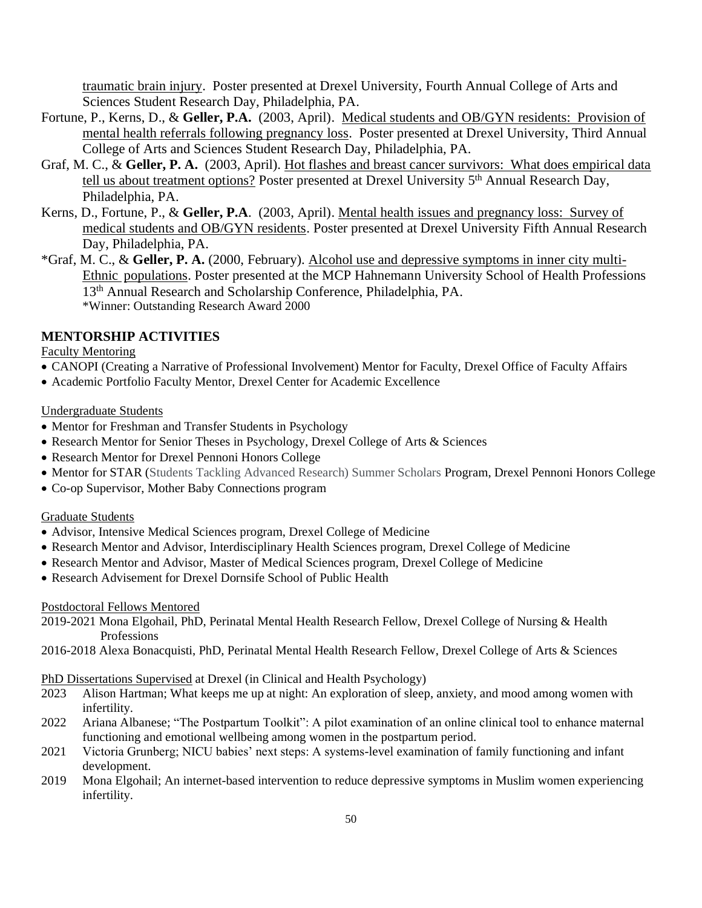traumatic brain injury. Poster presented at Drexel University, Fourth Annual College of Arts and Sciences Student Research Day, Philadelphia, PA.

- Fortune, P., Kerns, D., & **Geller, P.A.** (2003, April). Medical students and OB/GYN residents: Provision of mental health referrals following pregnancy loss. Poster presented at Drexel University, Third Annual College of Arts and Sciences Student Research Day, Philadelphia, PA.
- Graf, M. C., & **Geller, P. A.** (2003, April). Hot flashes and breast cancer survivors: What does empirical data tell us about treatment options? Poster presented at Drexel University 5<sup>th</sup> Annual Research Day, Philadelphia, PA.
- Kerns, D., Fortune, P., & **Geller, P.A**. (2003, April). Mental health issues and pregnancy loss: Survey of medical students and OB/GYN residents. Poster presented at Drexel University Fifth Annual Research Day, Philadelphia, PA.
- \*Graf, M. C., & **Geller, P. A.** (2000, February). Alcohol use and depressive symptoms in inner city multi-Ethnic populations. Poster presented at the MCP Hahnemann University School of Health Professions 13th Annual Research and Scholarship Conference, Philadelphia, PA. \*Winner: Outstanding Research Award 2000

## **MENTORSHIP ACTIVITIES**

Faculty Mentoring

- CANOPI (Creating a Narrative of Professional Involvement) Mentor for Faculty, Drexel Office of Faculty Affairs
- Academic Portfolio Faculty Mentor, Drexel Center for Academic Excellence

#### Undergraduate Students

- Mentor for Freshman and Transfer Students in Psychology
- Research Mentor for Senior Theses in Psychology, Drexel College of Arts & Sciences
- Research Mentor for Drexel Pennoni Honors College
- Mentor for STAR (Students Tackling Advanced Research) Summer Scholars Program, Drexel Pennoni Honors College
- Co-op Supervisor, Mother Baby Connections program

#### Graduate Students

- Advisor, Intensive Medical Sciences program, Drexel College of Medicine
- Research Mentor and Advisor, Interdisciplinary Health Sciences program, Drexel College of Medicine
- Research Mentor and Advisor, Master of Medical Sciences program, Drexel College of Medicine
- Research Advisement for Drexel Dornsife School of Public Health

#### Postdoctoral Fellows Mentored

- 2019-2021 Mona Elgohail, PhD, Perinatal Mental Health Research Fellow, Drexel College of Nursing & Health Professions
- 2016-2018 Alexa Bonacquisti, PhD, Perinatal Mental Health Research Fellow, Drexel College of Arts & Sciences

PhD Dissertations Supervised at Drexel (in Clinical and Health Psychology)

- 2023 Alison Hartman; What keeps me up at night: An exploration of sleep, anxiety, and mood among women with infertility.
- 2022 Ariana Albanese; "The Postpartum Toolkit": A pilot examination of an online clinical tool to enhance maternal functioning and emotional wellbeing among women in the postpartum period.
- 2021 Victoria Grunberg; NICU babies' next steps: A systems-level examination of family functioning and infant development.
- 2019 Mona Elgohail; An internet-based intervention to reduce depressive symptoms in Muslim women experiencing infertility.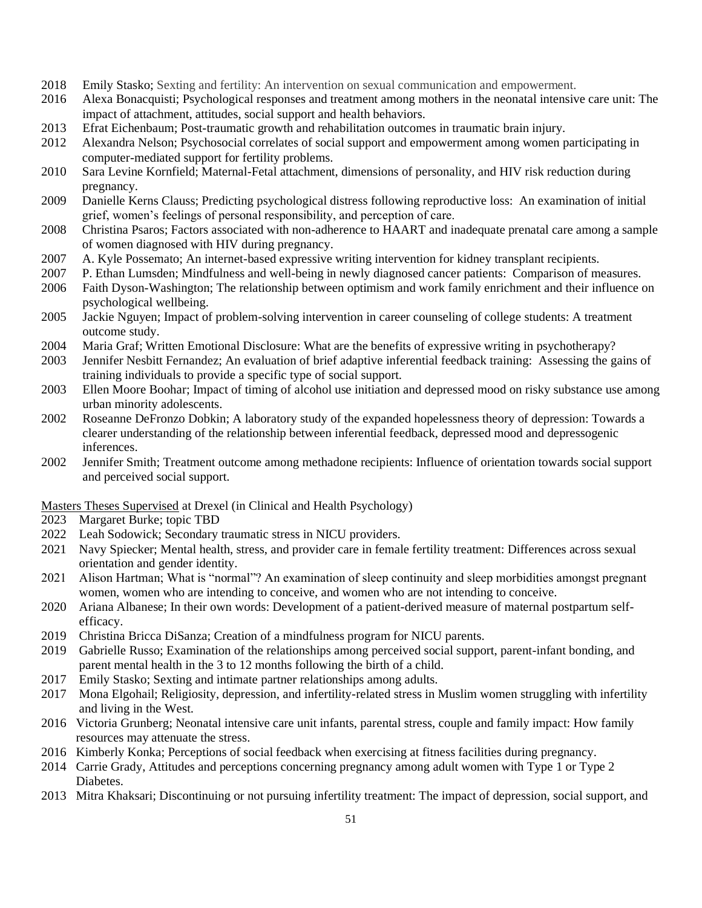- 2018 Emily Stasko; Sexting and fertility: An intervention on sexual communication and empowerment.
- 2016 Alexa Bonacquisti; Psychological responses and treatment among mothers in the neonatal intensive care unit: The impact of attachment, attitudes, social support and health behaviors.
- 2013 Efrat Eichenbaum; Post-traumatic growth and rehabilitation outcomes in traumatic brain injury.
- 2012 Alexandra Nelson; Psychosocial correlates of social support and empowerment among women participating in computer-mediated support for fertility problems.
- 2010 Sara Levine Kornfield; Maternal-Fetal attachment, dimensions of personality, and HIV risk reduction during pregnancy.
- 2009 Danielle Kerns Clauss; Predicting psychological distress following reproductive loss: An examination of initial grief, women's feelings of personal responsibility, and perception of care.
- 2008 Christina Psaros; Factors associated with non-adherence to HAART and inadequate prenatal care among a sample of women diagnosed with HIV during pregnancy.
- 2007 A. Kyle Possemato; An internet-based expressive writing intervention for kidney transplant recipients.
- 2007 P. Ethan Lumsden; Mindfulness and well-being in newly diagnosed cancer patients: Comparison of measures.
- 2006 Faith Dyson-Washington; The relationship between optimism and work family enrichment and their influence on psychological wellbeing.
- 2005 Jackie Nguyen; Impact of problem-solving intervention in career counseling of college students: A treatment outcome study.
- 2004 Maria Graf; Written Emotional Disclosure: What are the benefits of expressive writing in psychotherapy?
- 2003 Jennifer Nesbitt Fernandez; An evaluation of brief adaptive inferential feedback training: Assessing the gains of training individuals to provide a specific type of social support.
- 2003 Ellen Moore Boohar; Impact of timing of alcohol use initiation and depressed mood on risky substance use among urban minority adolescents.
- 2002 Roseanne DeFronzo Dobkin; A laboratory study of the expanded hopelessness theory of depression: Towards a clearer understanding of the relationship between inferential feedback, depressed mood and depressogenic inferences.
- 2002 Jennifer Smith; Treatment outcome among methadone recipients: Influence of orientation towards social support and perceived social support.

Masters Theses Supervised at Drexel (in Clinical and Health Psychology)

- 2023 Margaret Burke; topic TBD
- 2022 Leah Sodowick; Secondary traumatic stress in NICU providers.
- 2021 Navy Spiecker; Mental health, stress, and provider care in female fertility treatment: Differences across sexual orientation and gender identity.
- 2021 Alison Hartman; What is "normal"? An examination of sleep continuity and sleep morbidities amongst pregnant women, women who are intending to conceive, and women who are not intending to conceive.
- 2020 Ariana Albanese; In their own words: Development of a patient-derived measure of maternal postpartum self efficacy.
- 2019 Christina Bricca DiSanza; Creation of a mindfulness program for NICU parents.
- 2019 Gabrielle Russo; Examination of the relationships among perceived social support, parent-infant bonding, and parent mental health in the 3 to 12 months following the birth of a child.
- 2017 Emily Stasko; Sexting and intimate partner relationships among adults.
- 2017 Mona Elgohail; Religiosity, depression, and infertility-related stress in Muslim women struggling with infertility and living in the West.
- 2016 Victoria Grunberg; Neonatal intensive care unit infants, parental stress, couple and family impact: How family resources may attenuate the stress.
- 2016 Kimberly Konka; Perceptions of social feedback when exercising at fitness facilities during pregnancy.
- 2014 Carrie Grady, Attitudes and perceptions concerning pregnancy among adult women with Type 1 or Type 2 Diabetes.
- 2013 Mitra Khaksari; Discontinuing or not pursuing infertility treatment: The impact of depression, social support, and